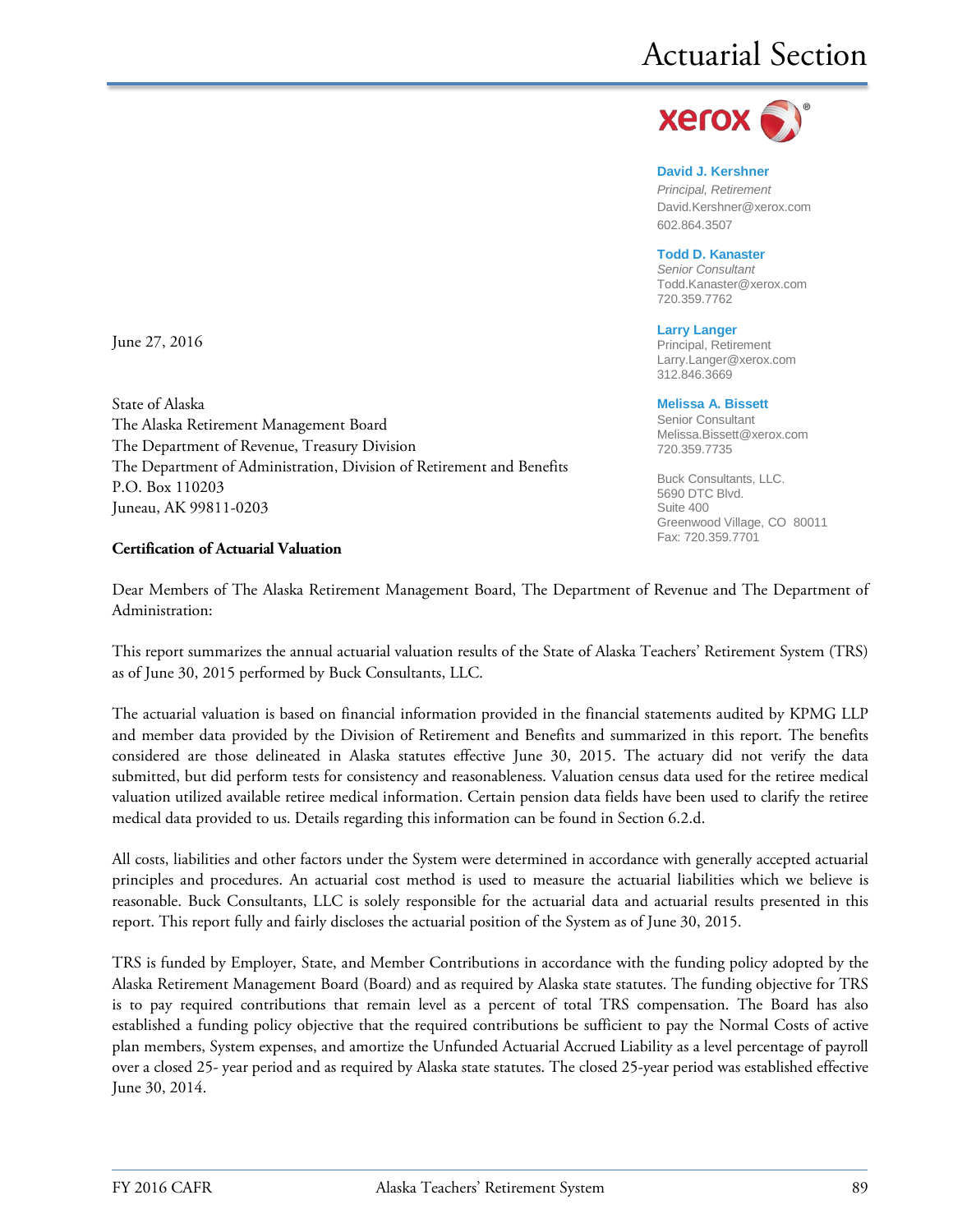

**David J. Kershner** *Principal, Retirement* David.Kershner@xerox.com 602.864.3507

#### **Todd D. Kanaster**

*Senior Consultant* [Todd.Kanaster@xerox.com](mailto:Todd.Kanaster@xerox.com) 720.359.7762

#### **Larry Langer**

Principal, Retirement Larry.Langer@xerox.com 312.846.3669

#### **Melissa A. Bissett**

Senior Consultant Melissa.Bissett@xerox.com 720.359.7735

Buck Consultants, LLC. 5690 DTC Blvd. Suite 400 Greenwood Village, CO 80011 Fax: 720.359.7701

June 27, 2016

State of Alaska The Alaska Retirement Management Board The Department of Revenue, Treasury Division The Department of Administration, Division of Retirement and Benefits P.O. Box 110203 Juneau, AK 99811-0203

#### **Certification of Actuarial Valuation**

Dear Members of The Alaska Retirement Management Board, The Department of Revenue and The Department of Administration:

This report summarizes the annual actuarial valuation results of the State of Alaska Teachers' Retirement System (TRS) as of June 30, 2015 performed by Buck Consultants, LLC.

The actuarial valuation is based on financial information provided in the financial statements audited by KPMG LLP and member data provided by the Division of Retirement and Benefits and summarized in this report. The benefits considered are those delineated in Alaska statutes effective June 30, 2015. The actuary did not verify the data submitted, but did perform tests for consistency and reasonableness. Valuation census data used for the retiree medical valuation utilized available retiree medical information. Certain pension data fields have been used to clarify the retiree medical data provided to us. Details regarding this information can be found in Section 6.2.d.

All costs, liabilities and other factors under the System were determined in accordance with generally accepted actuarial principles and procedures. An actuarial cost method is used to measure the actuarial liabilities which we believe is reasonable. Buck Consultants, LLC is solely responsible for the actuarial data and actuarial results presented in this report. This report fully and fairly discloses the actuarial position of the System as of June 30, 2015.

TRS is funded by Employer, State, and Member Contributions in accordance with the funding policy adopted by the Alaska Retirement Management Board (Board) and as required by Alaska state statutes. The funding objective for TRS is to pay required contributions that remain level as a percent of total TRS compensation. The Board has also established a funding policy objective that the required contributions be sufficient to pay the Normal Costs of active plan members, System expenses, and amortize the Unfunded Actuarial Accrued Liability as a level percentage of payroll over a closed 25- year period and as required by Alaska state statutes. The closed 25-year period was established effective June 30, 2014.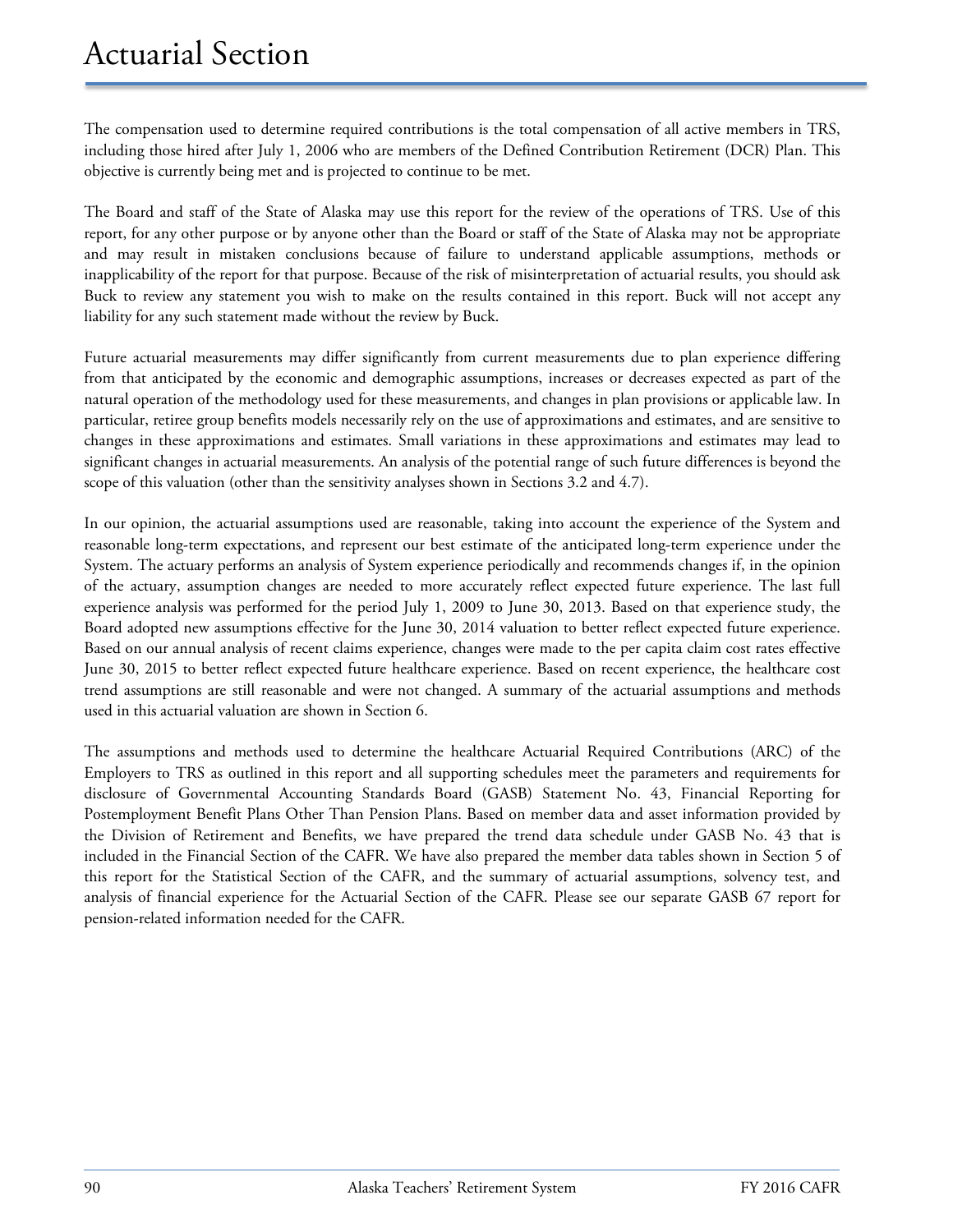The compensation used to determine required contributions is the total compensation of all active members in TRS, including those hired after July 1, 2006 who are members of the Defined Contribution Retirement (DCR) Plan. This objective is currently being met and is projected to continue to be met.

The Board and staff of the State of Alaska may use this report for the review of the operations of TRS. Use of this report, for any other purpose or by anyone other than the Board or staff of the State of Alaska may not be appropriate and may result in mistaken conclusions because of failure to understand applicable assumptions, methods or inapplicability of the report for that purpose. Because of the risk of misinterpretation of actuarial results, you should ask Buck to review any statement you wish to make on the results contained in this report. Buck will not accept any liability for any such statement made without the review by Buck.

Future actuarial measurements may differ significantly from current measurements due to plan experience differing from that anticipated by the economic and demographic assumptions, increases or decreases expected as part of the natural operation of the methodology used for these measurements, and changes in plan provisions or applicable law. In particular, retiree group benefits models necessarily rely on the use of approximations and estimates, and are sensitive to changes in these approximations and estimates. Small variations in these approximations and estimates may lead to significant changes in actuarial measurements. An analysis of the potential range of such future differences is beyond the scope of this valuation (other than the sensitivity analyses shown in Sections 3.2 and 4.7).

In our opinion, the actuarial assumptions used are reasonable, taking into account the experience of the System and reasonable long-term expectations, and represent our best estimate of the anticipated long-term experience under the System. The actuary performs an analysis of System experience periodically and recommends changes if, in the opinion of the actuary, assumption changes are needed to more accurately reflect expected future experience. The last full experience analysis was performed for the period July 1, 2009 to June 30, 2013. Based on that experience study, the Board adopted new assumptions effective for the June 30, 2014 valuation to better reflect expected future experience. Based on our annual analysis of recent claims experience, changes were made to the per capita claim cost rates effective June 30, 2015 to better reflect expected future healthcare experience. Based on recent experience, the healthcare cost trend assumptions are still reasonable and were not changed. A summary of the actuarial assumptions and methods used in this actuarial valuation are shown in Section 6.

The assumptions and methods used to determine the healthcare Actuarial Required Contributions (ARC) of the Employers to TRS as outlined in this report and all supporting schedules meet the parameters and requirements for disclosure of Governmental Accounting Standards Board (GASB) Statement No. 43, Financial Reporting for Postemployment Benefit Plans Other Than Pension Plans. Based on member data and asset information provided by the Division of Retirement and Benefits, we have prepared the trend data schedule under GASB No. 43 that is included in the Financial Section of the CAFR. We have also prepared the member data tables shown in Section 5 of this report for the Statistical Section of the CAFR, and the summary of actuarial assumptions, solvency test, and analysis of financial experience for the Actuarial Section of the CAFR. Please see our separate GASB 67 report for pension-related information needed for the CAFR.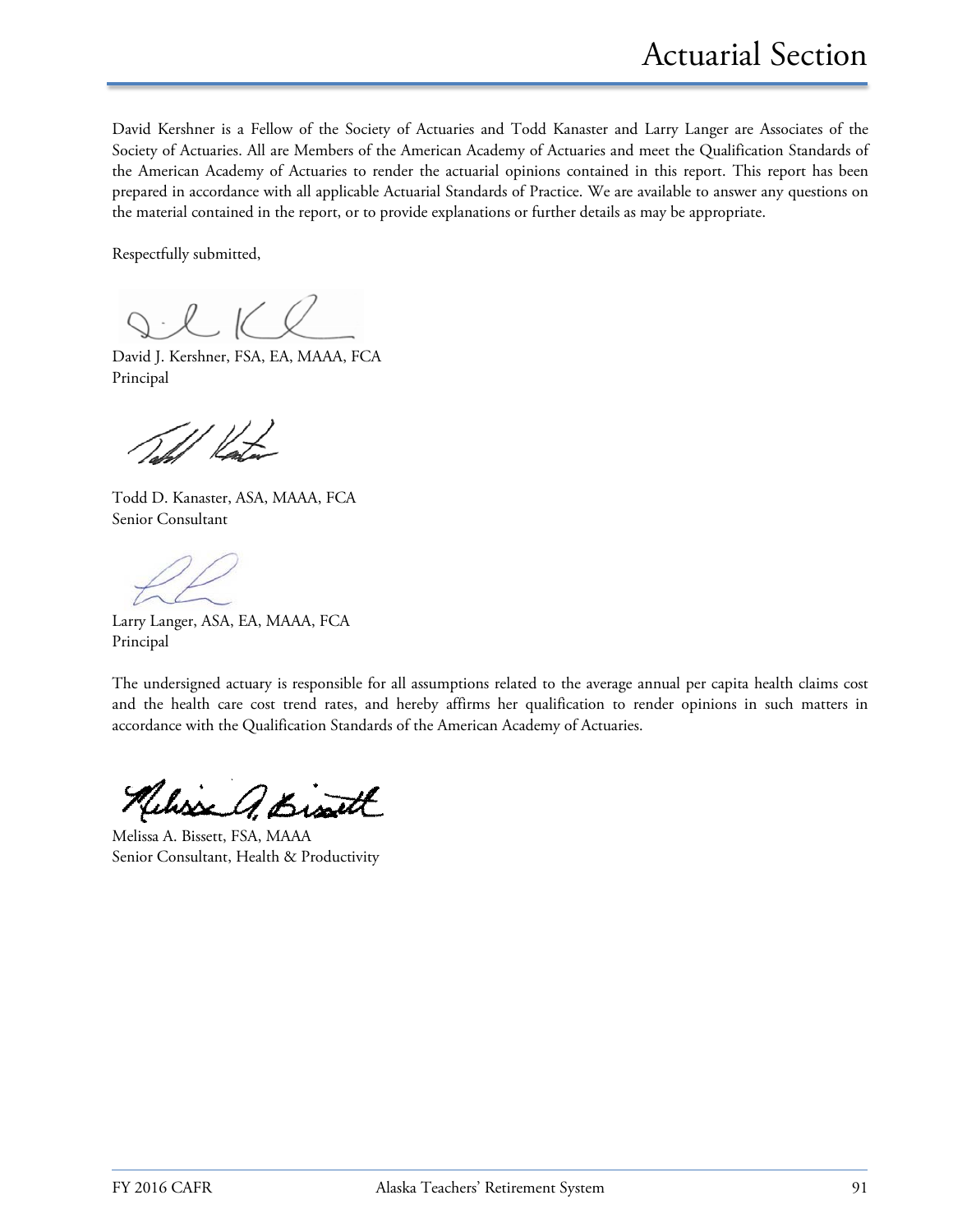David Kershner is a Fellow of the Society of Actuaries and Todd Kanaster and Larry Langer are Associates of the Society of Actuaries. All are Members of the American Academy of Actuaries and meet the Qualification Standards of the American Academy of Actuaries to render the actuarial opinions contained in this report. This report has been prepared in accordance with all applicable Actuarial Standards of Practice. We are available to answer any questions on the material contained in the report, or to provide explanations or further details as may be appropriate.

Respectfully submitted,

 $l \,$  1(  $l$ 

David J. Kershner, FSA, EA, MAAA, FCA Principal

Todd D. Kanaster, ASA, MAAA, FCA Senior Consultant

Larry Langer, ASA, EA, MAAA, FCA Principal

The undersigned actuary is responsible for all assumptions related to the average annual per capita health claims cost and the health care cost trend rates, and hereby affirms her qualification to render opinions in such matters in accordance with the Qualification Standards of the American Academy of Actuaries.

Kelisse A. Bisatt

Melissa A. Bissett, FSA, MAAA Senior Consultant, Health & Productivity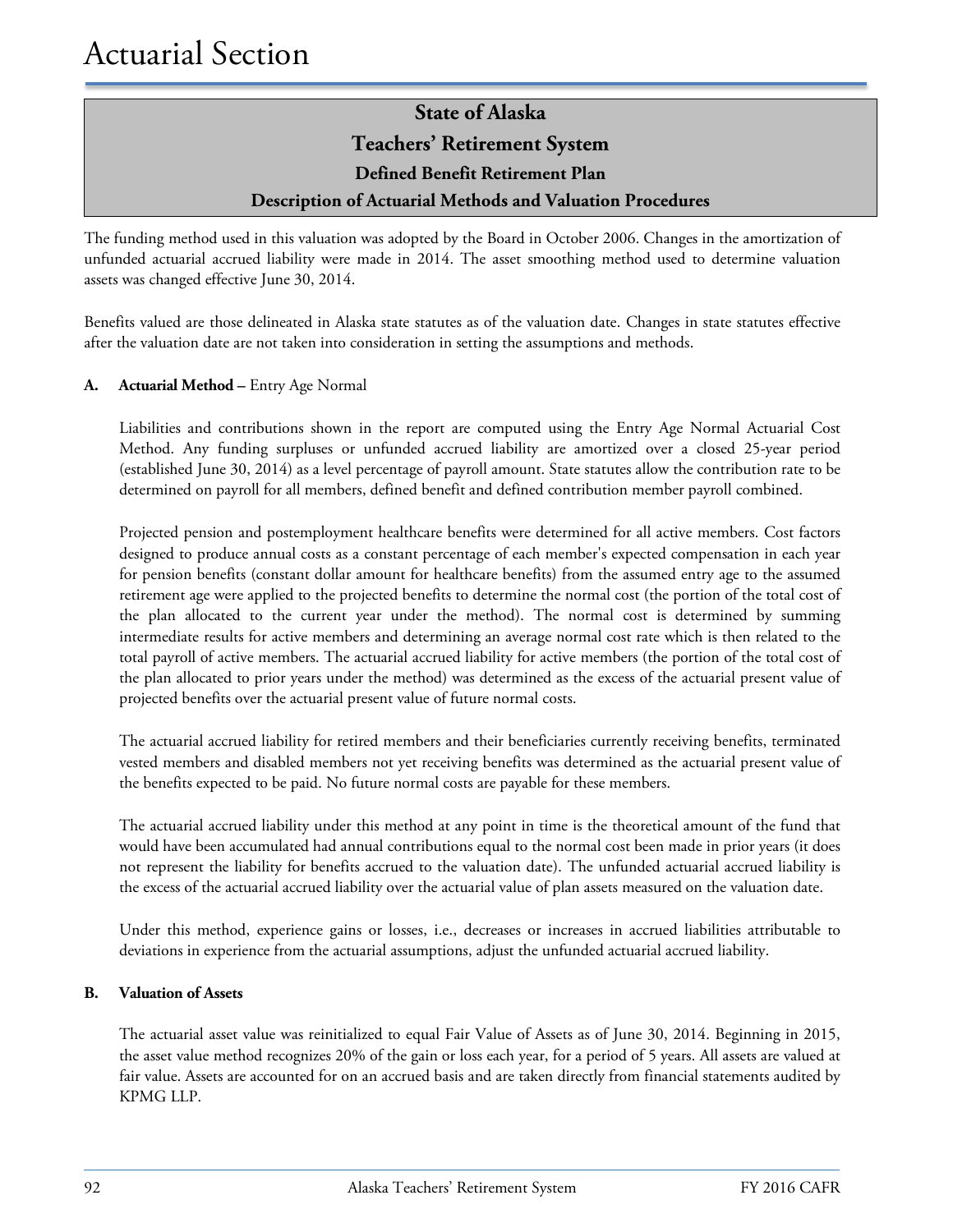### **State of Alaska Teachers' Retirement System**

**Defined Benefit Retirement Plan**

#### **Description of Actuarial Methods and Valuation Procedures**

The funding method used in this valuation was adopted by the Board in October 2006. Changes in the amortization of unfunded actuarial accrued liability were made in 2014. The asset smoothing method used to determine valuation assets was changed effective June 30, 2014.

Benefits valued are those delineated in Alaska state statutes as of the valuation date. Changes in state statutes effective after the valuation date are not taken into consideration in setting the assumptions and methods.

#### **A. Actuarial Method –** Entry Age Normal

Liabilities and contributions shown in the report are computed using the Entry Age Normal Actuarial Cost Method. Any funding surpluses or unfunded accrued liability are amortized over a closed 25-year period (established June 30, 2014) as a level percentage of payroll amount. State statutes allow the contribution rate to be determined on payroll for all members, defined benefit and defined contribution member payroll combined.

Projected pension and postemployment healthcare benefits were determined for all active members. Cost factors designed to produce annual costs as a constant percentage of each member's expected compensation in each year for pension benefits (constant dollar amount for healthcare benefits) from the assumed entry age to the assumed retirement age were applied to the projected benefits to determine the normal cost (the portion of the total cost of the plan allocated to the current year under the method). The normal cost is determined by summing intermediate results for active members and determining an average normal cost rate which is then related to the total payroll of active members. The actuarial accrued liability for active members (the portion of the total cost of the plan allocated to prior years under the method) was determined as the excess of the actuarial present value of projected benefits over the actuarial present value of future normal costs.

The actuarial accrued liability for retired members and their beneficiaries currently receiving benefits, terminated vested members and disabled members not yet receiving benefits was determined as the actuarial present value of the benefits expected to be paid. No future normal costs are payable for these members.

The actuarial accrued liability under this method at any point in time is the theoretical amount of the fund that would have been accumulated had annual contributions equal to the normal cost been made in prior years (it does not represent the liability for benefits accrued to the valuation date). The unfunded actuarial accrued liability is the excess of the actuarial accrued liability over the actuarial value of plan assets measured on the valuation date.

Under this method, experience gains or losses, i.e., decreases or increases in accrued liabilities attributable to deviations in experience from the actuarial assumptions, adjust the unfunded actuarial accrued liability.

#### **B. Valuation of Assets**

The actuarial asset value was reinitialized to equal Fair Value of Assets as of June 30, 2014. Beginning in 2015, the asset value method recognizes 20% of the gain or loss each year, for a period of 5 years. All assets are valued at fair value. Assets are accounted for on an accrued basis and are taken directly from financial statements audited by KPMG LLP.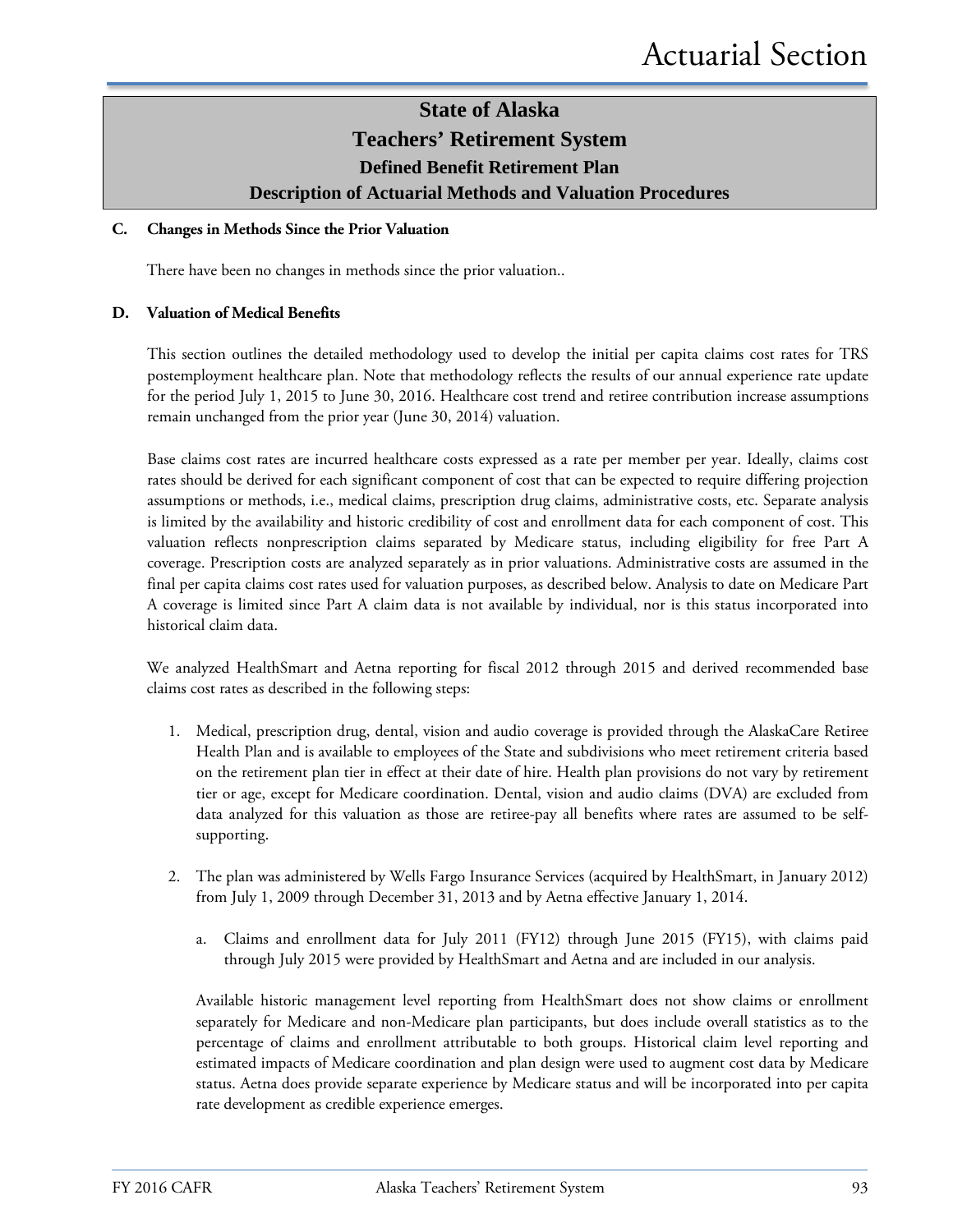### **State of Alaska Teachers' Retirement System Defined Benefit Retirement Plan**

#### **Description of Actuarial Methods and Valuation Procedures**

#### **C. Changes in Methods Since the Prior Valuation**

There have been no changes in methods since the prior valuation..

#### **D. Valuation of Medical Benefits**

This section outlines the detailed methodology used to develop the initial per capita claims cost rates for TRS postemployment healthcare plan. Note that methodology reflects the results of our annual experience rate update for the period July 1, 2015 to June 30, 2016. Healthcare cost trend and retiree contribution increase assumptions remain unchanged from the prior year (June 30, 2014) valuation.

Base claims cost rates are incurred healthcare costs expressed as a rate per member per year. Ideally, claims cost rates should be derived for each significant component of cost that can be expected to require differing projection assumptions or methods, i.e., medical claims, prescription drug claims, administrative costs, etc. Separate analysis is limited by the availability and historic credibility of cost and enrollment data for each component of cost. This valuation reflects nonprescription claims separated by Medicare status, including eligibility for free Part A coverage. Prescription costs are analyzed separately as in prior valuations. Administrative costs are assumed in the final per capita claims cost rates used for valuation purposes, as described below. Analysis to date on Medicare Part A coverage is limited since Part A claim data is not available by individual, nor is this status incorporated into historical claim data.

We analyzed HealthSmart and Aetna reporting for fiscal 2012 through 2015 and derived recommended base claims cost rates as described in the following steps:

- 1. Medical, prescription drug, dental, vision and audio coverage is provided through the AlaskaCare Retiree Health Plan and is available to employees of the State and subdivisions who meet retirement criteria based on the retirement plan tier in effect at their date of hire. Health plan provisions do not vary by retirement tier or age, except for Medicare coordination. Dental, vision and audio claims (DVA) are excluded from data analyzed for this valuation as those are retiree-pay all benefits where rates are assumed to be selfsupporting.
- 2. The plan was administered by Wells Fargo Insurance Services (acquired by HealthSmart, in January 2012) from July 1, 2009 through December 31, 2013 and by Aetna effective January 1, 2014.
	- a. Claims and enrollment data for July 2011 (FY12) through June 2015 (FY15), with claims paid through July 2015 were provided by HealthSmart and Aetna and are included in our analysis.

Available historic management level reporting from HealthSmart does not show claims or enrollment separately for Medicare and non-Medicare plan participants, but does include overall statistics as to the percentage of claims and enrollment attributable to both groups. Historical claim level reporting and estimated impacts of Medicare coordination and plan design were used to augment cost data by Medicare status. Aetna does provide separate experience by Medicare status and will be incorporated into per capita rate development as credible experience emerges.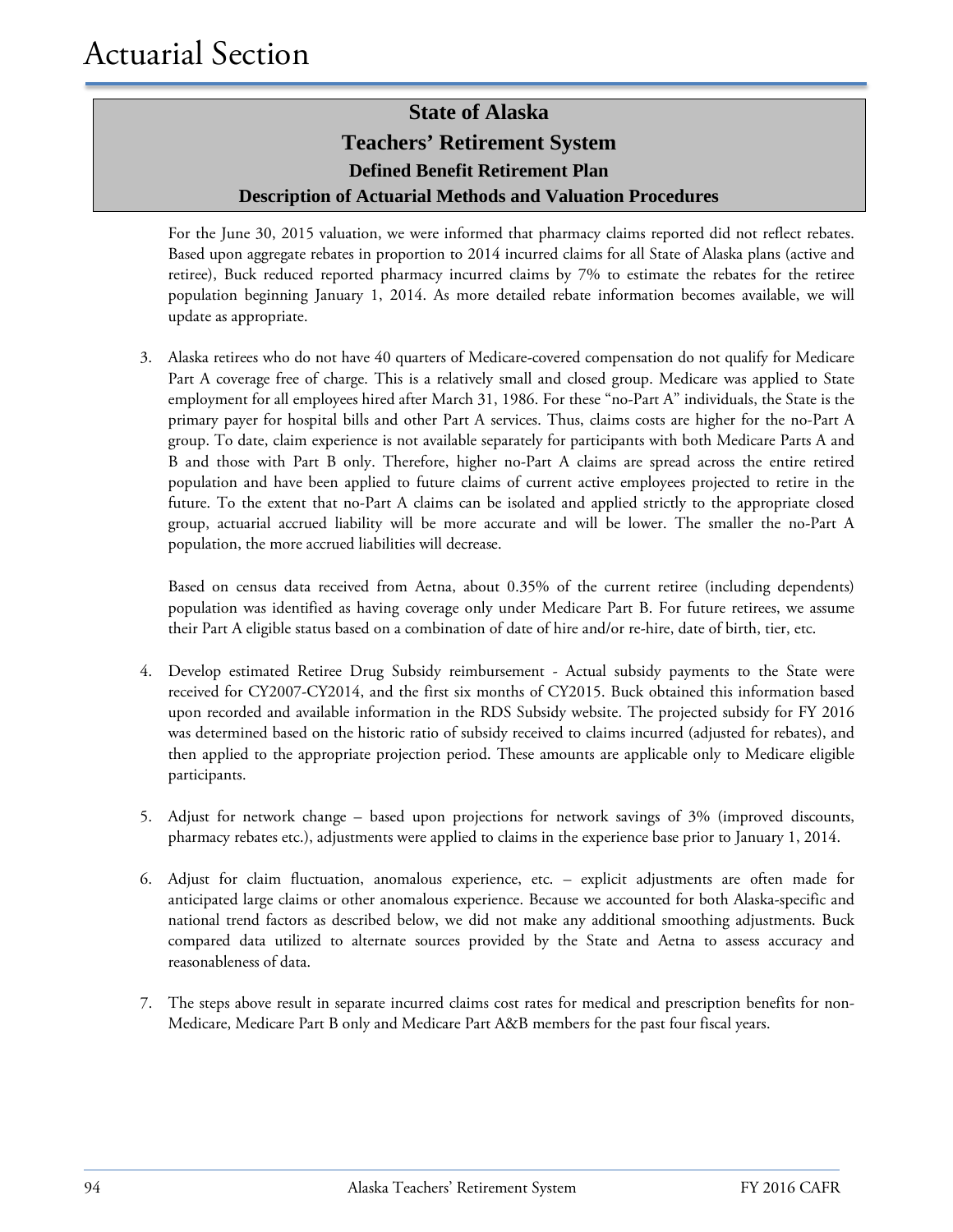For the June 30, 2015 valuation, we were informed that pharmacy claims reported did not reflect rebates. Based upon aggregate rebates in proportion to 2014 incurred claims for all State of Alaska plans (active and retiree), Buck reduced reported pharmacy incurred claims by 7% to estimate the rebates for the retiree population beginning January 1, 2014. As more detailed rebate information becomes available, we will update as appropriate.

3. Alaska retirees who do not have 40 quarters of Medicare-covered compensation do not qualify for Medicare Part A coverage free of charge. This is a relatively small and closed group. Medicare was applied to State employment for all employees hired after March 31, 1986. For these "no-Part A" individuals, the State is the primary payer for hospital bills and other Part A services. Thus, claims costs are higher for the no-Part A group. To date, claim experience is not available separately for participants with both Medicare Parts A and B and those with Part B only. Therefore, higher no-Part A claims are spread across the entire retired population and have been applied to future claims of current active employees projected to retire in the future. To the extent that no-Part A claims can be isolated and applied strictly to the appropriate closed group, actuarial accrued liability will be more accurate and will be lower. The smaller the no-Part A population, the more accrued liabilities will decrease.

Based on census data received from Aetna, about 0.35% of the current retiree (including dependents) population was identified as having coverage only under Medicare Part B. For future retirees, we assume their Part A eligible status based on a combination of date of hire and/or re-hire, date of birth, tier, etc.

- 4. Develop estimated Retiree Drug Subsidy reimbursement Actual subsidy payments to the State were received for CY2007-CY2014, and the first six months of CY2015. Buck obtained this information based upon recorded and available information in the RDS Subsidy website. The projected subsidy for FY 2016 was determined based on the historic ratio of subsidy received to claims incurred (adjusted for rebates), and then applied to the appropriate projection period. These amounts are applicable only to Medicare eligible participants.
- 5. Adjust for network change based upon projections for network savings of 3% (improved discounts, pharmacy rebates etc.), adjustments were applied to claims in the experience base prior to January 1, 2014.
- 6. Adjust for claim fluctuation, anomalous experience, etc. explicit adjustments are often made for anticipated large claims or other anomalous experience. Because we accounted for both Alaska-specific and national trend factors as described below, we did not make any additional smoothing adjustments. Buck compared data utilized to alternate sources provided by the State and Aetna to assess accuracy and reasonableness of data.
- 7. The steps above result in separate incurred claims cost rates for medical and prescription benefits for non-Medicare, Medicare Part B only and Medicare Part A&B members for the past four fiscal years.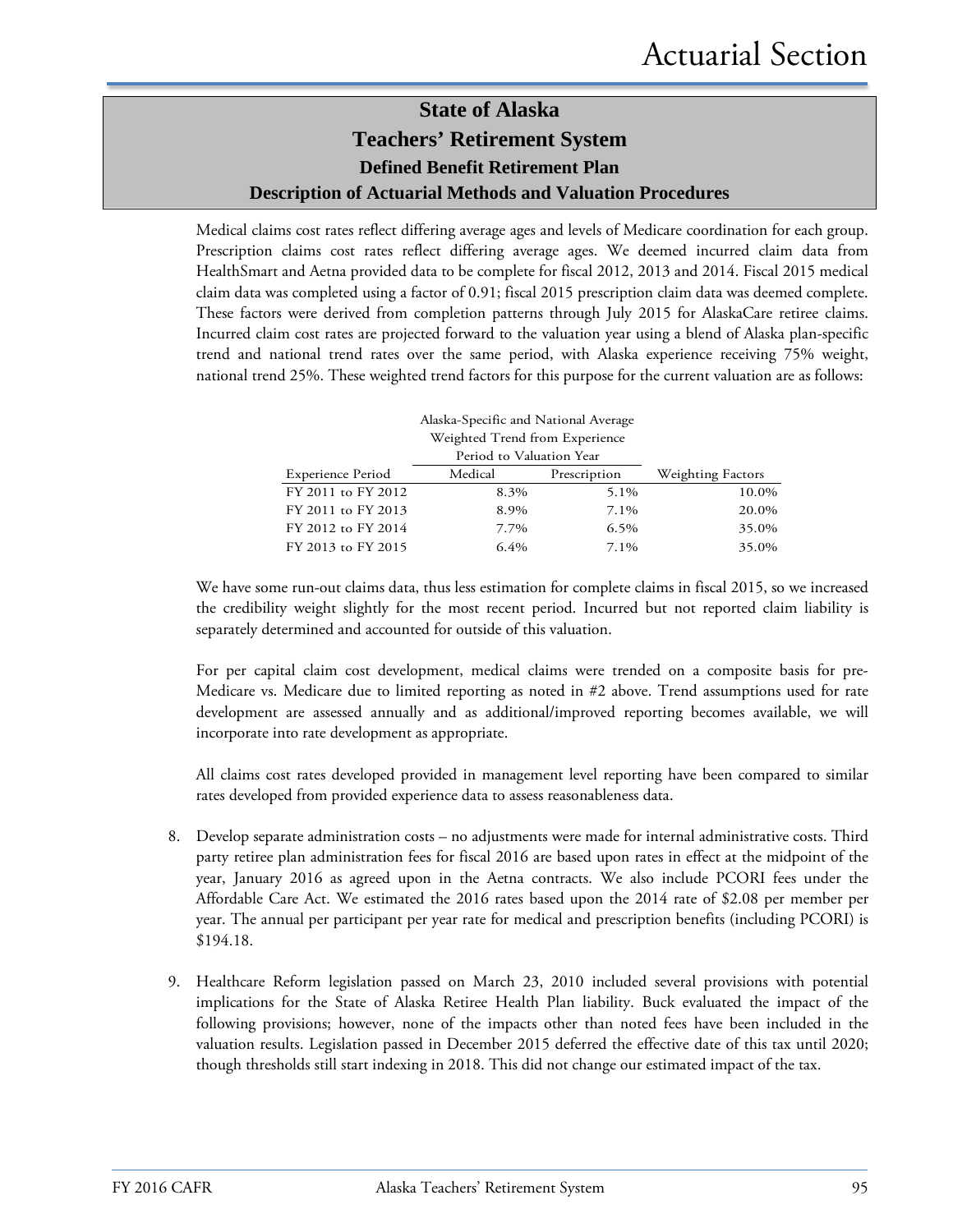Medical claims cost rates reflect differing average ages and levels of Medicare coordination for each group. Prescription claims cost rates reflect differing average ages. We deemed incurred claim data from HealthSmart and Aetna provided data to be complete for fiscal 2012, 2013 and 2014. Fiscal 2015 medical claim data was completed using a factor of 0.91; fiscal 2015 prescription claim data was deemed complete. These factors were derived from completion patterns through July 2015 for AlaskaCare retiree claims. Incurred claim cost rates are projected forward to the valuation year using a blend of Alaska plan-specific trend and national trend rates over the same period, with Alaska experience receiving 75% weight, national trend 25%. These weighted trend factors for this purpose for the current valuation are as follows:

| Alaska-Specific and National Average |                                |              |                   |  |
|--------------------------------------|--------------------------------|--------------|-------------------|--|
|                                      | Weighted Trend from Experience |              |                   |  |
|                                      | Period to Valuation Year       |              |                   |  |
| <b>Experience Period</b>             | Medical                        | Prescription | Weighting Factors |  |
| FY 2011 to FY 2012                   | 8.3%                           | 5.1%         | 10.0%             |  |
| FY 2011 to FY 2013                   | 8.9%                           | 7.1%         | 20.0%             |  |
| FY 2012 to FY 2014                   | 7.7%                           | 6.5%         | 35.0%             |  |
| FY 2013 to FY 2015                   | $6.4\%$                        | $7.1\%$      | 35.0%             |  |

We have some run-out claims data, thus less estimation for complete claims in fiscal 2015, so we increased the credibility weight slightly for the most recent period. Incurred but not reported claim liability is separately determined and accounted for outside of this valuation.

For per capital claim cost development, medical claims were trended on a composite basis for pre-Medicare vs. Medicare due to limited reporting as noted in #2 above. Trend assumptions used for rate development are assessed annually and as additional/improved reporting becomes available, we will incorporate into rate development as appropriate.

All claims cost rates developed provided in management level reporting have been compared to similar rates developed from provided experience data to assess reasonableness data.

- 8. Develop separate administration costs no adjustments were made for internal administrative costs. Third party retiree plan administration fees for fiscal 2016 are based upon rates in effect at the midpoint of the year, January 2016 as agreed upon in the Aetna contracts. We also include PCORI fees under the Affordable Care Act. We estimated the 2016 rates based upon the 2014 rate of \$2.08 per member per year. The annual per participant per year rate for medical and prescription benefits (including PCORI) is \$194.18.
- 9. Healthcare Reform legislation passed on March 23, 2010 included several provisions with potential implications for the State of Alaska Retiree Health Plan liability. Buck evaluated the impact of the following provisions; however, none of the impacts other than noted fees have been included in the valuation results. Legislation passed in December 2015 deferred the effective date of this tax until 2020; though thresholds still start indexing in 2018. This did not change our estimated impact of the tax.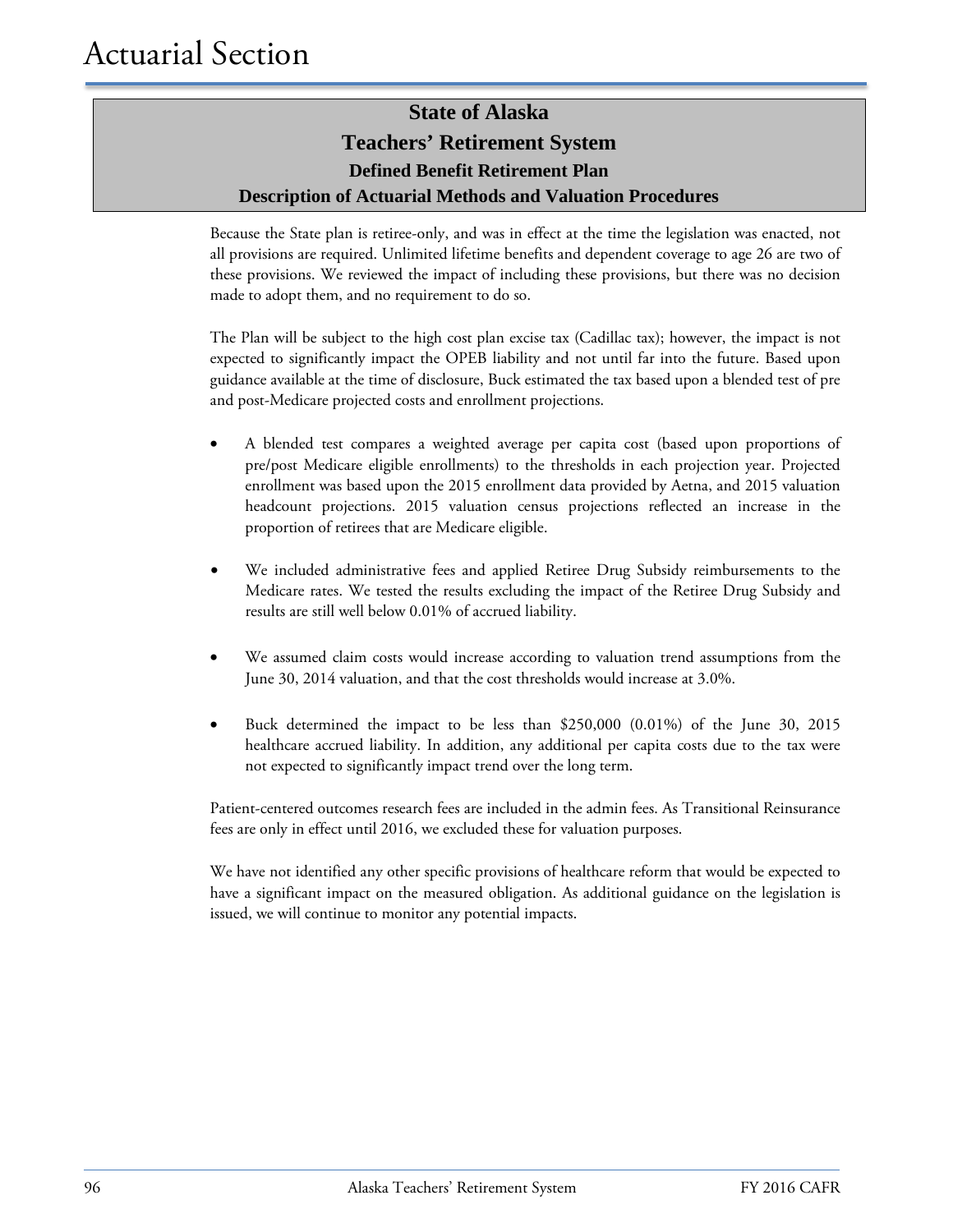Because the State plan is retiree-only, and was in effect at the time the legislation was enacted, not all provisions are required. Unlimited lifetime benefits and dependent coverage to age 26 are two of these provisions. We reviewed the impact of including these provisions, but there was no decision made to adopt them, and no requirement to do so.

The Plan will be subject to the high cost plan excise tax (Cadillac tax); however, the impact is not expected to significantly impact the OPEB liability and not until far into the future. Based upon guidance available at the time of disclosure, Buck estimated the tax based upon a blended test of pre and post-Medicare projected costs and enrollment projections.

- A blended test compares a weighted average per capita cost (based upon proportions of pre/post Medicare eligible enrollments) to the thresholds in each projection year. Projected enrollment was based upon the 2015 enrollment data provided by Aetna, and 2015 valuation headcount projections. 2015 valuation census projections reflected an increase in the proportion of retirees that are Medicare eligible.
- We included administrative fees and applied Retiree Drug Subsidy reimbursements to the Medicare rates. We tested the results excluding the impact of the Retiree Drug Subsidy and results are still well below 0.01% of accrued liability.
- We assumed claim costs would increase according to valuation trend assumptions from the June 30, 2014 valuation, and that the cost thresholds would increase at 3.0%.
- Buck determined the impact to be less than \$250,000 (0.01%) of the June 30, 2015 healthcare accrued liability. In addition, any additional per capita costs due to the tax were not expected to significantly impact trend over the long term.

Patient-centered outcomes research fees are included in the admin fees. As Transitional Reinsurance fees are only in effect until 2016, we excluded these for valuation purposes.

We have not identified any other specific provisions of healthcare reform that would be expected to have a significant impact on the measured obligation. As additional guidance on the legislation is issued, we will continue to monitor any potential impacts.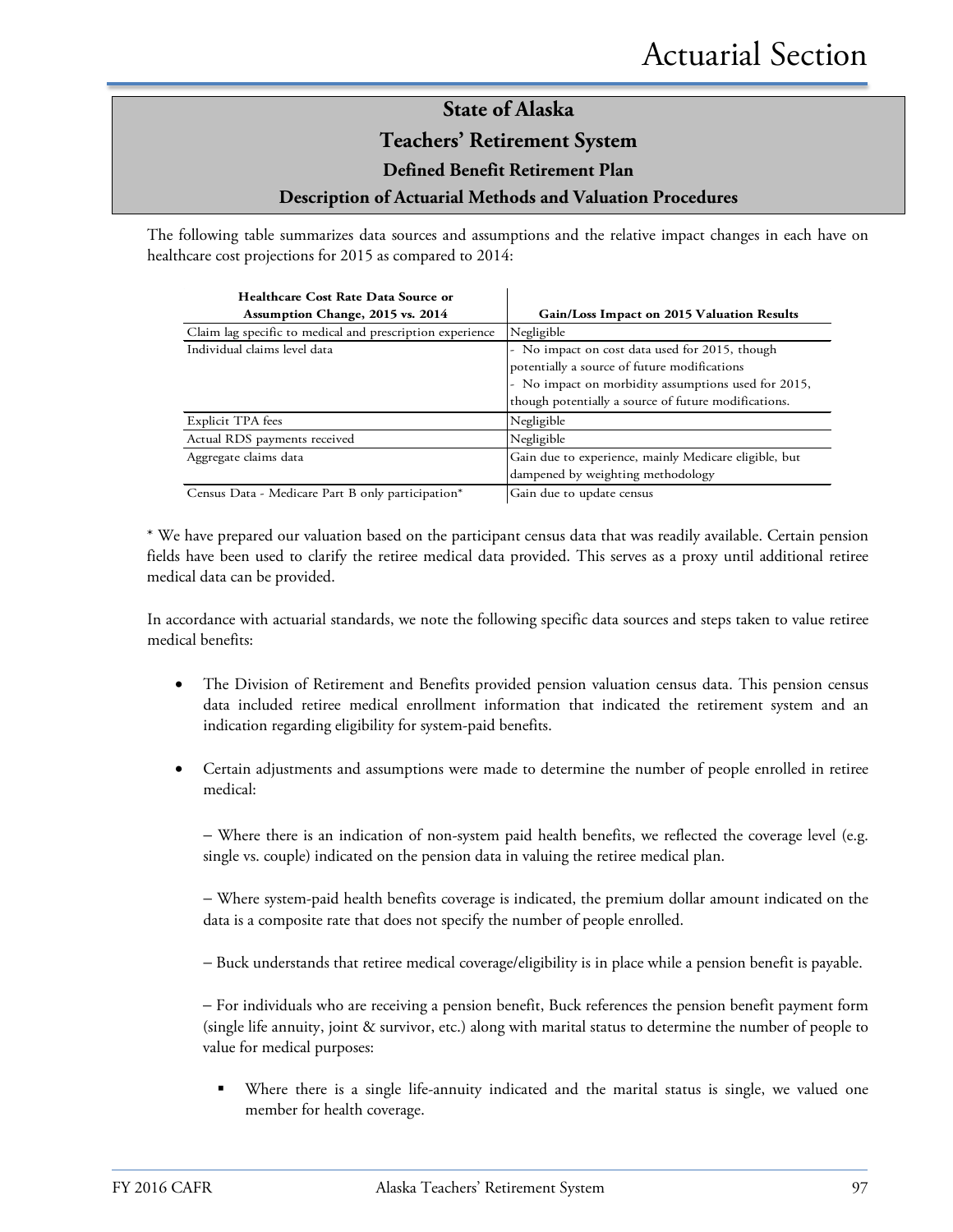The following table summarizes data sources and assumptions and the relative impact changes in each have on healthcare cost projections for 2015 as compared to 2014:

| Healthcare Cost Rate Data Source or                       |                                                       |
|-----------------------------------------------------------|-------------------------------------------------------|
| Assumption Change, 2015 vs. 2014                          | Gain/Loss Impact on 2015 Valuation Results            |
| Claim lag specific to medical and prescription experience | Negligible                                            |
| Individual claims level data                              | - No impact on cost data used for 2015, though        |
|                                                           | potentially a source of future modifications          |
|                                                           | - No impact on morbidity assumptions used for 2015,   |
|                                                           | though potentially a source of future modifications.  |
| Explicit TPA fees                                         | Negligible                                            |
| Actual RDS payments received                              | Negligible                                            |
| Aggregate claims data                                     | Gain due to experience, mainly Medicare eligible, but |
|                                                           | dampened by weighting methodology                     |
| Census Data - Medicare Part B only participation*         | Gain due to update census                             |

\* We have prepared our valuation based on the participant census data that was readily available. Certain pension fields have been used to clarify the retiree medical data provided. This serves as a proxy until additional retiree medical data can be provided.

In accordance with actuarial standards, we note the following specific data sources and steps taken to value retiree medical benefits:

- The Division of Retirement and Benefits provided pension valuation census data. This pension census data included retiree medical enrollment information that indicated the retirement system and an indication regarding eligibility for system-paid benefits.
- Certain adjustments and assumptions were made to determine the number of people enrolled in retiree medical:

− Where there is an indication of non-system paid health benefits, we reflected the coverage level (e.g. single vs. couple) indicated on the pension data in valuing the retiree medical plan.

− Where system-paid health benefits coverage is indicated, the premium dollar amount indicated on the data is a composite rate that does not specify the number of people enrolled.

− Buck understands that retiree medical coverage/eligibility is in place while a pension benefit is payable.

− For individuals who are receiving a pension benefit, Buck references the pension benefit payment form (single life annuity, joint & survivor, etc.) along with marital status to determine the number of people to value for medical purposes:

 Where there is a single life-annuity indicated and the marital status is single, we valued one member for health coverage.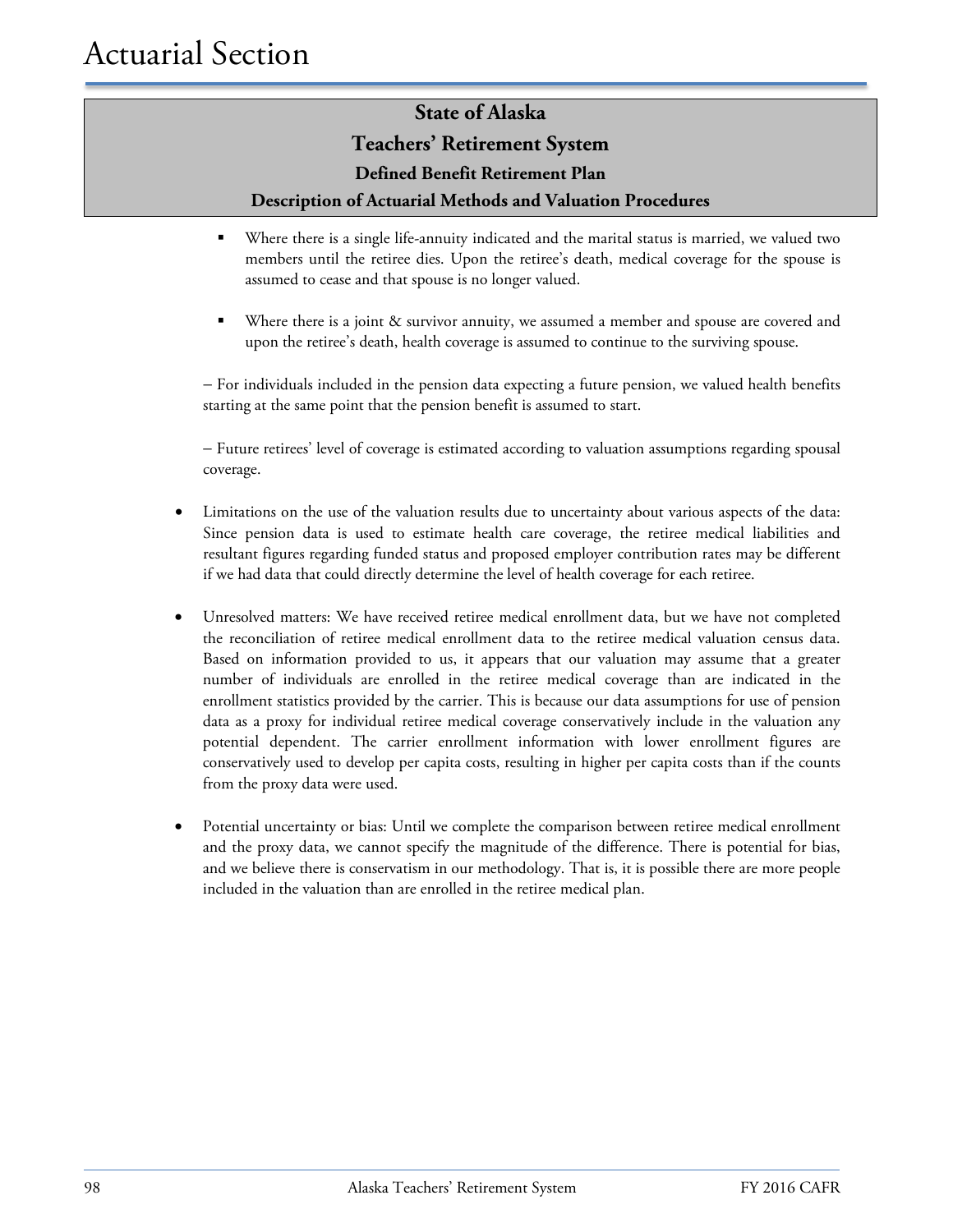#### **Teachers' Retirement System**

**Defined Benefit Retirement Plan**

#### **Description of Actuarial Methods and Valuation Procedures**

- Where there is a single life-annuity indicated and the marital status is married, we valued two members until the retiree dies. Upon the retiree's death, medical coverage for the spouse is assumed to cease and that spouse is no longer valued.
- Where there is a joint & survivor annuity, we assumed a member and spouse are covered and upon the retiree's death, health coverage is assumed to continue to the surviving spouse.

− For individuals included in the pension data expecting a future pension, we valued health benefits starting at the same point that the pension benefit is assumed to start.

− Future retirees' level of coverage is estimated according to valuation assumptions regarding spousal coverage.

- Limitations on the use of the valuation results due to uncertainty about various aspects of the data: Since pension data is used to estimate health care coverage, the retiree medical liabilities and resultant figures regarding funded status and proposed employer contribution rates may be different if we had data that could directly determine the level of health coverage for each retiree.
- Unresolved matters: We have received retiree medical enrollment data, but we have not completed the reconciliation of retiree medical enrollment data to the retiree medical valuation census data. Based on information provided to us, it appears that our valuation may assume that a greater number of individuals are enrolled in the retiree medical coverage than are indicated in the enrollment statistics provided by the carrier. This is because our data assumptions for use of pension data as a proxy for individual retiree medical coverage conservatively include in the valuation any potential dependent. The carrier enrollment information with lower enrollment figures are conservatively used to develop per capita costs, resulting in higher per capita costs than if the counts from the proxy data were used.
- Potential uncertainty or bias: Until we complete the comparison between retiree medical enrollment and the proxy data, we cannot specify the magnitude of the difference. There is potential for bias, and we believe there is conservatism in our methodology. That is, it is possible there are more people included in the valuation than are enrolled in the retiree medical plan.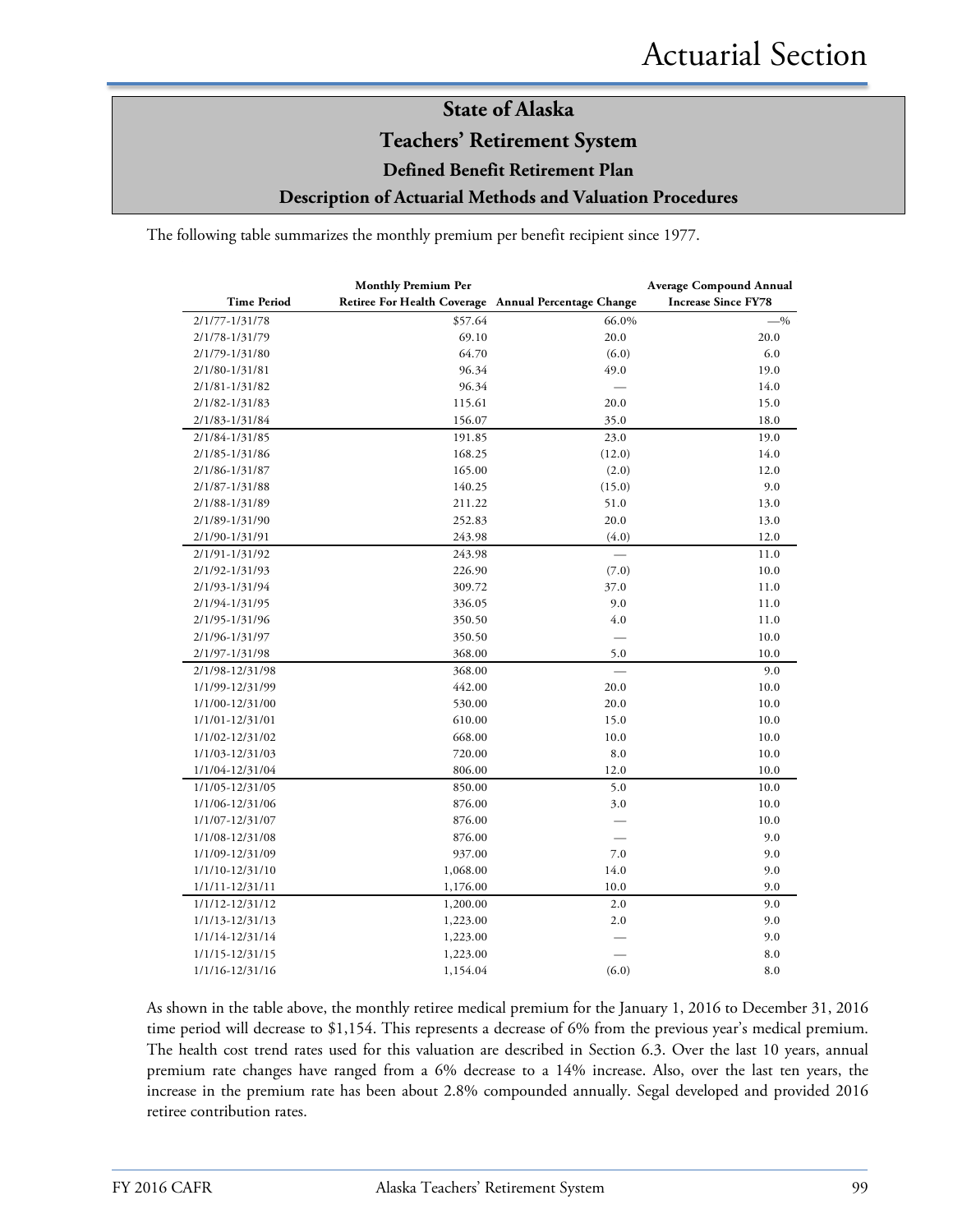# **State of Alaska Teachers' Retirement System**

**Defined Benefit Retirement Plan**

**Description of Actuarial Methods and Valuation Procedures**

The following table summarizes the monthly premium per benefit recipient since 1977.

|                    | <b>Monthly Premium Per</b>                           |        | <b>Average Compound Annual</b> |
|--------------------|------------------------------------------------------|--------|--------------------------------|
| <b>Time Period</b> | Retiree For Health Coverage Annual Percentage Change |        | <b>Increase Since FY78</b>     |
| 2/1/77-1/31/78     | \$57.64                                              | 66.0%  | $-$ %                          |
| 2/1/78-1/31/79     | 69.10                                                | 20.0   | 20.0                           |
| 2/1/79-1/31/80     | 64.70                                                | (6.0)  | 6.0                            |
| 2/1/80-1/31/81     | 96.34                                                | 49.0   | 19.0                           |
| 2/1/81-1/31/82     | 96.34                                                |        | 14.0                           |
| 2/1/82-1/31/83     | 115.61                                               | 20.0   | 15.0                           |
| 2/1/83-1/31/84     | 156.07                                               | 35.0   | 18.0                           |
| 2/1/84-1/31/85     | 191.85                                               | 23.0   | 19.0                           |
| 2/1/85-1/31/86     | 168.25                                               | (12.0) | 14.0                           |
| 2/1/86-1/31/87     | 165.00                                               | (2.0)  | 12.0                           |
| 2/1/87-1/31/88     | 140.25                                               | (15.0) | 9.0                            |
| 2/1/88-1/31/89     | 211.22                                               | 51.0   | 13.0                           |
| 2/1/89-1/31/90     | 252.83                                               | 20.0   | 13.0                           |
| 2/1/90-1/31/91     | 243.98                                               | (4.0)  | 12.0                           |
| 2/1/91-1/31/92     | 243.98                                               |        | 11.0                           |
| 2/1/92-1/31/93     | 226.90                                               | (7.0)  | 10.0                           |
| 2/1/93-1/31/94     | 309.72                                               | 37.0   | 11.0                           |
| 2/1/94-1/31/95     | 336.05                                               | 9.0    | 11.0                           |
| 2/1/95-1/31/96     | 350.50                                               | 4.0    | 11.0                           |
| 2/1/96-1/31/97     | 350.50                                               |        | 10.0                           |
| 2/1/97-1/31/98     | 368.00                                               | 5.0    | 10.0                           |
| 2/1/98-12/31/98    | 368.00                                               |        | 9.0                            |
| 1/1/99-12/31/99    | 442.00                                               | 20.0   | 10.0                           |
| 1/1/00-12/31/00    | 530.00                                               | 20.0   | 10.0                           |
| 1/1/01-12/31/01    | 610.00                                               | 15.0   | 10.0                           |
| 1/1/02-12/31/02    | 668.00                                               | 10.0   | 10.0                           |
| 1/1/03-12/31/03    | 720.00                                               | 8.0    | 10.0                           |
| 1/1/04-12/31/04    | 806.00                                               | 12.0   | 10.0                           |
| 1/1/05-12/31/05    | 850.00                                               | 5.0    | 10.0                           |
| 1/1/06-12/31/06    | 876.00                                               | 3.0    | 10.0                           |
| 1/1/07-12/31/07    | 876.00                                               |        | 10.0                           |
| 1/1/08-12/31/08    | 876.00                                               |        | 9.0                            |
| 1/1/09-12/31/09    | 937.00                                               | 7.0    | 9.0                            |
| 1/1/10-12/31/10    | 1,068.00                                             | 14.0   | 9.0                            |
| 1/1/11-12/31/11    | 1,176.00                                             | 10.0   | 9.0                            |
| 1/1/12-12/31/12    | 1,200.00                                             | 2.0    | 9.0                            |
| 1/1/13-12/31/13    | 1,223.00                                             | 2.0    | 9.0                            |
| 1/1/14-12/31/14    | 1,223.00                                             |        | 9.0                            |
| 1/1/15-12/31/15    | 1,223.00                                             |        | 8.0                            |
| 1/1/16-12/31/16    | 1,154.04                                             | (6.0)  | 8.0                            |

As shown in the table above, the monthly retiree medical premium for the January 1, 2016 to December 31, 2016 time period will decrease to \$1,154. This represents a decrease of 6% from the previous year's medical premium. The health cost trend rates used for this valuation are described in Section 6.3. Over the last 10 years, annual premium rate changes have ranged from a 6% decrease to a 14% increase. Also, over the last ten years, the increase in the premium rate has been about 2.8% compounded annually. Segal developed and provided 2016 retiree contribution rates.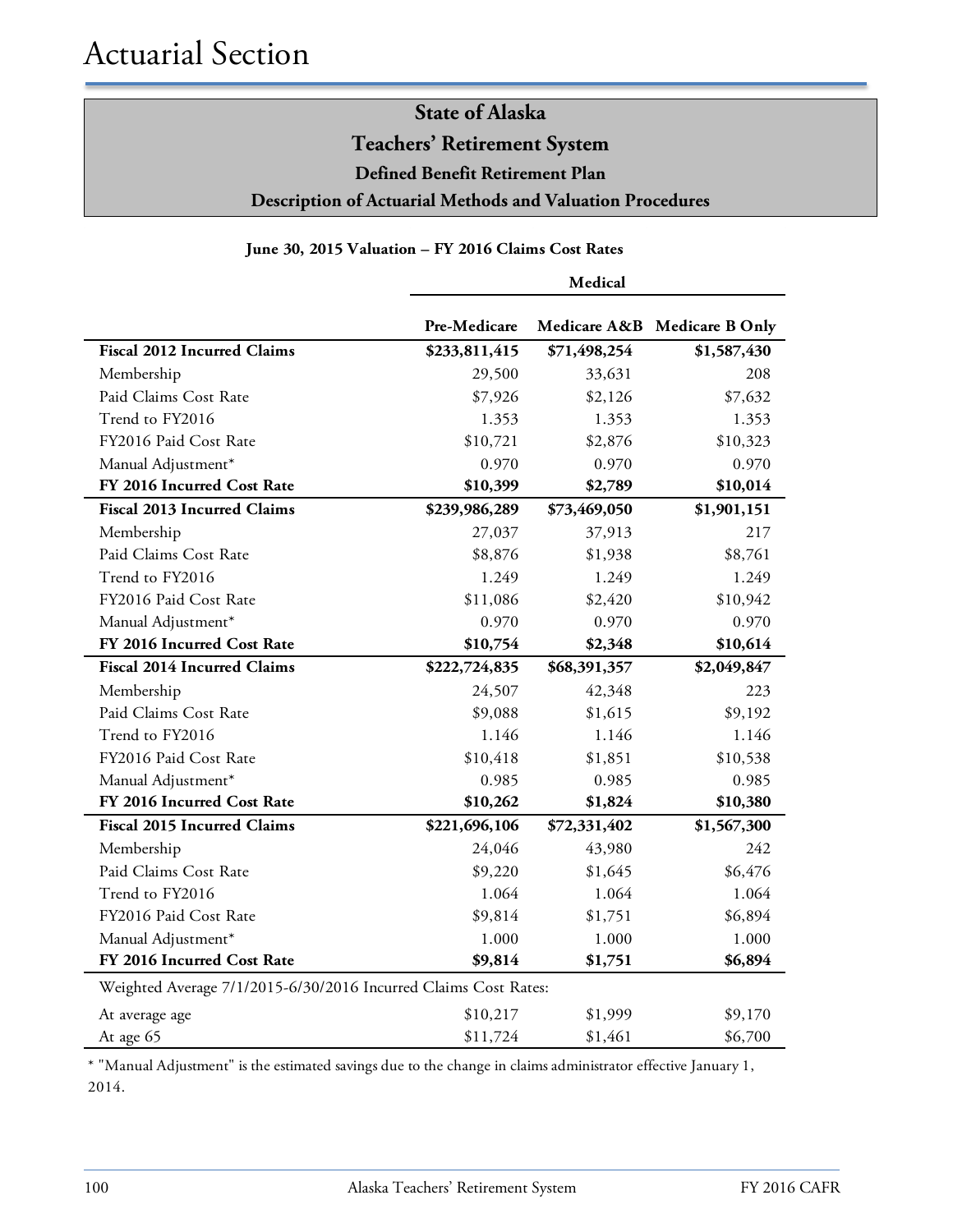**Teachers' Retirement System**

**Defined Benefit Retirement Plan**

**Description of Actuarial Methods and Valuation Procedures**

#### **June 30, 2015 Valuation – FY 2016 Claims Cost Rates**

|                                                                 | Medical       |              |                              |  |
|-----------------------------------------------------------------|---------------|--------------|------------------------------|--|
|                                                                 | Pre-Medicare  |              | Medicare A&B Medicare B Only |  |
| <b>Fiscal 2012 Incurred Claims</b>                              | \$233,811,415 | \$71,498,254 | \$1,587,430                  |  |
| Membership                                                      | 29,500        | 33,631       | 208                          |  |
| Paid Claims Cost Rate                                           | \$7,926       | \$2,126      | \$7,632                      |  |
| Trend to FY2016                                                 | 1.353         | 1.353        | 1.353                        |  |
| FY2016 Paid Cost Rate                                           | \$10,721      | \$2,876      | \$10,323                     |  |
| Manual Adjustment*                                              | 0.970         | 0.970        | 0.970                        |  |
| FY 2016 Incurred Cost Rate                                      | \$10,399      | \$2,789      | \$10,014                     |  |
| <b>Fiscal 2013 Incurred Claims</b>                              | \$239,986,289 | \$73,469,050 | \$1,901,151                  |  |
| Membership                                                      | 27,037        | 37,913       | 217                          |  |
| Paid Claims Cost Rate                                           | \$8,876       | \$1,938      | \$8,761                      |  |
| Trend to FY2016                                                 | 1.249         | 1.249        | 1.249                        |  |
| FY2016 Paid Cost Rate                                           | \$11,086      | \$2,420      | \$10,942                     |  |
| Manual Adjustment*                                              | 0.970         | 0.970        | 0.970                        |  |
| FY 2016 Incurred Cost Rate                                      | \$10,754      | \$2,348      | \$10,614                     |  |
| <b>Fiscal 2014 Incurred Claims</b>                              | \$222,724,835 | \$68,391,357 | \$2,049,847                  |  |
| Membership                                                      | 24,507        | 42,348       | 223                          |  |
| Paid Claims Cost Rate                                           | \$9,088       | \$1,615      | \$9,192                      |  |
| Trend to FY2016                                                 | 1.146         | 1.146        | 1.146                        |  |
| FY2016 Paid Cost Rate                                           | \$10,418      | \$1,851      | \$10,538                     |  |
| Manual Adjustment*                                              | 0.985         | 0.985        | 0.985                        |  |
| FY 2016 Incurred Cost Rate                                      | \$10,262      | \$1,824      | \$10,380                     |  |
| <b>Fiscal 2015 Incurred Claims</b>                              | \$221,696,106 | \$72,331,402 | \$1,567,300                  |  |
| Membership                                                      | 24,046        | 43,980       | 242                          |  |
| Paid Claims Cost Rate                                           | \$9,220       | \$1,645      | \$6,476                      |  |
| Trend to FY2016                                                 | 1.064         | 1.064        | 1.064                        |  |
| FY2016 Paid Cost Rate                                           | \$9,814       | \$1,751      | \$6,894                      |  |
| Manual Adjustment*                                              | 1.000         | 1.000        | 1.000                        |  |
| FY 2016 Incurred Cost Rate                                      | \$9,814       | \$1,751      | \$6,894                      |  |
| Weighted Average 7/1/2015-6/30/2016 Incurred Claims Cost Rates: |               |              |                              |  |
| At average age                                                  | \$10,217      | \$1,999      | \$9,170                      |  |
| At age 65                                                       | \$11,724      | \$1,461      | \$6,700                      |  |

\* "Manual Adjustment" is the estimated savings due to the change in claims administrator effective January 1, 2014.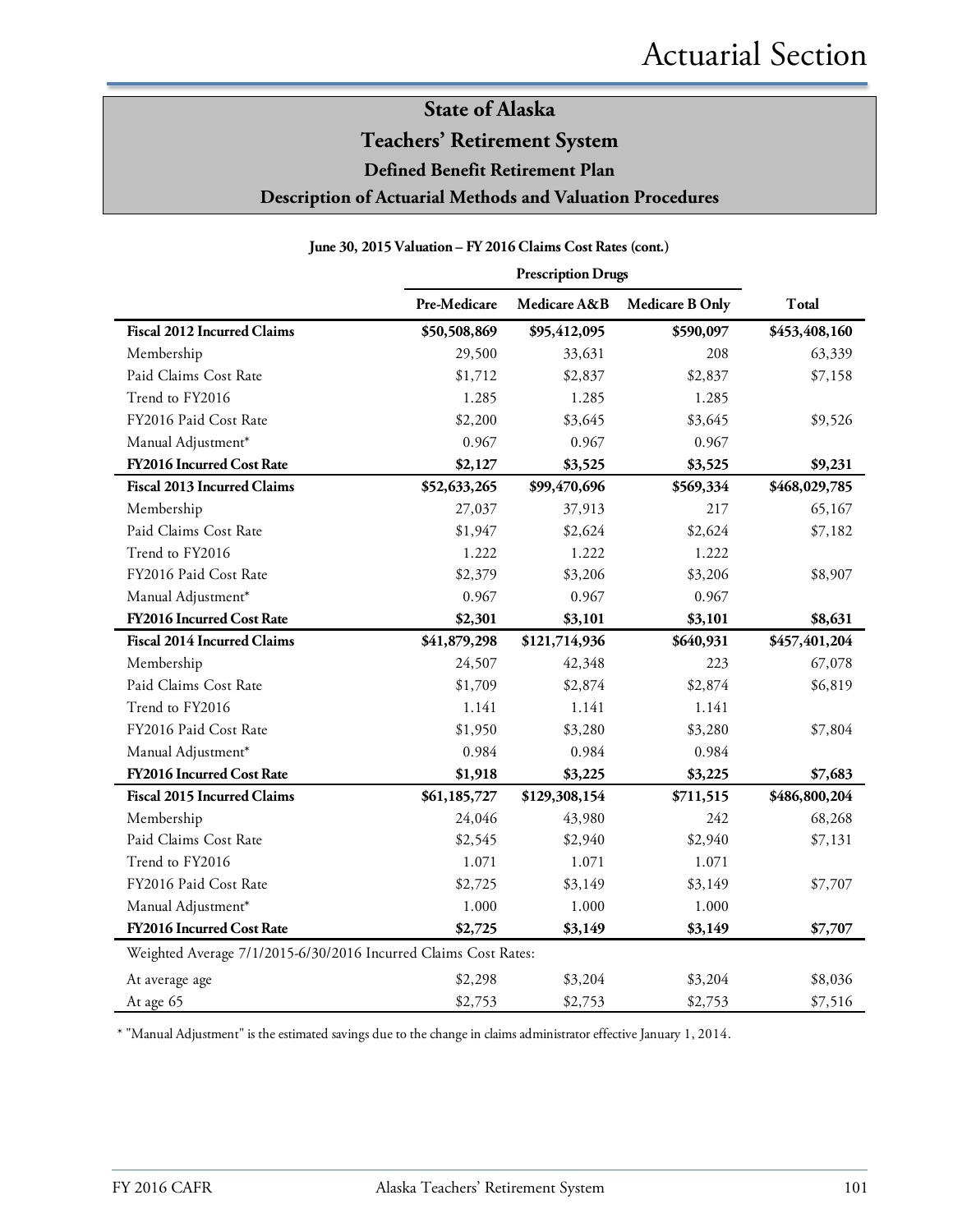**Teachers' Retirement System**

**Defined Benefit Retirement Plan**

**Description of Actuarial Methods and Valuation Procedures**

|                                                                 | <b>Prescription Drugs</b> |               |                        |               |
|-----------------------------------------------------------------|---------------------------|---------------|------------------------|---------------|
|                                                                 | Pre-Medicare              | Medicare A&B  | <b>Medicare B Only</b> | Total         |
| <b>Fiscal 2012 Incurred Claims</b>                              | \$50,508,869              | \$95,412,095  | \$590,097              | \$453,408,160 |
| Membership                                                      | 29,500                    | 33,631        | 208                    | 63,339        |
| Paid Claims Cost Rate                                           | \$1,712                   | \$2,837       | \$2,837                | \$7,158       |
| Trend to FY2016                                                 | 1.285                     | 1.285         | 1.285                  |               |
| FY2016 Paid Cost Rate                                           | \$2,200                   | \$3,645       | \$3,645                | \$9,526       |
| Manual Adjustment*                                              | 0.967                     | 0.967         | 0.967                  |               |
| FY2016 Incurred Cost Rate                                       | \$2,127                   | \$3,525       | \$3,525                | \$9,231       |
| <b>Fiscal 2013 Incurred Claims</b>                              | \$52,633,265              | \$99,470,696  | \$569,334              | \$468,029,785 |
| Membership                                                      | 27,037                    | 37,913        | 217                    | 65,167        |
| Paid Claims Cost Rate                                           | \$1,947                   | \$2,624       | \$2,624                | \$7,182       |
| Trend to FY2016                                                 | 1.222                     | 1.222         | 1.222                  |               |
| FY2016 Paid Cost Rate                                           | \$2,379                   | \$3,206       | \$3,206                | \$8,907       |
| Manual Adjustment*                                              | 0.967                     | 0.967         | 0.967                  |               |
| FY2016 Incurred Cost Rate                                       | \$2,301                   | \$3,101       | \$3,101                | \$8,631       |
| <b>Fiscal 2014 Incurred Claims</b>                              | \$41,879,298              | \$121,714,936 | \$640,931              | \$457,401,204 |
| Membership                                                      | 24,507                    | 42,348        | 223                    | 67,078        |
| Paid Claims Cost Rate                                           | \$1,709                   | \$2,874       | \$2,874                | \$6,819       |
| Trend to FY2016                                                 | 1.141                     | 1.141         | 1.141                  |               |
| FY2016 Paid Cost Rate                                           | \$1,950                   | \$3,280       | \$3,280                | \$7,804       |
| Manual Adjustment*                                              | 0.984                     | 0.984         | 0.984                  |               |
| <b>FY2016 Incurred Cost Rate</b>                                | \$1,918                   | \$3,225       | \$3,225                | \$7,683       |
| <b>Fiscal 2015 Incurred Claims</b>                              | \$61,185,727              | \$129,308,154 | \$711,515              | \$486,800,204 |
| Membership                                                      | 24,046                    | 43,980        | 242                    | 68,268        |
| Paid Claims Cost Rate                                           | \$2,545                   | \$2,940       | \$2,940                | \$7,131       |
| Trend to FY2016                                                 | 1.071                     | 1.071         | 1.071                  |               |
| FY2016 Paid Cost Rate                                           | \$2,725                   | \$3,149       | \$3,149                | \$7,707       |
| Manual Adjustment*                                              | 1.000                     | 1.000         | 1.000                  |               |
| FY2016 Incurred Cost Rate                                       | \$2,725                   | \$3,149       | \$3,149                | \$7,707       |
| Weighted Average 7/1/2015-6/30/2016 Incurred Claims Cost Rates: |                           |               |                        |               |
| At average age                                                  | \$2,298                   | \$3,204       | \$3,204                | \$8,036       |
| At age 65                                                       | \$2,753                   | \$2,753       | \$2,753                | \$7,516       |

**June 30, 2015 Valuation – FY 2016 Claims Cost Rates (cont.)**

\* "Manual Adjustment" is the estimated savings due to the change in claims administrator effective January 1, 2014.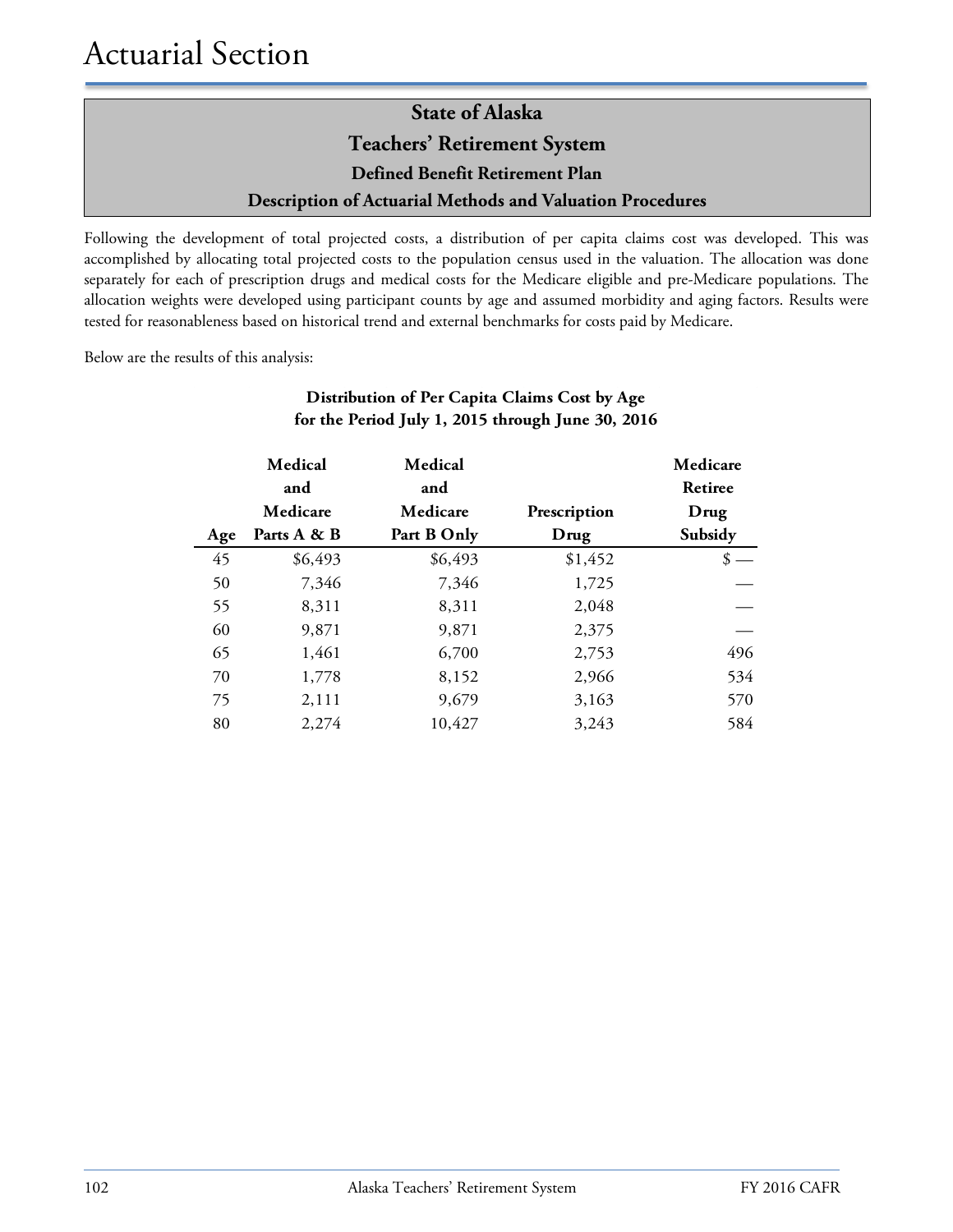Following the development of total projected costs, a distribution of per capita claims cost was developed. This was accomplished by allocating total projected costs to the population census used in the valuation. The allocation was done separately for each of prescription drugs and medical costs for the Medicare eligible and pre-Medicare populations. The allocation weights were developed using participant counts by age and assumed morbidity and aging factors. Results were tested for reasonableness based on historical trend and external benchmarks for costs paid by Medicare.

Below are the results of this analysis:

### **Distribution of Per Capita Claims Cost by Age for the Period July 1, 2015 through June 30, 2016**

|     | Medical<br>and | Medical<br>and |              | Medicare<br>Retiree |
|-----|----------------|----------------|--------------|---------------------|
|     | Medicare       | Medicare       | Prescription | Drug                |
| Age | Parts A & B    | Part B Only    | Drug         | Subsidy             |
| 45  | \$6,493        | \$6,493        | \$1,452      | S                   |
| 50  | 7,346          | 7,346          | 1,725        |                     |
| 55  | 8,311          | 8,311          | 2,048        |                     |
| 60  | 9,871          | 9,871          | 2,375        |                     |
| 65  | 1,461          | 6,700          | 2,753        | 496                 |
| 70  | 1,778          | 8,152          | 2,966        | 534                 |
| 75  | 2,111          | 9,679          | 3,163        | 570                 |
| 80  | 2,274          | 10,427         | 3,243        | 584                 |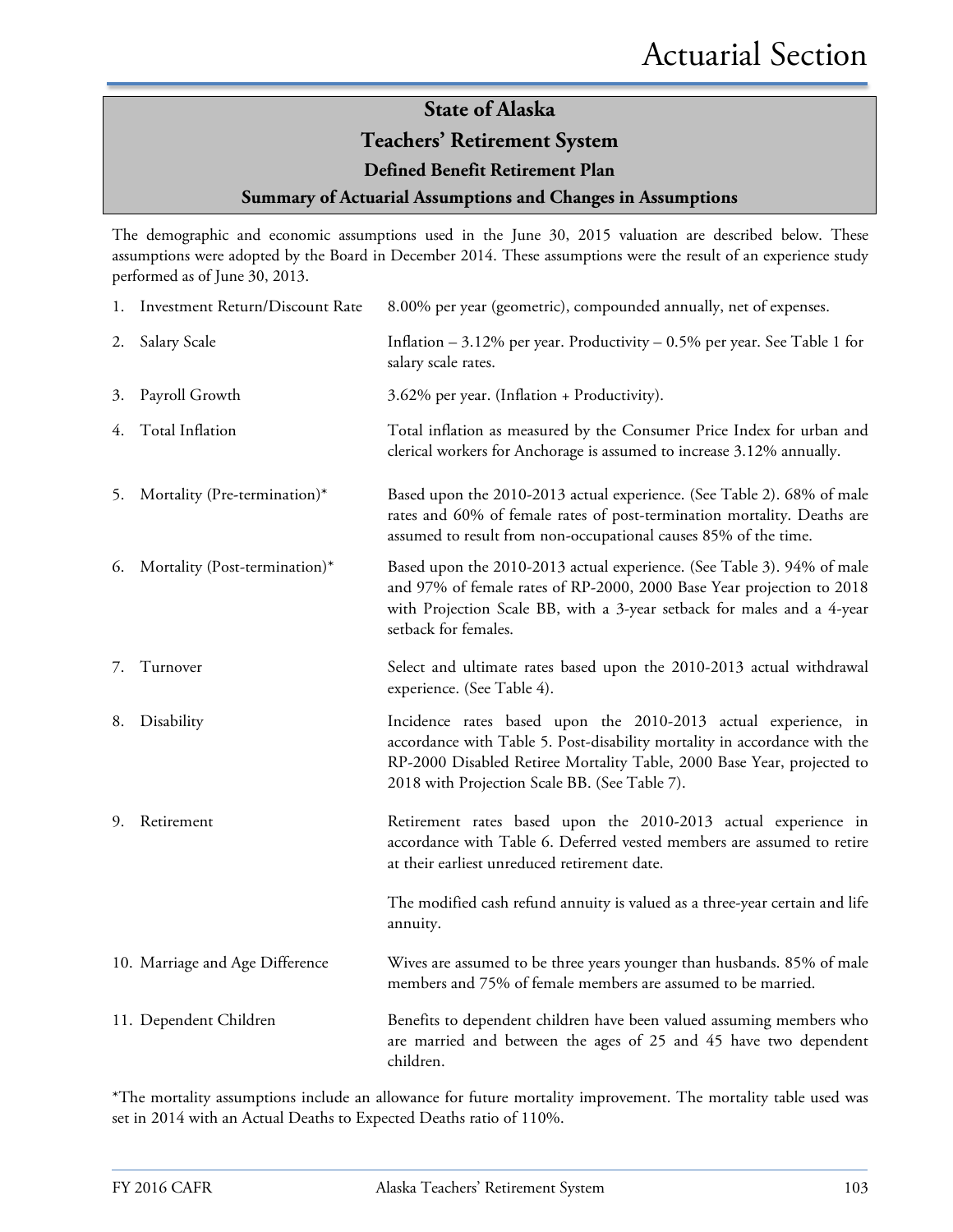#### **Teachers' Retirement System**

**Defined Benefit Retirement Plan**

#### **Summary of Actuarial Assumptions and Changes in Assumptions**

The demographic and economic assumptions used in the June 30, 2015 valuation are described below. These assumptions were adopted by the Board in December 2014. These assumptions were the result of an experience study performed as of June 30, 2013.

|    | 1. Investment Return/Discount Rate | 8.00% per year (geometric), compounded annually, net of expenses.                                                                                                                                                                                                      |
|----|------------------------------------|------------------------------------------------------------------------------------------------------------------------------------------------------------------------------------------------------------------------------------------------------------------------|
| 2. | Salary Scale                       | Inflation $-3.12\%$ per year. Productivity $-0.5\%$ per year. See Table 1 for<br>salary scale rates.                                                                                                                                                                   |
| 3. | Payroll Growth                     | 3.62% per year. (Inflation + Productivity).                                                                                                                                                                                                                            |
| 4. | Total Inflation                    | Total inflation as measured by the Consumer Price Index for urban and<br>clerical workers for Anchorage is assumed to increase 3.12% annually.                                                                                                                         |
| 5. | Mortality (Pre-termination)*       | Based upon the 2010-2013 actual experience. (See Table 2). 68% of male<br>rates and 60% of female rates of post-termination mortality. Deaths are<br>assumed to result from non-occupational causes 85% of the time.                                                   |
| 6. | Mortality (Post-termination)*      | Based upon the 2010-2013 actual experience. (See Table 3). 94% of male<br>and 97% of female rates of RP-2000, 2000 Base Year projection to 2018<br>with Projection Scale BB, with a 3-year setback for males and a 4-year<br>setback for females.                      |
| 7. | Turnover                           | Select and ultimate rates based upon the 2010-2013 actual withdrawal<br>experience. (See Table 4).                                                                                                                                                                     |
| 8. | Disability                         | Incidence rates based upon the 2010-2013 actual experience, in<br>accordance with Table 5. Post-disability mortality in accordance with the<br>RP-2000 Disabled Retiree Mortality Table, 2000 Base Year, projected to<br>2018 with Projection Scale BB. (See Table 7). |
| 9. | Retirement                         | Retirement rates based upon the 2010-2013 actual experience in<br>accordance with Table 6. Deferred vested members are assumed to retire<br>at their earliest unreduced retirement date.                                                                               |
|    |                                    | The modified cash refund annuity is valued as a three-year certain and life<br>annuity.                                                                                                                                                                                |
|    | 10. Marriage and Age Difference    | Wives are assumed to be three years younger than husbands. 85% of male<br>members and 75% of female members are assumed to be married.                                                                                                                                 |
|    | 11. Dependent Children             | Benefits to dependent children have been valued assuming members who<br>are married and between the ages of 25 and 45 have two dependent<br>children.                                                                                                                  |

\*The mortality assumptions include an allowance for future mortality improvement. The mortality table used was set in 2014 with an Actual Deaths to Expected Deaths ratio of 110%.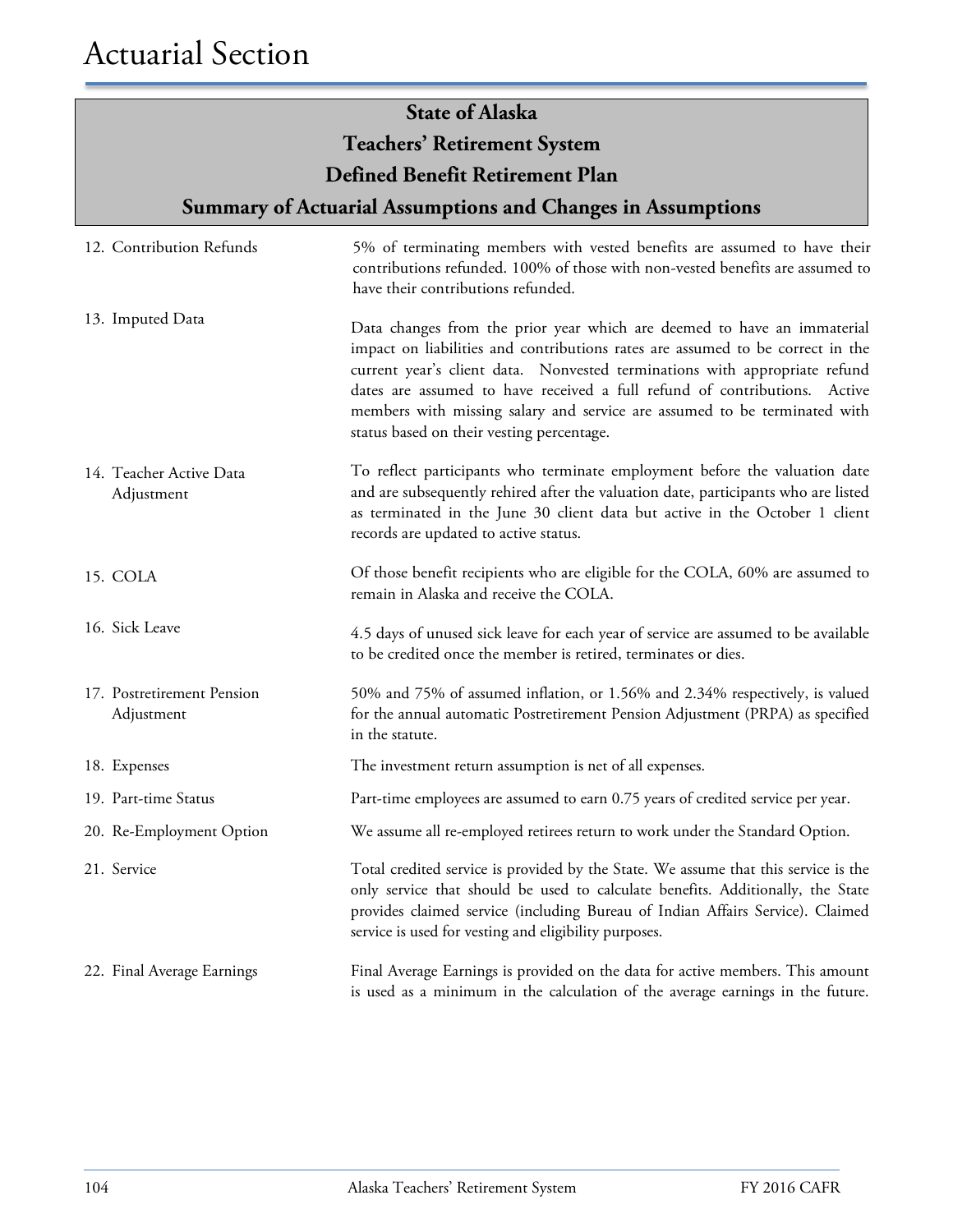| <b>State of Alaska</b>                   |                                                                                                                                                                                                                                                                                                                                                                                                                                                |  |  |  |
|------------------------------------------|------------------------------------------------------------------------------------------------------------------------------------------------------------------------------------------------------------------------------------------------------------------------------------------------------------------------------------------------------------------------------------------------------------------------------------------------|--|--|--|
|                                          | <b>Teachers' Retirement System</b>                                                                                                                                                                                                                                                                                                                                                                                                             |  |  |  |
|                                          | Defined Benefit Retirement Plan                                                                                                                                                                                                                                                                                                                                                                                                                |  |  |  |
|                                          | <b>Summary of Actuarial Assumptions and Changes in Assumptions</b>                                                                                                                                                                                                                                                                                                                                                                             |  |  |  |
| 12. Contribution Refunds                 | 5% of terminating members with vested benefits are assumed to have their<br>contributions refunded. 100% of those with non-vested benefits are assumed to<br>have their contributions refunded.                                                                                                                                                                                                                                                |  |  |  |
| 13. Imputed Data                         | Data changes from the prior year which are deemed to have an immaterial<br>impact on liabilities and contributions rates are assumed to be correct in the<br>current year's client data. Nonvested terminations with appropriate refund<br>dates are assumed to have received a full refund of contributions. Active<br>members with missing salary and service are assumed to be terminated with<br>status based on their vesting percentage. |  |  |  |
| 14. Teacher Active Data<br>Adjustment    | To reflect participants who terminate employment before the valuation date<br>and are subsequently rehired after the valuation date, participants who are listed<br>as terminated in the June 30 client data but active in the October 1 client<br>records are updated to active status.                                                                                                                                                       |  |  |  |
| 15. COLA                                 | Of those benefit recipients who are eligible for the COLA, 60% are assumed to<br>remain in Alaska and receive the COLA.                                                                                                                                                                                                                                                                                                                        |  |  |  |
| 16. Sick Leave                           | 4.5 days of unused sick leave for each year of service are assumed to be available<br>to be credited once the member is retired, terminates or dies.                                                                                                                                                                                                                                                                                           |  |  |  |
| 17. Postretirement Pension<br>Adjustment | 50% and 75% of assumed inflation, or 1.56% and 2.34% respectively, is valued<br>for the annual automatic Postretirement Pension Adjustment (PRPA) as specified<br>in the statute.                                                                                                                                                                                                                                                              |  |  |  |
| 18. Expenses                             | The investment return assumption is net of all expenses.                                                                                                                                                                                                                                                                                                                                                                                       |  |  |  |
| 19. Part-time Status                     | Part-time employees are assumed to earn 0.75 years of credited service per year.                                                                                                                                                                                                                                                                                                                                                               |  |  |  |
| 20. Re-Employment Option                 | We assume all re-employed retirees return to work under the Standard Option.                                                                                                                                                                                                                                                                                                                                                                   |  |  |  |
| 21. Service                              | Total credited service is provided by the State. We assume that this service is the<br>only service that should be used to calculate benefits. Additionally, the State<br>provides claimed service (including Bureau of Indian Affairs Service). Claimed<br>service is used for vesting and eligibility purposes.                                                                                                                              |  |  |  |
| 22. Final Average Earnings               | Final Average Earnings is provided on the data for active members. This amount<br>is used as a minimum in the calculation of the average earnings in the future.                                                                                                                                                                                                                                                                               |  |  |  |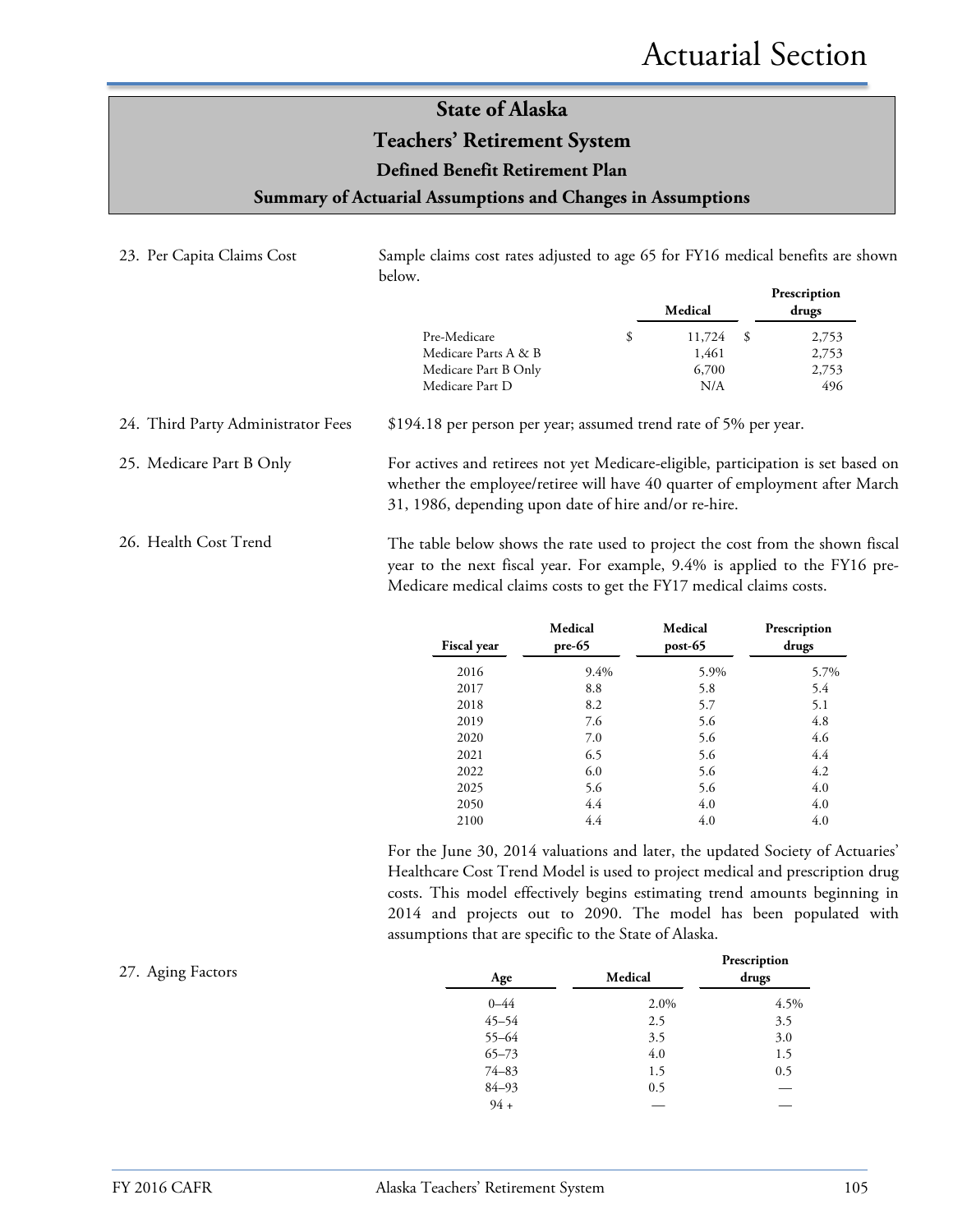### **State of Alaska Teachers' Retirement System**

#### **Defined Benefit Retirement Plan**

**Summary of Actuarial Assumptions and Changes in Assumptions**

| 23. Per Capita Claims Cost         | Sample claims cost rates adjusted to age 65 for FY16 medical benefits are shown<br>below.                                                                                                                                           |                                 |                                       |
|------------------------------------|-------------------------------------------------------------------------------------------------------------------------------------------------------------------------------------------------------------------------------------|---------------------------------|---------------------------------------|
|                                    |                                                                                                                                                                                                                                     | Medical                         | Prescription<br>drugs                 |
|                                    | \$<br>Pre-Medicare<br>Medicare Parts A & B<br>Medicare Part B Only<br>Medicare Part D                                                                                                                                               | 11,724<br>1,461<br>6,700<br>N/A | 2,753<br>-\$<br>2,753<br>2,753<br>496 |
| 24. Third Party Administrator Fees | \$194.18 per person per year; assumed trend rate of 5% per year.                                                                                                                                                                    |                                 |                                       |
| 25. Medicare Part B Only           | For actives and retirees not yet Medicare-eligible, participation is set based on<br>whether the employee/retiree will have 40 quarter of employment after March<br>31, 1986, depending upon date of hire and/or re-hire.           |                                 |                                       |
| 26. Health Cost Trend              | The table below shows the rate used to project the cost from the shown fiscal<br>year to the next fiscal year. For example, 9.4% is applied to the FY16 pre-<br>Medicare medical claims costs to get the FY17 medical claims costs. |                                 |                                       |

| <b>Fiscal</b> year | Medical<br>$pre-65$ | Medical<br>post-65 | Prescription<br>drugs |
|--------------------|---------------------|--------------------|-----------------------|
| 2016               | 9.4%                | 5.9%               | 5.7%                  |
| 2017               | 8.8                 | 5.8                | 5.4                   |
| 2018               | 8.2                 | 5.7                | 5.1                   |
| 2019               | 7.6                 | 5.6                | 4.8                   |
| 2020               | 7.0                 | 5.6                | 4.6                   |
| 2021               | 6.5                 | 5.6                | 4.4                   |
| 2022               | 6.0                 | 5.6                | 4.2                   |
| 2025               | 5.6                 | 5.6                | 4.0                   |
| 2050               | 4.4                 | 4.0                | 4.0                   |
| 2100               | 4.4                 | 4.0                | 4.0                   |

For the June 30, 2014 valuations and later, the updated Society of Actuaries' Healthcare Cost Trend Model is used to project medical and prescription drug costs. This model effectively begins estimating trend amounts beginning in 2014 and projects out to 2090. The model has been populated with assumptions that are specific to the State of Alaska.

| 27. Aging Factors | Age       | Medical | Prescription<br>drugs |
|-------------------|-----------|---------|-----------------------|
|                   | $0 - 44$  | 2.0%    | 4.5%                  |
|                   | $45 - 54$ | 2.5     | 3.5                   |
|                   | $55 - 64$ | 3.5     | 3.0                   |
|                   | $65 - 73$ | 4.0     | 1.5                   |
|                   | $74 - 83$ | 1.5     | 0.5                   |
|                   | $84 - 93$ | 0.5     |                       |
|                   | $94 +$    |         |                       |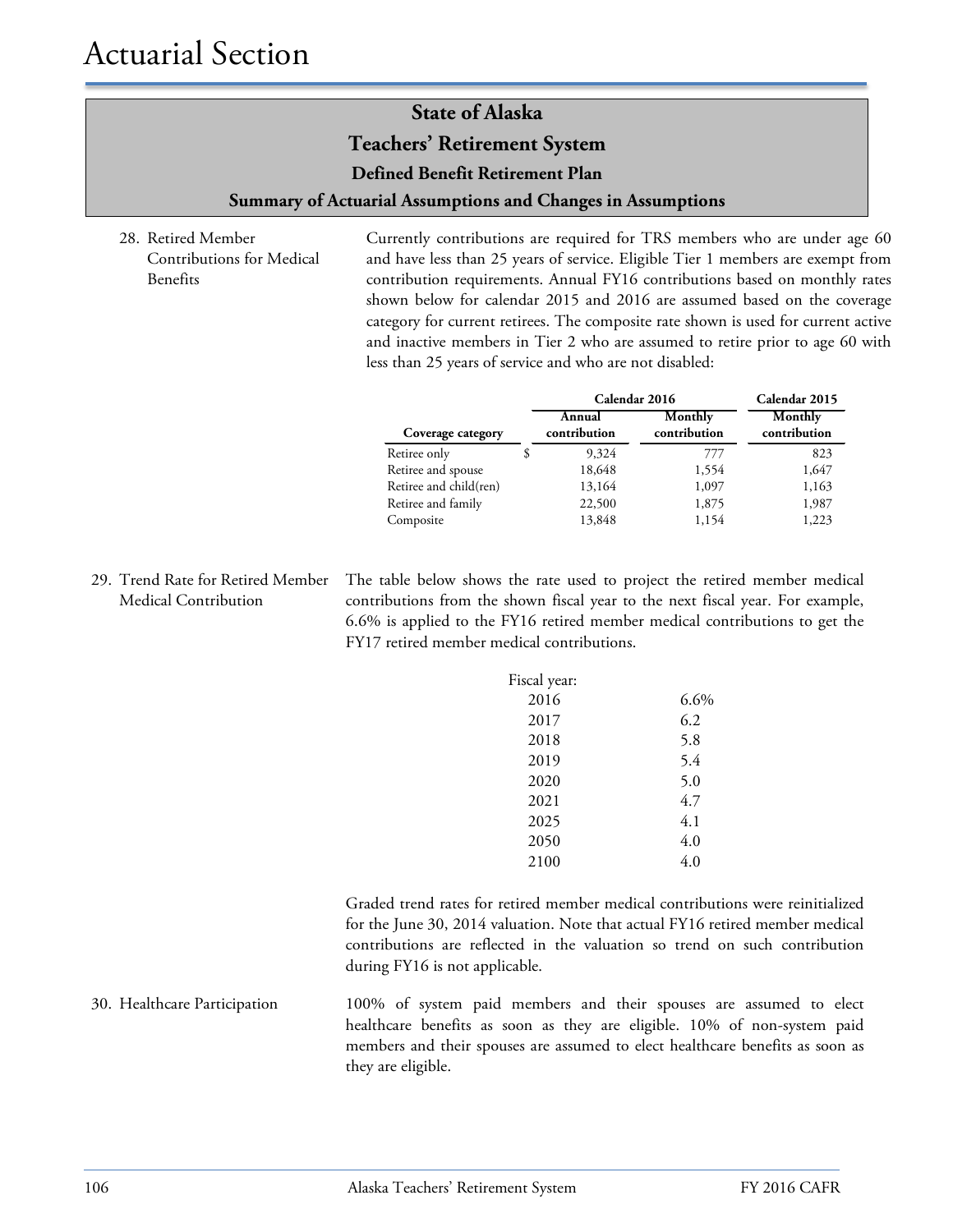**Teachers' Retirement System**

**Defined Benefit Retirement Plan**

**Summary of Actuarial Assumptions and Changes in Assumptions**

28. Retired Member Contributions for Medical Benefits

Currently contributions are required for TRS members who are under age 60 and have less than 25 years of service. Eligible Tier 1 members are exempt from contribution requirements. Annual FY16 contributions based on monthly rates shown below for calendar 2015 and 2016 are assumed based on the coverage category for current retirees. The composite rate shown is used for current active and inactive members in Tier 2 who are assumed to retire prior to age 60 with less than 25 years of service and who are not disabled:

|                        | Calendar 2016          | Calendar 2015           |                         |
|------------------------|------------------------|-------------------------|-------------------------|
| Coverage category      | Annual<br>contribution | Monthly<br>contribution | Monthly<br>contribution |
| Retiree only           | 9,324                  | 777                     | 823                     |
| Retiree and spouse     | 18,648                 | 1,554                   | 1,647                   |
| Retiree and child(ren) | 13,164                 | 1,097                   | 1,163                   |
| Retiree and family     | 22,500                 | 1,875                   | 1,987                   |
| Composite              | 13,848                 | 1,154                   | 1,223                   |

29. Trend Rate for Retired Member Medical Contribution

The table below shows the rate used to project the retired member medical contributions from the shown fiscal year to the next fiscal year. For example, 6.6% is applied to the FY16 retired member medical contributions to get the FY17 retired member medical contributions.

| Fiscal year: |         |
|--------------|---------|
| 2016         | $6.6\%$ |
| 2017         | 6.2     |
| 2018         | 5.8     |
| 2019         | 5.4     |
| 2020         | 5.0     |
| 2021         | 4.7     |
| 2025         | 4.1     |
| 2050         | 4.0     |
| 2100         | 4.0     |

Graded trend rates for retired member medical contributions were reinitialized for the June 30, 2014 valuation. Note that actual FY16 retired member medical contributions are reflected in the valuation so trend on such contribution during FY16 is not applicable.

30. Healthcare Participation 100% of system paid members and their spouses are assumed to elect healthcare benefits as soon as they are eligible. 10% of non-system paid members and their spouses are assumed to elect healthcare benefits as soon as they are eligible.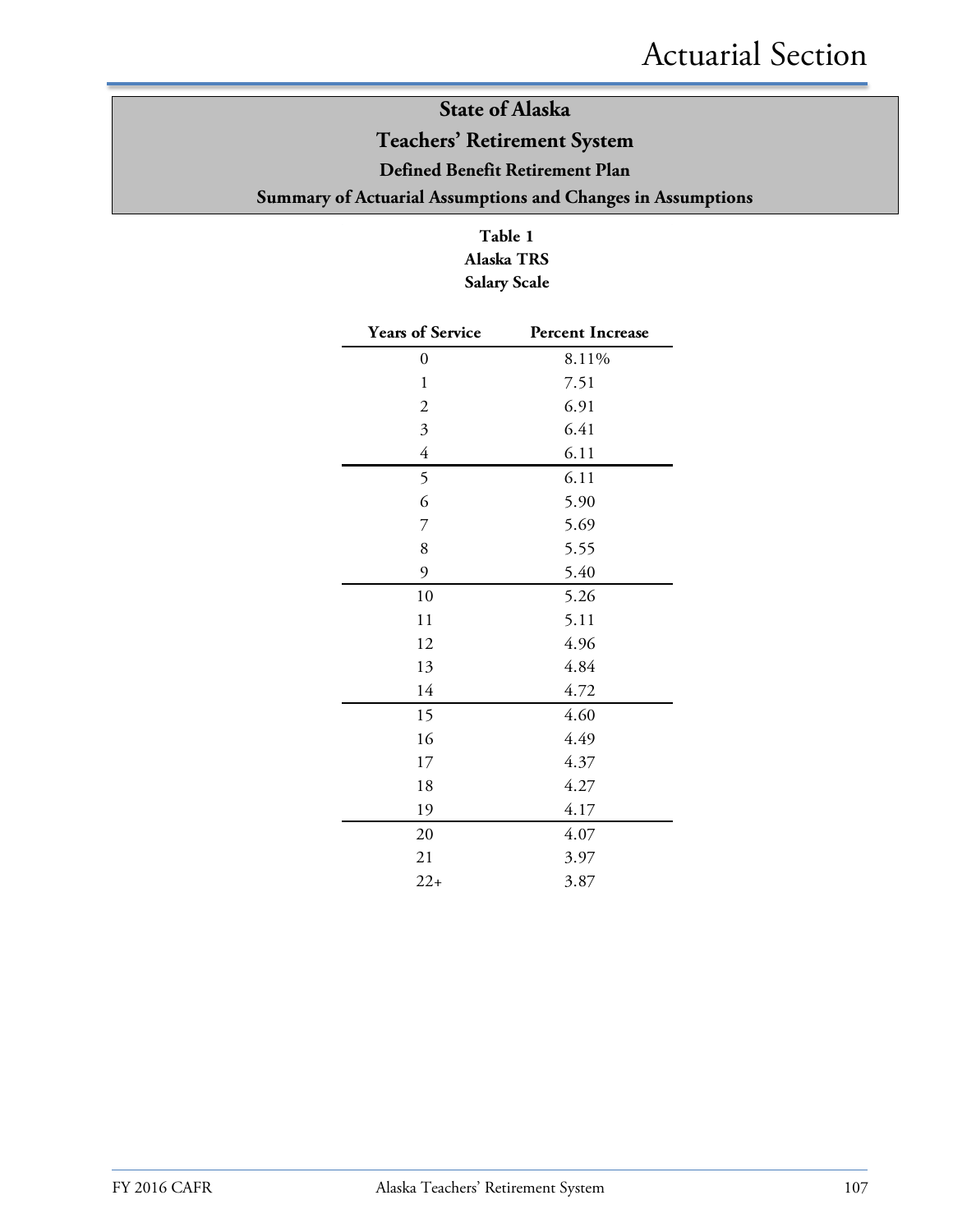### **State of Alaska Teachers' Retirement System Defined Benefit Retirement Plan Summary of Actuarial Assumptions and Changes in Assumptions**

**Table 1 Alaska TRS Salary Scale**

| <b>Years of Service</b>   | <b>Percent Increase</b> |
|---------------------------|-------------------------|
| $\boldsymbol{0}$          | 8.11%                   |
| $\mathbf{1}$              | 7.51                    |
| $\overline{c}$            | 6.91                    |
| $\overline{\mathfrak{Z}}$ | 6.41                    |
| $\overline{4}$            | 6.11                    |
| 5                         | 6.11                    |
| 6                         | 5.90                    |
| 7                         | 5.69                    |
| 8                         | 5.55                    |
| 9                         | 5.40                    |
| 10                        | 5.26                    |
| 11                        | 5.11                    |
| 12                        | 4.96                    |
| 13                        | 4.84                    |
| 14                        | 4.72                    |
| 15                        | 4.60                    |
| 16                        | 4.49                    |
| 17                        | 4.37                    |
| 18                        | 4.27                    |
| 19                        | 4.17                    |
| 20                        | 4.07                    |
| 21                        | 3.97                    |
| $22+$                     | 3.87                    |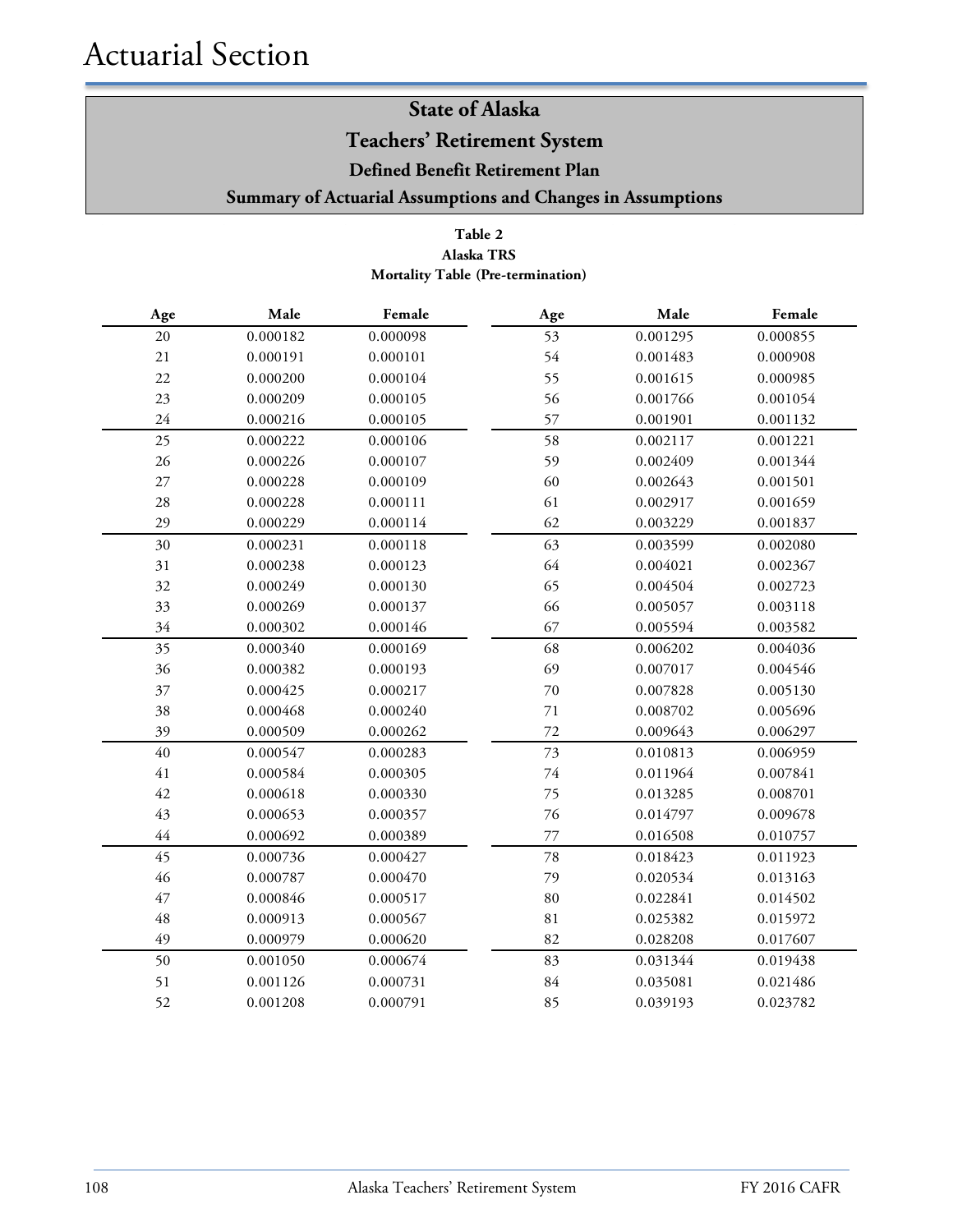**Teachers' Retirement System**

**Defined Benefit Retirement Plan**

**Summary of Actuarial Assumptions and Changes in Assumptions**

#### **Table 2 Mortality Table (Pre-termination) Alaska TRS**

| Age    | Male     | Female   | Age    | Male     | Female   |
|--------|----------|----------|--------|----------|----------|
| 20     | 0.000182 | 0.000098 | 53     | 0.001295 | 0.000855 |
| 21     | 0.000191 | 0.000101 | 54     | 0.001483 | 0.000908 |
| 22     | 0.000200 | 0.000104 | 55     | 0.001615 | 0.000985 |
| 23     | 0.000209 | 0.000105 | 56     | 0.001766 | 0.001054 |
| 24     | 0.000216 | 0.000105 | 57     | 0.001901 | 0.001132 |
| 25     | 0.000222 | 0.000106 | 58     | 0.002117 | 0.001221 |
| 26     | 0.000226 | 0.000107 | 59     | 0.002409 | 0.001344 |
| $27\,$ | 0.000228 | 0.000109 | 60     | 0.002643 | 0.001501 |
| $28\,$ | 0.000228 | 0.000111 | 61     | 0.002917 | 0.001659 |
| 29     | 0.000229 | 0.000114 | 62     | 0.003229 | 0.001837 |
| 30     | 0.000231 | 0.000118 | 63     | 0.003599 | 0.002080 |
| 31     | 0.000238 | 0.000123 | 64     | 0.004021 | 0.002367 |
| 32     | 0.000249 | 0.000130 | 65     | 0.004504 | 0.002723 |
| 33     | 0.000269 | 0.000137 | 66     | 0.005057 | 0.003118 |
| 34     | 0.000302 | 0.000146 | 67     | 0.005594 | 0.003582 |
| 35     | 0.000340 | 0.000169 | 68     | 0.006202 | 0.004036 |
| 36     | 0.000382 | 0.000193 | 69     | 0.007017 | 0.004546 |
| 37     | 0.000425 | 0.000217 | 70     | 0.007828 | 0.005130 |
| 38     | 0.000468 | 0.000240 | 71     | 0.008702 | 0.005696 |
| 39     | 0.000509 | 0.000262 | 72     | 0.009643 | 0.006297 |
| 40     | 0.000547 | 0.000283 | 73     | 0.010813 | 0.006959 |
| $41\,$ | 0.000584 | 0.000305 | $74\,$ | 0.011964 | 0.007841 |
| 42     | 0.000618 | 0.000330 | 75     | 0.013285 | 0.008701 |
| 43     | 0.000653 | 0.000357 | 76     | 0.014797 | 0.009678 |
| 44     | 0.000692 | 0.000389 | 77     | 0.016508 | 0.010757 |
| 45     | 0.000736 | 0.000427 | 78     | 0.018423 | 0.011923 |
| 46     | 0.000787 | 0.000470 | 79     | 0.020534 | 0.013163 |
| 47     | 0.000846 | 0.000517 | 80     | 0.022841 | 0.014502 |
| 48     | 0.000913 | 0.000567 | 81     | 0.025382 | 0.015972 |
| 49     | 0.000979 | 0.000620 | 82     | 0.028208 | 0.017607 |
| 50     | 0.001050 | 0.000674 | 83     | 0.031344 | 0.019438 |
| 51     | 0.001126 | 0.000731 | 84     | 0.035081 | 0.021486 |
| 52     | 0.001208 | 0.000791 | 85     | 0.039193 | 0.023782 |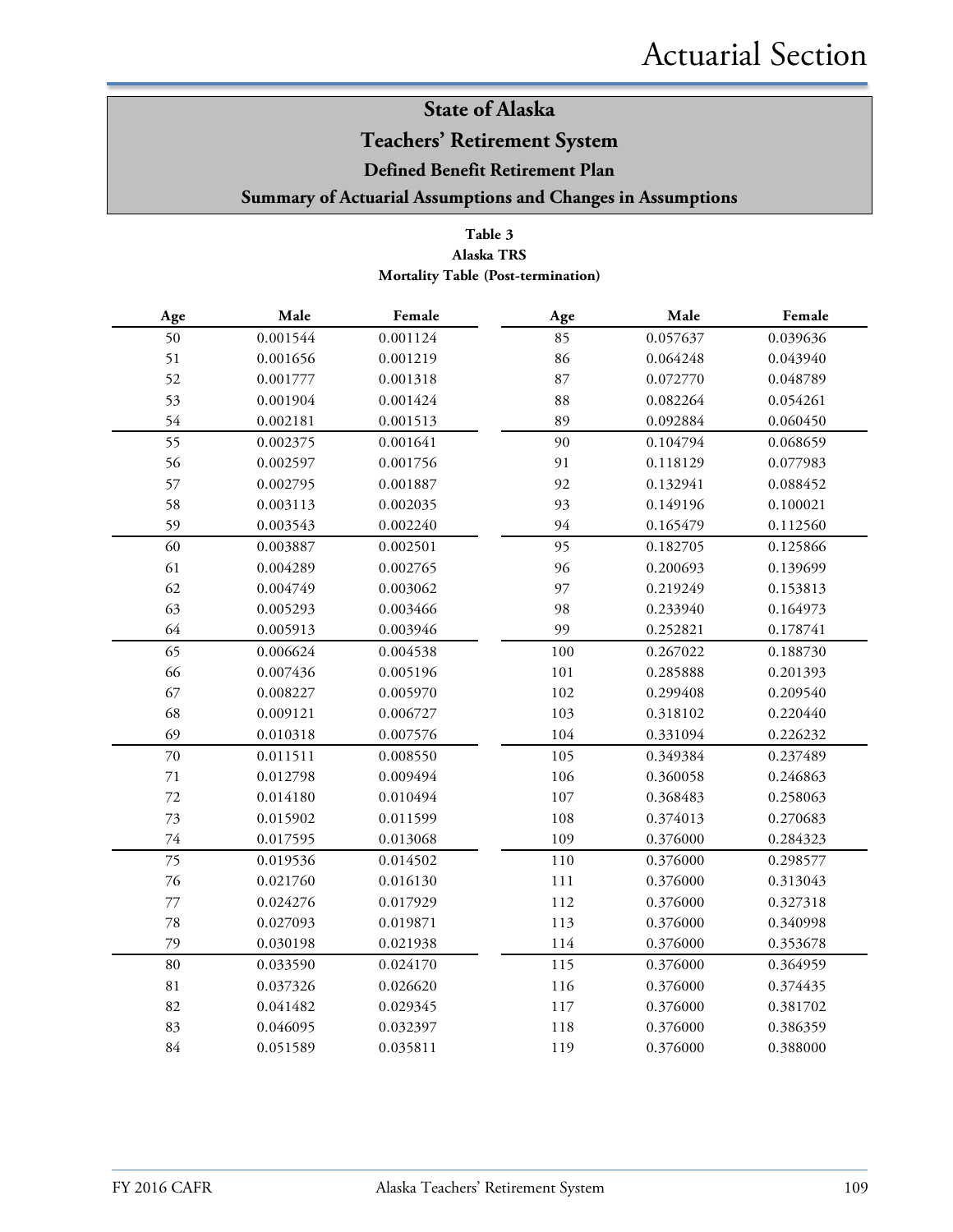### **Teachers' Retirement System**

**Defined Benefit Retirement Plan**

**Summary of Actuarial Assumptions and Changes in Assumptions**

#### **Table 3 Alaska TRS Mortality Table (Post-termination)**

| $\rm Age$ | Male     | Female   | Age | Male     | Female   |
|-----------|----------|----------|-----|----------|----------|
| 50        | 0.001544 | 0.001124 | 85  | 0.057637 | 0.039636 |
| 51        | 0.001656 | 0.001219 | 86  | 0.064248 | 0.043940 |
| 52        | 0.001777 | 0.001318 | 87  | 0.072770 | 0.048789 |
| 53        | 0.001904 | 0.001424 | 88  | 0.082264 | 0.054261 |
| 54        | 0.002181 | 0.001513 | 89  | 0.092884 | 0.060450 |
| 55        | 0.002375 | 0.001641 | 90  | 0.104794 | 0.068659 |
| 56        | 0.002597 | 0.001756 | 91  | 0.118129 | 0.077983 |
| 57        | 0.002795 | 0.001887 | 92  | 0.132941 | 0.088452 |
| 58        | 0.003113 | 0.002035 | 93  | 0.149196 | 0.100021 |
| 59        | 0.003543 | 0.002240 | 94  | 0.165479 | 0.112560 |
| 60        | 0.003887 | 0.002501 | 95  | 0.182705 | 0.125866 |
| 61        | 0.004289 | 0.002765 | 96  | 0.200693 | 0.139699 |
| 62        | 0.004749 | 0.003062 | 97  | 0.219249 | 0.153813 |
| 63        | 0.005293 | 0.003466 | 98  | 0.233940 | 0.164973 |
| 64        | 0.005913 | 0.003946 | 99  | 0.252821 | 0.178741 |
| 65        | 0.006624 | 0.004538 | 100 | 0.267022 | 0.188730 |
| 66        | 0.007436 | 0.005196 | 101 | 0.285888 | 0.201393 |
| 67        | 0.008227 | 0.005970 | 102 | 0.299408 | 0.209540 |
| 68        | 0.009121 | 0.006727 | 103 | 0.318102 | 0.220440 |
| 69        | 0.010318 | 0.007576 | 104 | 0.331094 | 0.226232 |
| 70        | 0.011511 | 0.008550 | 105 | 0.349384 | 0.237489 |
| $71\,$    | 0.012798 | 0.009494 | 106 | 0.360058 | 0.246863 |
| $72\,$    | 0.014180 | 0.010494 | 107 | 0.368483 | 0.258063 |
| 73        | 0.015902 | 0.011599 | 108 | 0.374013 | 0.270683 |
| $74\,$    | 0.017595 | 0.013068 | 109 | 0.376000 | 0.284323 |
| 75        | 0.019536 | 0.014502 | 110 | 0.376000 | 0.298577 |
| 76        | 0.021760 | 0.016130 | 111 | 0.376000 | 0.313043 |
| $77\,$    | 0.024276 | 0.017929 | 112 | 0.376000 | 0.327318 |
| 78        | 0.027093 | 0.019871 | 113 | 0.376000 | 0.340998 |
| 79        | 0.030198 | 0.021938 | 114 | 0.376000 | 0.353678 |
| 80        | 0.033590 | 0.024170 | 115 | 0.376000 | 0.364959 |
| 81        | 0.037326 | 0.026620 | 116 | 0.376000 | 0.374435 |
| 82        | 0.041482 | 0.029345 | 117 | 0.376000 | 0.381702 |
| 83        | 0.046095 | 0.032397 | 118 | 0.376000 | 0.386359 |
| 84        | 0.051589 | 0.035811 | 119 | 0.376000 | 0.388000 |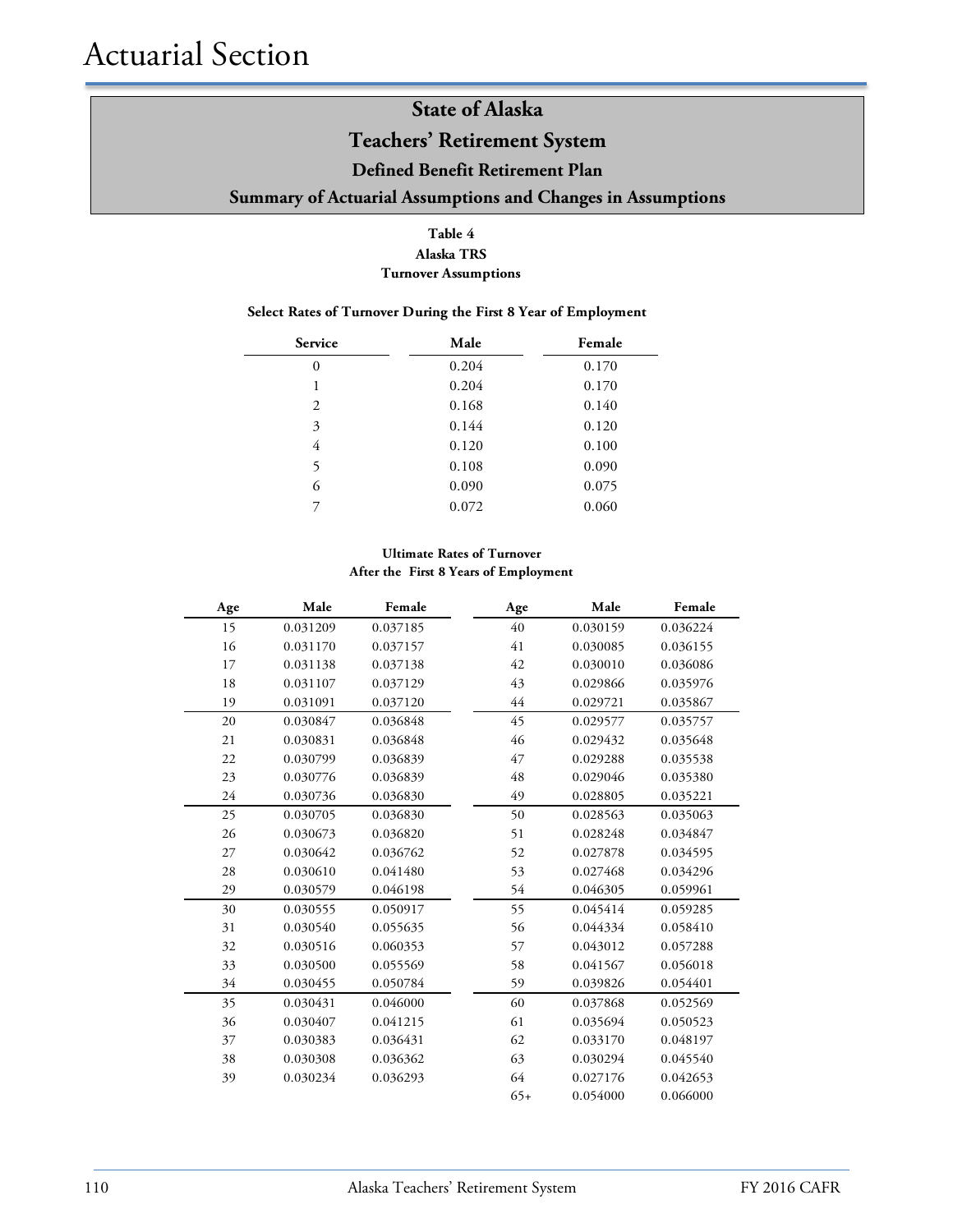### **Teachers' Retirement System**

#### **Defined Benefit Retirement Plan**

#### **Summary of Actuarial Assumptions and Changes in Assumptions**

#### **Table 4 Alaska TRS Turnover Assumptions**

#### **Select Rates of Turnover During the First 8 Year of Employment**

| Service  | Male  | Female |
|----------|-------|--------|
| $\theta$ | 0.204 | 0.170  |
| 1        | 0.204 | 0.170  |
| 2        | 0.168 | 0.140  |
| 3        | 0.144 | 0.120  |
| 4        | 0.120 | 0.100  |
| 5        | 0.108 | 0.090  |
| 6        | 0.090 | 0.075  |
| 7        | 0.072 | 0.060  |

#### **Ultimate Rates of Turnover After the First 8 Years of Employment**

| Age | Male     | Female   | Age   | Male     | Female   |
|-----|----------|----------|-------|----------|----------|
| 15  | 0.031209 | 0.037185 | 40    | 0.030159 | 0.036224 |
| 16  | 0.031170 | 0.037157 | 41    | 0.030085 | 0.036155 |
| 17  | 0.031138 | 0.037138 | 42    | 0.030010 | 0.036086 |
| 18  | 0.031107 | 0.037129 | 43    | 0.029866 | 0.035976 |
| 19  | 0.031091 | 0.037120 | 44    | 0.029721 | 0.035867 |
| 20  | 0.030847 | 0.036848 | 45    | 0.029577 | 0.035757 |
| 21  | 0.030831 | 0.036848 | 46    | 0.029432 | 0.035648 |
| 22  | 0.030799 | 0.036839 | 47    | 0.029288 | 0.035538 |
| 23  | 0.030776 | 0.036839 | 48    | 0.029046 | 0.035380 |
| 24  | 0.030736 | 0.036830 | 49    | 0.028805 | 0.035221 |
| 25  | 0.030705 | 0.036830 | 50    | 0.028563 | 0.035063 |
| 26  | 0.030673 | 0.036820 | 51    | 0.028248 | 0.034847 |
| 27  | 0.030642 | 0.036762 | 52    | 0.027878 | 0.034595 |
| 28  | 0.030610 | 0.041480 | 53    | 0.027468 | 0.034296 |
| 29  | 0.030579 | 0.046198 | 54    | 0.046305 | 0.059961 |
| 30  | 0.030555 | 0.050917 | 55    | 0.045414 | 0.059285 |
| 31  | 0.030540 | 0.055635 | 56    | 0.044334 | 0.058410 |
| 32  | 0.030516 | 0.060353 | 57    | 0.043012 | 0.057288 |
| 33  | 0.030500 | 0.055569 | 58    | 0.041567 | 0.056018 |
| 34  | 0.030455 | 0.050784 | 59    | 0.039826 | 0.054401 |
| 35  | 0.030431 | 0.046000 | 60    | 0.037868 | 0.052569 |
| 36  | 0.030407 | 0.041215 | 61    | 0.035694 | 0.050523 |
| 37  | 0.030383 | 0.036431 | 62    | 0.033170 | 0.048197 |
| 38  | 0.030308 | 0.036362 | 63    | 0.030294 | 0.045540 |
| 39  | 0.030234 | 0.036293 | 64    | 0.027176 | 0.042653 |
|     |          |          | $65+$ | 0.054000 | 0.066000 |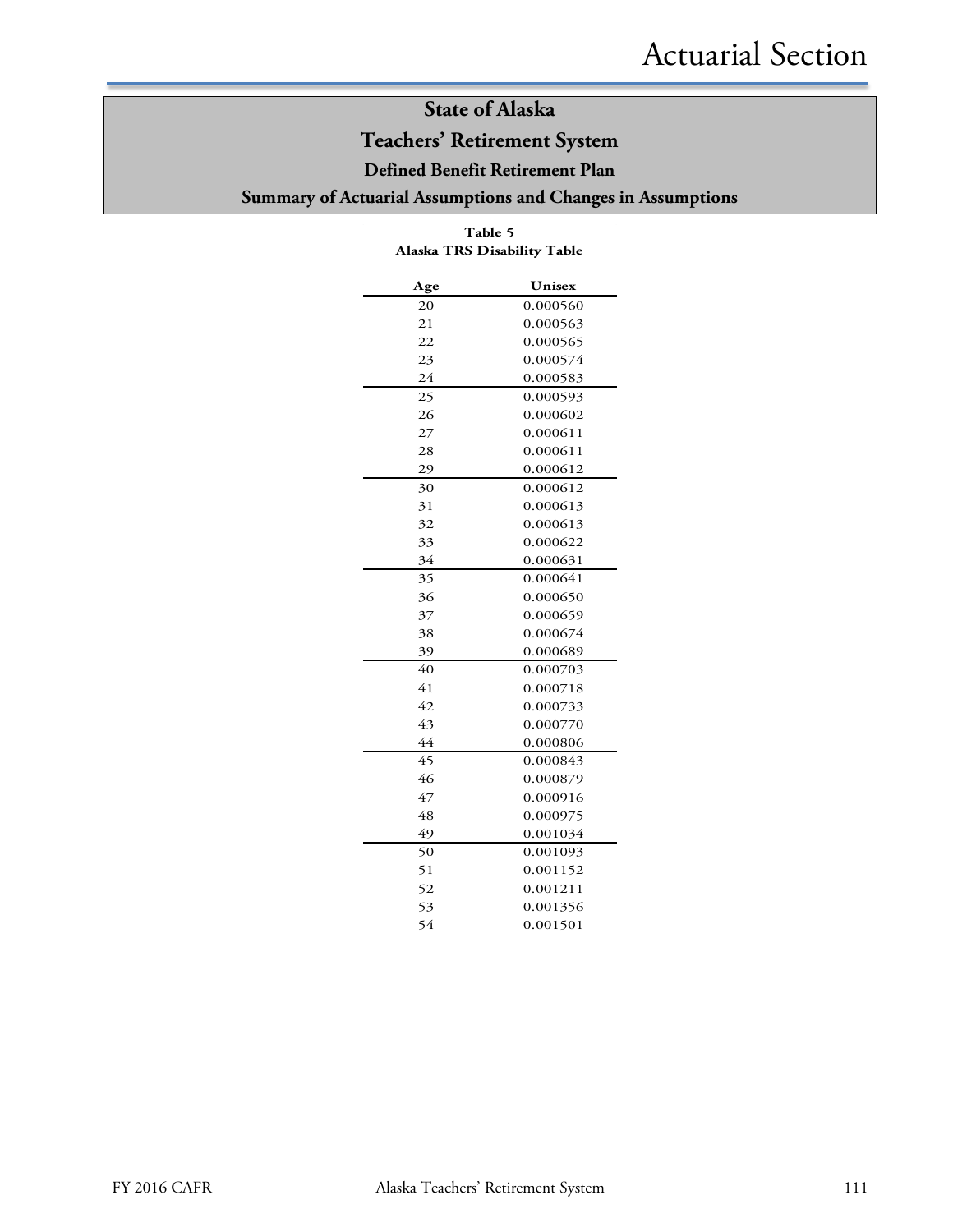### **Teachers' Retirement System**

#### **Defined Benefit Retirement Plan**

### **Summary of Actuarial Assumptions and Changes in Assumptions**

| Age | Unisex   |
|-----|----------|
| 20  | 0.000560 |
| 21  | 0.000563 |
| 22  | 0.000565 |
| 23  | 0.000574 |
| 24  | 0.000583 |
| 25  | 0.000593 |
| 26  | 0.000602 |
| 27  | 0.000611 |
| 28  | 0.000611 |
| 29  | 0.000612 |
| 30  | 0.000612 |
| 31  | 0.000613 |
| 32  | 0.000613 |
| 33  | 0.000622 |
| 34  | 0.000631 |
| 35  | 0.000641 |
| 36  | 0.000650 |
| 37  | 0.000659 |
| 38  | 0.000674 |
| 39  | 0.000689 |
| 40  | 0.000703 |
| 41  | 0.000718 |
| 42  | 0.000733 |
| 43  | 0.000770 |
| 44  | 0.000806 |
| 45  | 0.000843 |
| 46  | 0.000879 |
| 47  | 0.000916 |
| 48  | 0.000975 |
| 49  | 0.001034 |
| 50  | 0.001093 |
| 51  | 0.001152 |
| 52  | 0.001211 |
| 53  | 0.001356 |
| 54  | 0.001501 |

#### **Table 5 Alaska TRS Disability Table**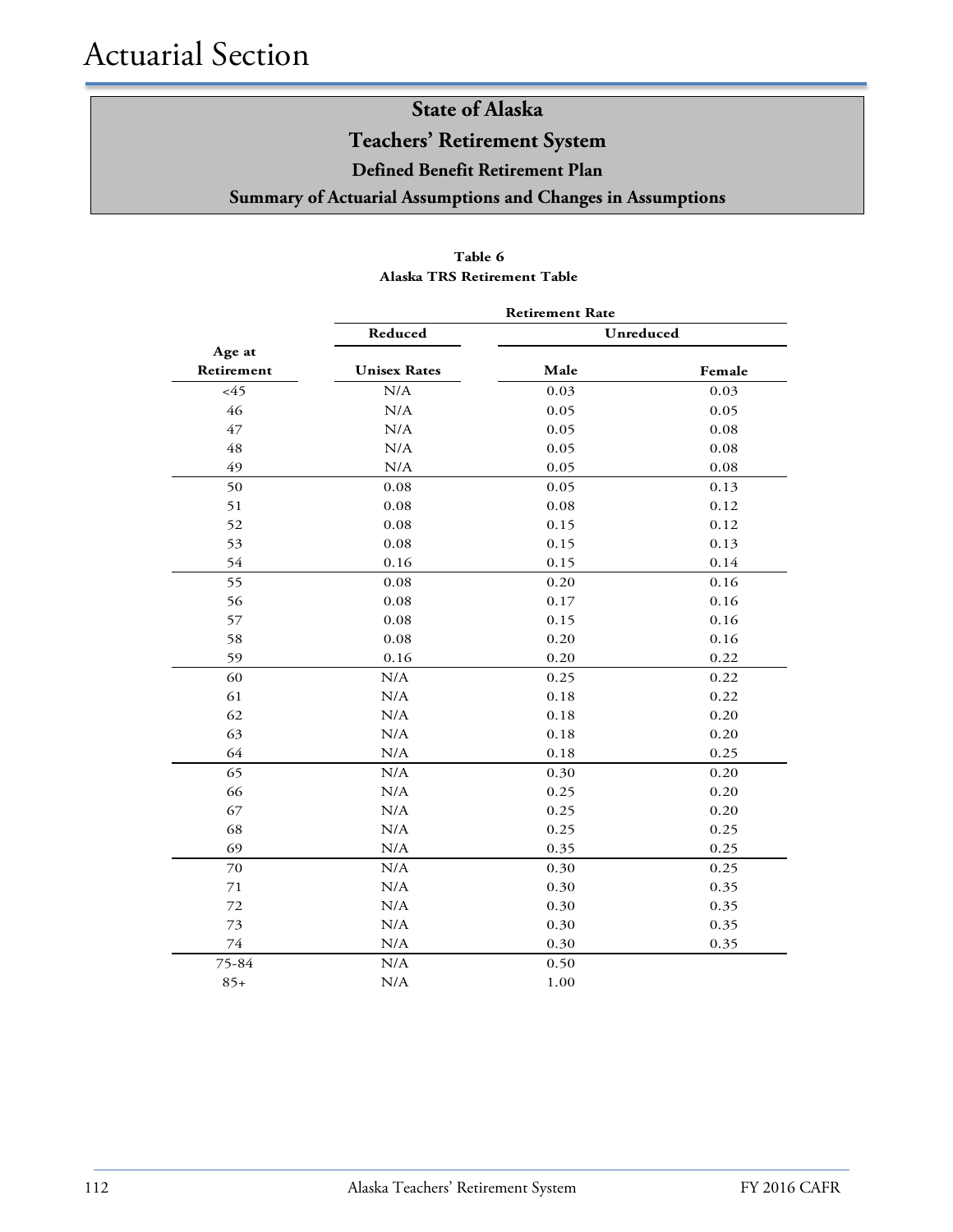**Teachers' Retirement System**

**Defined Benefit Retirement Plan**

**Summary of Actuarial Assumptions and Changes in Assumptions**

|            | <b>Retirement Rate</b> |      |           |  |  |
|------------|------------------------|------|-----------|--|--|
|            | Reduced                |      | Unreduced |  |  |
| Age at     |                        |      |           |  |  |
| Retirement | <b>Unisex Rates</b>    | Male | Female    |  |  |
| <45        | N/A                    | 0.03 | 0.03      |  |  |
| 46         | $\rm N/A$              | 0.05 | 0.05      |  |  |
| 47         | N/A                    | 0.05 | 0.08      |  |  |
| 48         | N/A                    | 0.05 | 0.08      |  |  |
| 49         | $\rm N/A$              | 0.05 | 0.08      |  |  |
| 50         | 0.08                   | 0.05 | 0.13      |  |  |
| 51         | 0.08                   | 0.08 | 0.12      |  |  |
| 52         | 0.08                   | 0.15 | 0.12      |  |  |
| 53         | 0.08                   | 0.15 | 0.13      |  |  |
| 54         | 0.16                   | 0.15 | 0.14      |  |  |
| 55         | 0.08                   | 0.20 | 0.16      |  |  |
| 56         | 0.08                   | 0.17 | 0.16      |  |  |
| 57         | 0.08                   | 0.15 | 0.16      |  |  |
| 58         | 0.08                   | 0.20 | 0.16      |  |  |
| 59         | 0.16                   | 0.20 | 0.22      |  |  |
| 60         | N/A                    | 0.25 | 0.22      |  |  |
| 61         | N/A                    | 0.18 | 0.22      |  |  |
| 62         | N/A                    | 0.18 | 0.20      |  |  |
| 63         | N/A                    | 0.18 | 0.20      |  |  |
| 64         | N/A                    | 0.18 | 0.25      |  |  |
| 65         | N/A                    | 0.30 | 0.20      |  |  |
| 66         | N/A                    | 0.25 | 0.20      |  |  |
| 67         | N/A                    | 0.25 | 0.20      |  |  |
| 68         | N/A                    | 0.25 | 0.25      |  |  |
| 69         | N/A                    | 0.35 | 0.25      |  |  |
| 70         | N/A                    | 0.30 | 0.25      |  |  |
| 71         | N/A                    | 0.30 | 0.35      |  |  |
| 72         | N/A                    | 0.30 | 0.35      |  |  |
| 73         | N/A                    | 0.30 | 0.35      |  |  |
| 74         | N/A                    | 0.30 | 0.35      |  |  |
| 75-84      | N/A                    | 0.50 |           |  |  |
| $85+$      | N/A                    | 1.00 |           |  |  |

#### **Table 6 Alaska TRS Retirement Table**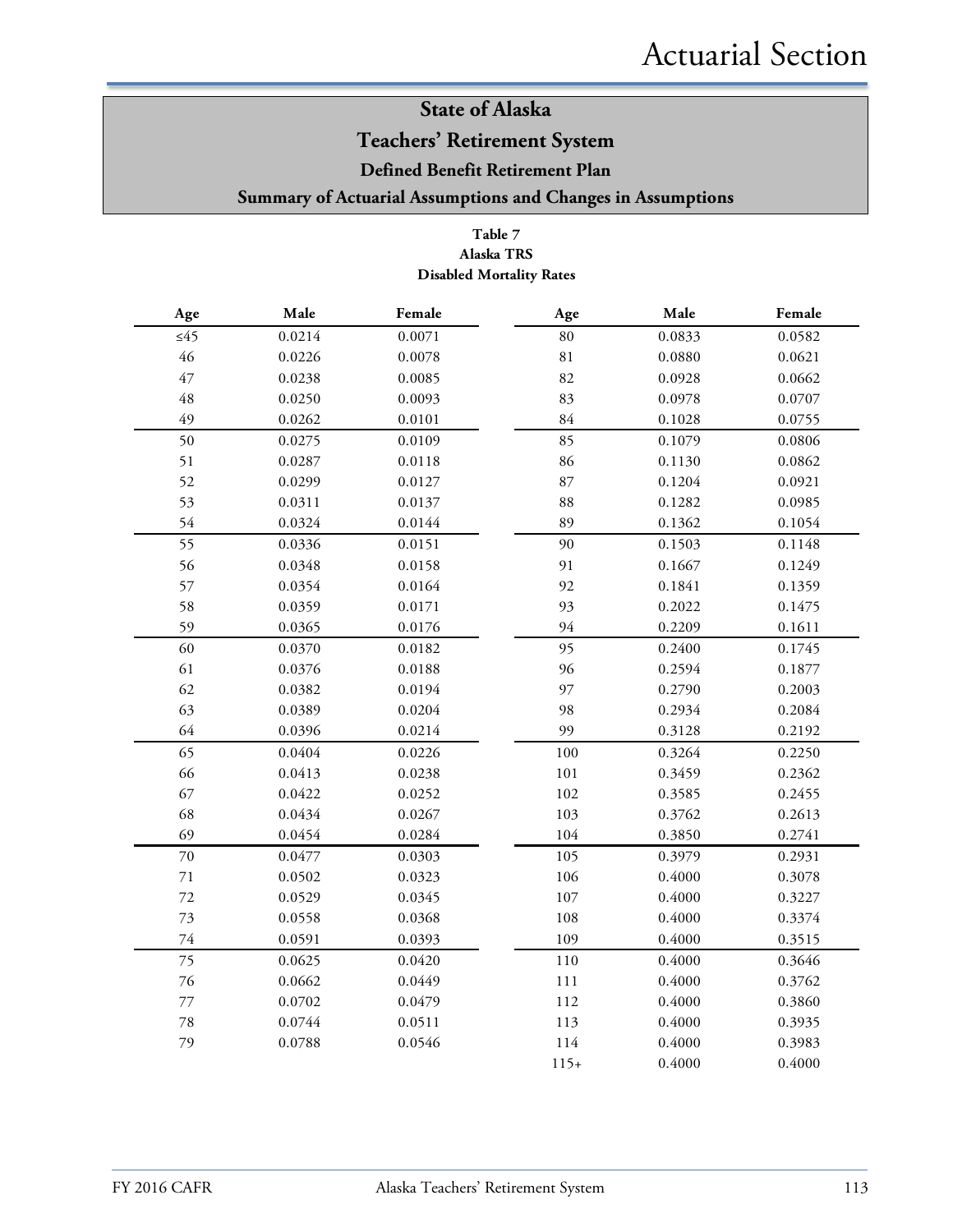### **Teachers' Retirement System**

#### **Defined Benefit Retirement Plan**

#### **Summary of Actuarial Assumptions and Changes in Assumptions**

#### **Table 7 Alaska TRS Disabled Mortality Rates**

| $\mathbf{Age}$ | Male   | Female | Age         | Male   | Female |
|----------------|--------|--------|-------------|--------|--------|
| $\leq 45$      | 0.0214 | 0.0071 | $80\,$      | 0.0833 | 0.0582 |
| $46\,$         | 0.0226 | 0.0078 | $8\sqrt{1}$ | 0.0880 | 0.0621 |
| 47             | 0.0238 | 0.0085 | 82          | 0.0928 | 0.0662 |
| 48             | 0.0250 | 0.0093 | 83          | 0.0978 | 0.0707 |
| 49             | 0.0262 | 0.0101 | 84          | 0.1028 | 0.0755 |
| 50             | 0.0275 | 0.0109 | 85          | 0.1079 | 0.0806 |
| 51             | 0.0287 | 0.0118 | 86          | 0.1130 | 0.0862 |
| 52             | 0.0299 | 0.0127 | 87          | 0.1204 | 0.0921 |
| 53             | 0.0311 | 0.0137 | 88          | 0.1282 | 0.0985 |
| 54             | 0.0324 | 0.0144 | 89          | 0.1362 | 0.1054 |
| 55             | 0.0336 | 0.0151 | 90          | 0.1503 | 0.1148 |
| 56             | 0.0348 | 0.0158 | 91          | 0.1667 | 0.1249 |
| 57             | 0.0354 | 0.0164 | 92          | 0.1841 | 0.1359 |
| 58             | 0.0359 | 0.0171 | 93          | 0.2022 | 0.1475 |
| 59             | 0.0365 | 0.0176 | 94          | 0.2209 | 0.1611 |
| 60             | 0.0370 | 0.0182 | 95          | 0.2400 | 0.1745 |
| 61             | 0.0376 | 0.0188 | 96          | 0.2594 | 0.1877 |
| 62             | 0.0382 | 0.0194 | 97          | 0.2790 | 0.2003 |
| 63             | 0.0389 | 0.0204 | 98          | 0.2934 | 0.2084 |
| 64             | 0.0396 | 0.0214 | 99          | 0.3128 | 0.2192 |
| 65             | 0.0404 | 0.0226 | 100         | 0.3264 | 0.2250 |
| 66             | 0.0413 | 0.0238 | 101         | 0.3459 | 0.2362 |
| 67             | 0.0422 | 0.0252 | 102         | 0.3585 | 0.2455 |
| 68             | 0.0434 | 0.0267 | 103         | 0.3762 | 0.2613 |
| 69             | 0.0454 | 0.0284 | 104         | 0.3850 | 0.2741 |
| $70\,$         | 0.0477 | 0.0303 | 105         | 0.3979 | 0.2931 |
| $71\,$         | 0.0502 | 0.0323 | 106         | 0.4000 | 0.3078 |
| 72             | 0.0529 | 0.0345 | 107         | 0.4000 | 0.3227 |
| $73\,$         | 0.0558 | 0.0368 | $108\,$     | 0.4000 | 0.3374 |
| $74\,$         | 0.0591 | 0.0393 | 109         | 0.4000 | 0.3515 |
| 75             | 0.0625 | 0.0420 | 110         | 0.4000 | 0.3646 |
| $76\,$         | 0.0662 | 0.0449 | 111         | 0.4000 | 0.3762 |
| $77 \,$        | 0.0702 | 0.0479 | 112         | 0.4000 | 0.3860 |
| 78             | 0.0744 | 0.0511 | 113         | 0.4000 | 0.3935 |
| 79             | 0.0788 | 0.0546 | 114         | 0.4000 | 0.3983 |
|                |        |        | $115+$      | 0.4000 | 0.4000 |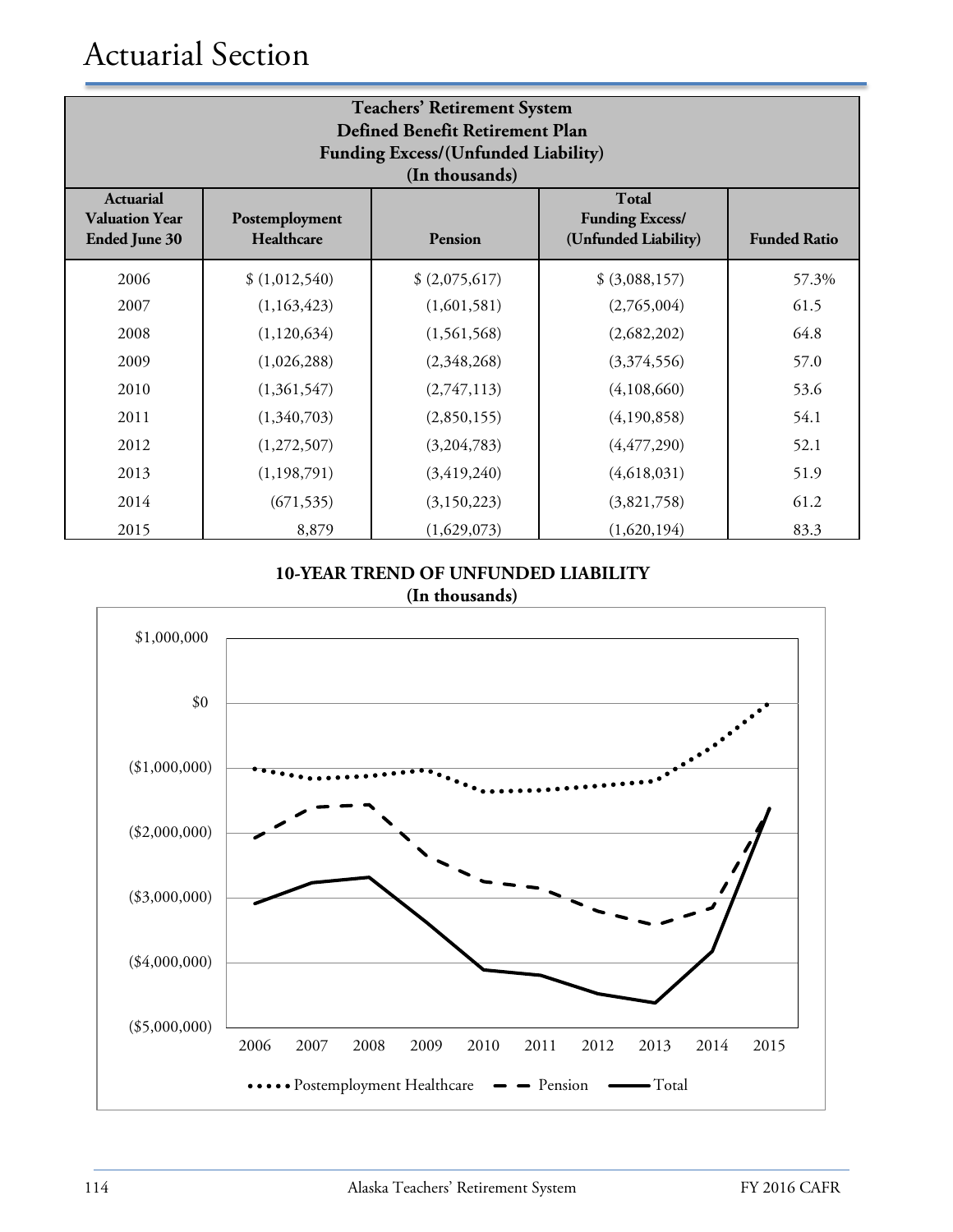# Actuarial Section

| <b>Teachers' Retirement System</b><br><b>Defined Benefit Retirement Plan</b><br><b>Funding Excess/(Unfunded Liability)</b><br>(In thousands)                                                          |               |                |                |       |  |  |  |
|-------------------------------------------------------------------------------------------------------------------------------------------------------------------------------------------------------|---------------|----------------|----------------|-------|--|--|--|
| <b>Total</b><br><b>Actuarial</b><br><b>Funding Excess/</b><br><b>Valuation Year</b><br>Postemployment<br>(Unfunded Liability)<br><b>Ended June 30</b><br>Healthcare<br><b>Funded Ratio</b><br>Pension |               |                |                |       |  |  |  |
| 2006                                                                                                                                                                                                  | \$(1,012,540) | \$ (2,075,617) | \$ (3,088,157) | 57.3% |  |  |  |
| 2007                                                                                                                                                                                                  | (1,163,423)   | (1,601,581)    | (2,765,004)    | 61.5  |  |  |  |
| 2008                                                                                                                                                                                                  | (1, 120, 634) | (1,561,568)    | (2,682,202)    | 64.8  |  |  |  |
| 2009                                                                                                                                                                                                  | (1,026,288)   | (2,348,268)    | (3,374,556)    | 57.0  |  |  |  |
| 2010                                                                                                                                                                                                  | (1,361,547)   | (2,747,113)    | (4,108,660)    | 53.6  |  |  |  |
| 2011                                                                                                                                                                                                  | (1,340,703)   | (2,850,155)    | (4,190,858)    | 54.1  |  |  |  |
| 2012                                                                                                                                                                                                  | (1,272,507)   | (3,204,783)    | (4, 477, 290)  | 52.1  |  |  |  |
| 2013                                                                                                                                                                                                  | (1, 198, 791) | (3, 419, 240)  | (4,618,031)    | 51.9  |  |  |  |
| 2014                                                                                                                                                                                                  | (671, 535)    | (3, 150, 223)  | (3,821,758)    | 61.2  |  |  |  |
| 2015                                                                                                                                                                                                  | 8,879         | (1,629,073)    | (1,620,194)    | 83.3  |  |  |  |

#### **10-YEAR TREND OF UNFUNDED LIABILITY (In thousands)**

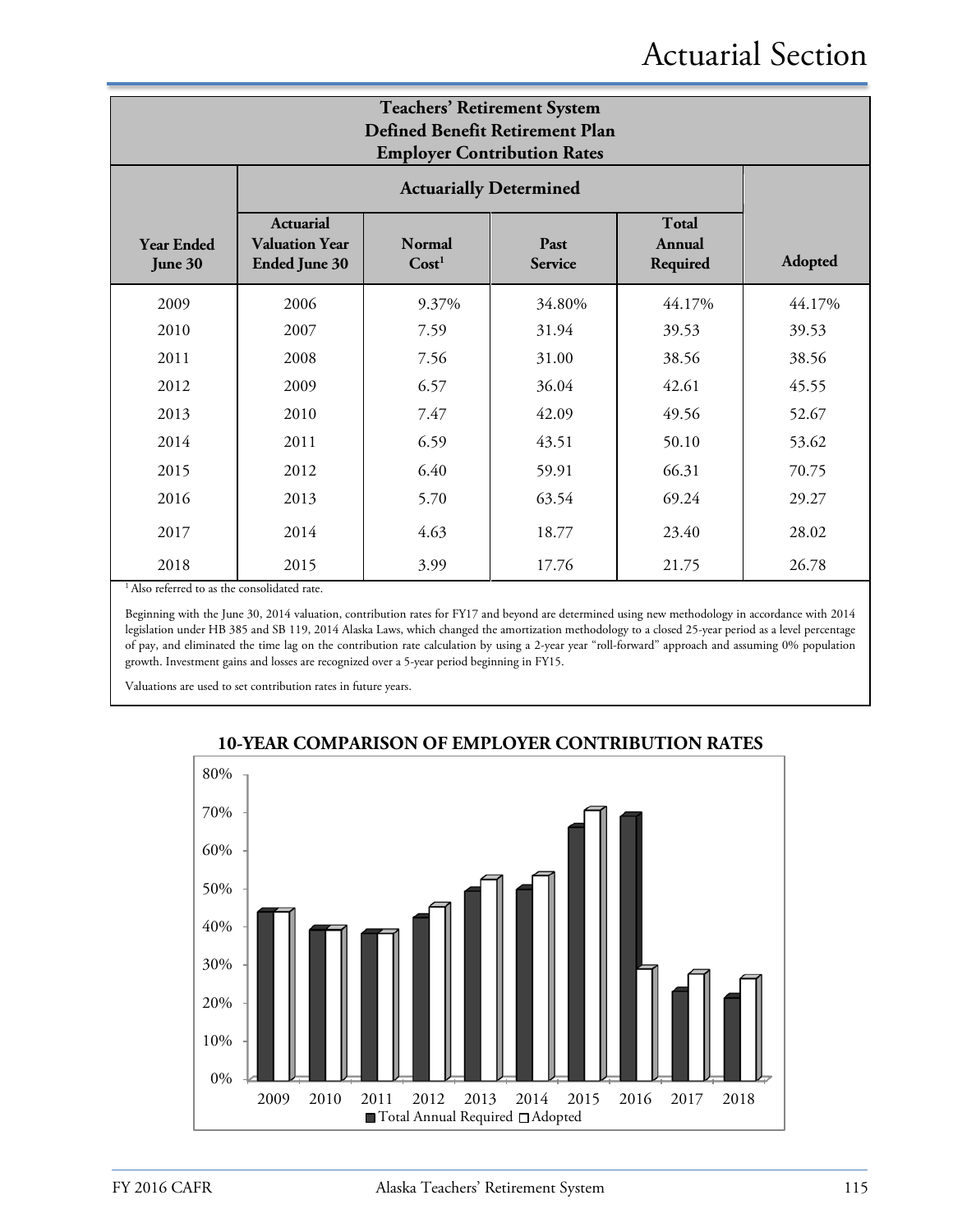| <b>Teachers' Retirement System</b><br>Defined Benefit Retirement Plan<br><b>Employer Contribution Rates</b> |                                                                   |                                                                                             |                               |        |        |  |  |
|-------------------------------------------------------------------------------------------------------------|-------------------------------------------------------------------|---------------------------------------------------------------------------------------------|-------------------------------|--------|--------|--|--|
|                                                                                                             |                                                                   |                                                                                             | <b>Actuarially Determined</b> |        |        |  |  |
| <b>Year Ended</b><br>June 30                                                                                | <b>Actuarial</b><br><b>Valuation Year</b><br><b>Ended June 30</b> | Total<br><b>Normal</b><br>Past<br>Annual<br>Cost <sup>1</sup><br>Required<br><b>Service</b> |                               |        |        |  |  |
| 2009                                                                                                        | 2006                                                              | 9.37%                                                                                       | 34.80%                        | 44.17% | 44.17% |  |  |
| 2010                                                                                                        | 2007                                                              | 7.59                                                                                        | 31.94                         | 39.53  | 39.53  |  |  |
| 2011                                                                                                        | 2008                                                              | 7.56                                                                                        | 31.00                         | 38.56  | 38.56  |  |  |
| 2012                                                                                                        | 2009                                                              | 6.57                                                                                        | 36.04                         | 42.61  | 45.55  |  |  |
| 2013                                                                                                        | 2010                                                              | 7.47                                                                                        | 42.09                         | 49.56  | 52.67  |  |  |
| 2014                                                                                                        | 2011                                                              | 6.59                                                                                        | 43.51                         | 50.10  | 53.62  |  |  |
| 2015                                                                                                        | 2012                                                              | 6.40                                                                                        | 59.91                         | 66.31  | 70.75  |  |  |
| 2016                                                                                                        | 2013                                                              | 5.70                                                                                        | 63.54                         | 69.24  | 29.27  |  |  |
| 2017                                                                                                        | 2014                                                              | 4.63                                                                                        | 18.77                         | 23.40  | 28.02  |  |  |
| 2018                                                                                                        | 2015                                                              | 3.99                                                                                        | 17.76                         | 21.75  | 26.78  |  |  |

<sup>1</sup> Also referred to as the consolidated rate.

Beginning with the June 30, 2014 valuation, contribution rates for FY17 and beyond are determined using new methodology in accordance with 2014 legislation under HB 385 and SB 119, 2014 Alaska Laws, which changed the amortization methodology to a closed 25-year period as a level percentage of pay, and eliminated the time lag on the contribution rate calculation by using a 2-year year "roll-forward" approach and assuming 0% population growth. Investment gains and losses are recognized over a 5-year period beginning in FY15.

Valuations are used to set contribution rates in future years.



#### **10-YEAR COMPARISON OF EMPLOYER CONTRIBUTION RATES**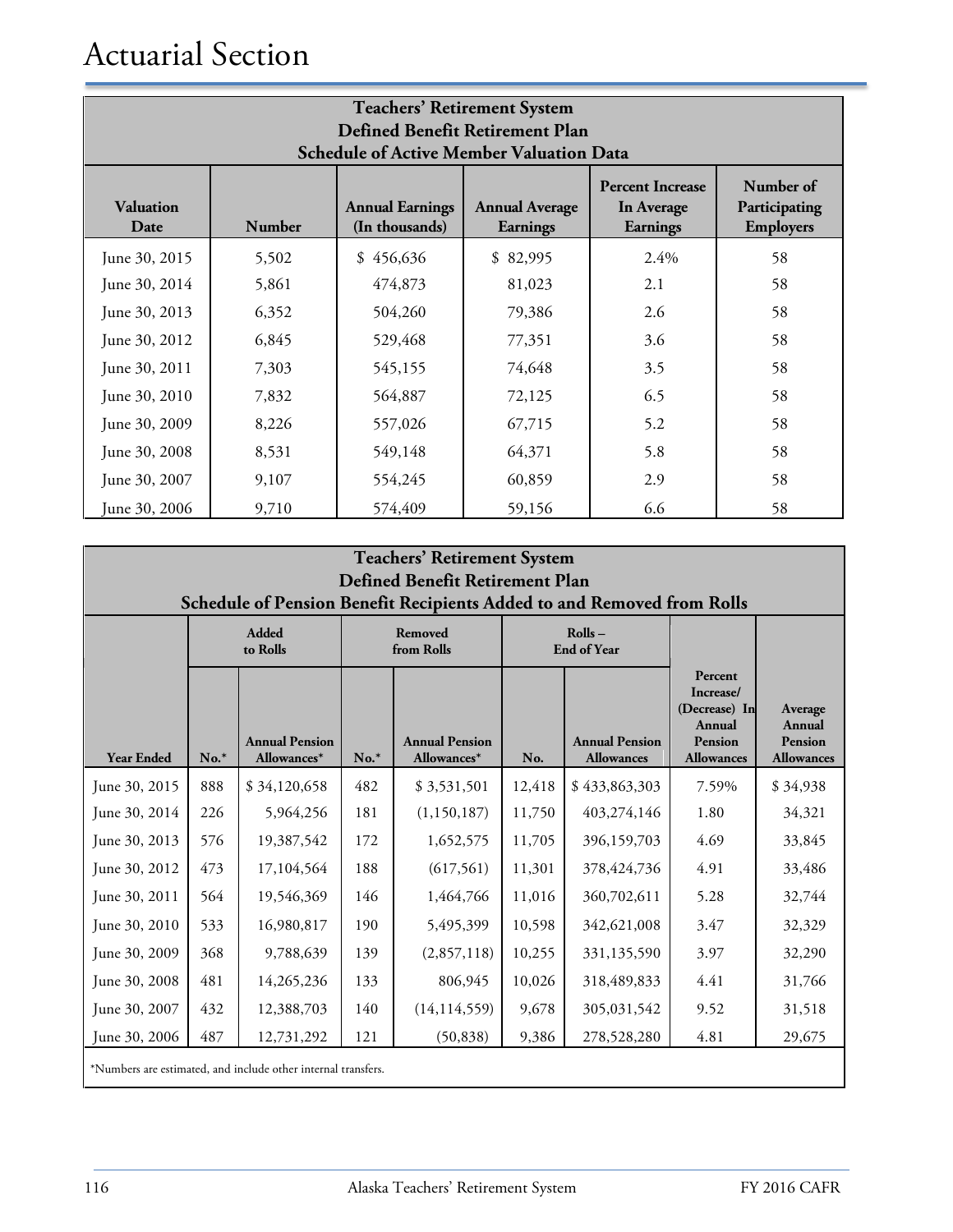# Actuarial Section

| <b>Teachers' Retirement System</b><br>Defined Benefit Retirement Plan<br><b>Schedule of Active Member Valuation Data</b> |                                                                                                                                                                                                              |           |          |      |    |  |  |
|--------------------------------------------------------------------------------------------------------------------------|--------------------------------------------------------------------------------------------------------------------------------------------------------------------------------------------------------------|-----------|----------|------|----|--|--|
| <b>Valuation</b><br>Date                                                                                                 | Number of<br><b>Percent Increase</b><br><b>Annual Earnings</b><br><b>Annual Average</b><br>Participating<br>In Average<br>(In thousands)<br><b>Employers</b><br>Number<br><b>Earnings</b><br><b>Earnings</b> |           |          |      |    |  |  |
| June 30, 2015                                                                                                            | 5,502                                                                                                                                                                                                        | \$456,636 | \$82,995 | 2.4% | 58 |  |  |
| June 30, 2014                                                                                                            | 5,861                                                                                                                                                                                                        | 474,873   | 81,023   | 2.1  | 58 |  |  |
| June 30, 2013                                                                                                            | 6,352                                                                                                                                                                                                        | 504,260   | 79,386   | 2.6  | 58 |  |  |
| June 30, 2012                                                                                                            | 6,845                                                                                                                                                                                                        | 529,468   | 77,351   | 3.6  | 58 |  |  |
| June 30, 2011                                                                                                            | 7,303                                                                                                                                                                                                        | 545,155   | 74,648   | 3.5  | 58 |  |  |
| June 30, 2010                                                                                                            | 7,832                                                                                                                                                                                                        | 564,887   | 72,125   | 6.5  | 58 |  |  |
| June 30, 2009                                                                                                            | 8,226                                                                                                                                                                                                        | 557,026   | 67,715   | 5.2  | 58 |  |  |
| June 30, 2008                                                                                                            | 8,531                                                                                                                                                                                                        | 549,148   | 64,371   | 5.8  | 58 |  |  |
| June 30, 2007                                                                                                            | 9,107                                                                                                                                                                                                        | 554,245   | 60,859   | 2.9  | 58 |  |  |
| June 30, 2006                                                                                                            | 9,710                                                                                                                                                                                                        | 574,409   | 59,156   | 6.6  | 58 |  |  |

| <b>Teachers' Retirement System</b><br>Defined Benefit Retirement Plan<br>Schedule of Pension Benefit Recipients Added to and Removed from Rolls |        |                                                               |                       |                                      |                              |                                            |                                                                                        |                                                          |  |
|-------------------------------------------------------------------------------------------------------------------------------------------------|--------|---------------------------------------------------------------|-----------------------|--------------------------------------|------------------------------|--------------------------------------------|----------------------------------------------------------------------------------------|----------------------------------------------------------|--|
|                                                                                                                                                 |        | <b>Added</b><br>to Rolls                                      | Removed<br>from Rolls |                                      | Rolls-<br><b>End of Year</b> |                                            |                                                                                        |                                                          |  |
| <b>Year Ended</b>                                                                                                                               | $No.*$ | <b>Annual Pension</b><br>Allowances*                          | $No.*$                | <b>Annual Pension</b><br>Allowances* | No.                          | <b>Annual Pension</b><br><b>Allowances</b> | Percent<br>Increase/<br>(Decrease) In<br><b>Annual</b><br>Pension<br><b>Allowances</b> | Average<br><b>Annual</b><br>Pension<br><b>Allowances</b> |  |
| June 30, 2015                                                                                                                                   | 888    | \$34,120,658                                                  | 482                   | \$3,531,501                          | 12,418                       | \$433,863,303                              | 7.59%                                                                                  | \$34,938                                                 |  |
| June 30, 2014                                                                                                                                   | 226    | 5,964,256                                                     | 181                   | (1,150,187)                          | 11,750                       | 403,274,146                                | 1.80                                                                                   | 34,321                                                   |  |
| June 30, 2013                                                                                                                                   | 576    | 19,387,542                                                    | 172                   | 1,652,575                            | 11,705                       | 396,159,703                                | 4.69                                                                                   | 33,845                                                   |  |
| June 30, 2012                                                                                                                                   | 473    | 17,104,564                                                    | 188                   | (617,561)                            | 11,301                       | 378, 424, 736                              | 4.91                                                                                   | 33,486                                                   |  |
| June 30, 2011                                                                                                                                   | 564    | 19,546,369                                                    | 146                   | 1,464,766                            | 11,016                       | 360,702,611                                | 5.28                                                                                   | 32,744                                                   |  |
| June 30, 2010                                                                                                                                   | 533    | 16,980,817                                                    | 190                   | 5,495,399                            | 10,598                       | 342,621,008                                | 3.47                                                                                   | 32,329                                                   |  |
| June 30, 2009                                                                                                                                   | 368    | 9,788,639                                                     | 139                   | (2,857,118)                          | 10,255                       | 331,135,590                                | 3.97                                                                                   | 32,290                                                   |  |
| June 30, 2008                                                                                                                                   | 481    | 14,265,236                                                    | 133                   | 806,945                              | 10,026                       | 318,489,833                                | 4.41                                                                                   | 31,766                                                   |  |
| June 30, 2007                                                                                                                                   | 432    | 12,388,703                                                    | 140                   | (14, 114, 559)                       | 9,678                        | 305,031,542                                | 9.52                                                                                   | 31,518                                                   |  |
| June 30, 2006                                                                                                                                   | 487    | 12,731,292                                                    | 121                   | (50, 838)                            | 9,386                        | 278,528,280                                | 4.81                                                                                   | 29,675                                                   |  |
|                                                                                                                                                 |        | *Numbers are estimated, and include other internal transfers. |                       |                                      |                              |                                            |                                                                                        |                                                          |  |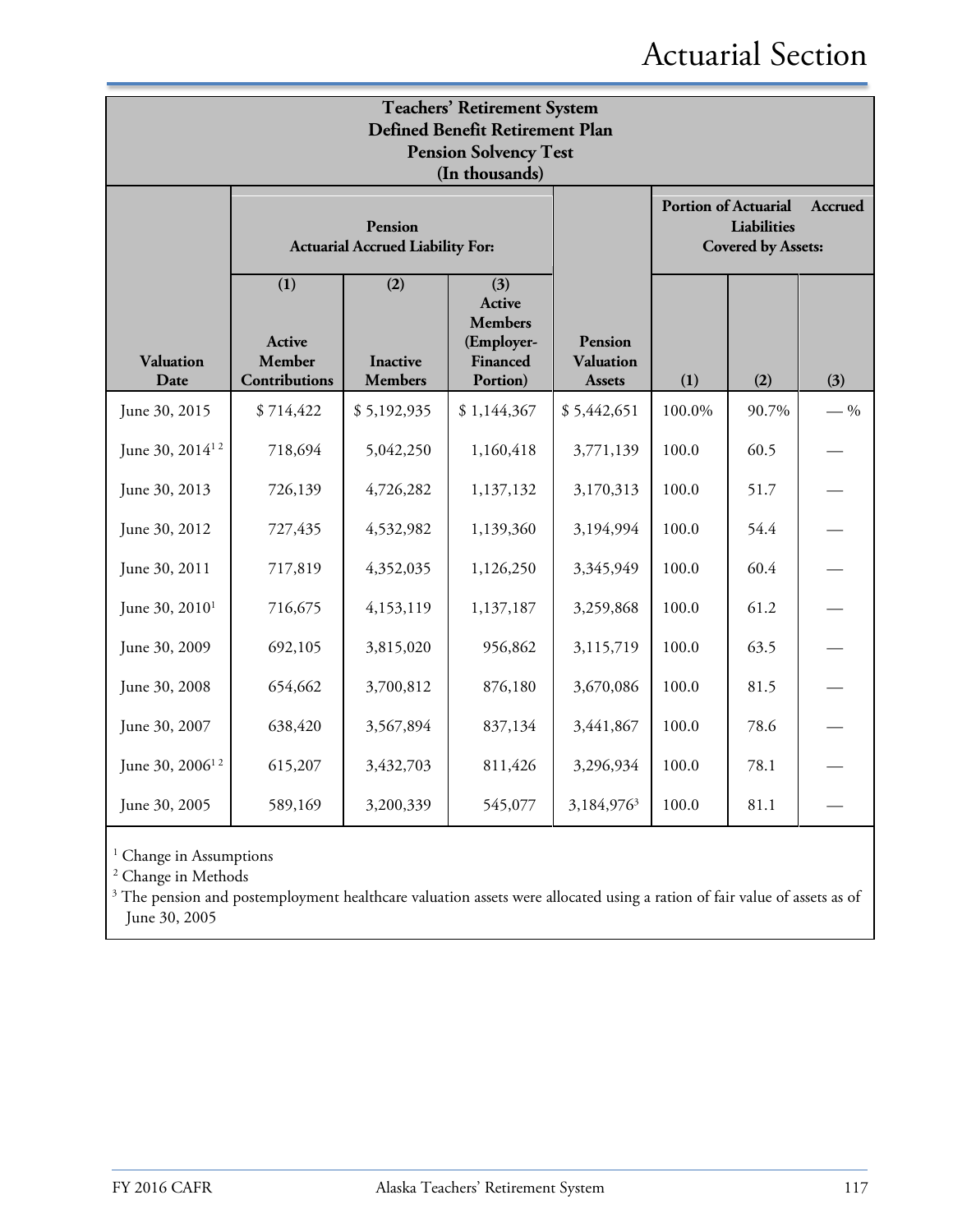# Actuarial Section

| <b>Teachers' Retirement System</b><br>Defined Benefit Retirement Plan<br><b>Pension Solvency Test</b><br>(In thousands) |                                          |                                                    |                                                                              |                                              |                                                                                    |       |       |  |
|-------------------------------------------------------------------------------------------------------------------------|------------------------------------------|----------------------------------------------------|------------------------------------------------------------------------------|----------------------------------------------|------------------------------------------------------------------------------------|-------|-------|--|
|                                                                                                                         |                                          | Pension<br><b>Actuarial Accrued Liability For:</b> |                                                                              |                                              | <b>Portion of Actuarial</b><br>Accrued<br>Liabilities<br><b>Covered by Assets:</b> |       |       |  |
| <b>Valuation</b><br>Date                                                                                                | (1)<br>Active<br>Member<br>Contributions | (2)<br><b>Inactive</b><br><b>Members</b>           | (3)<br>Active<br><b>Members</b><br>(Employer-<br><b>Financed</b><br>Portion) | Pension<br><b>Valuation</b><br><b>Assets</b> | (1)                                                                                | (2)   | (3)   |  |
| June 30, 2015                                                                                                           | \$714,422                                | \$5,192,935                                        | \$1,144,367                                                                  | \$5,442,651                                  | 100.0%                                                                             | 90.7% | $-$ % |  |
| June 30, 2014 <sup>12</sup>                                                                                             | 718,694                                  | 5,042,250                                          | 1,160,418                                                                    | 3,771,139                                    | 100.0                                                                              | 60.5  |       |  |
| June 30, 2013                                                                                                           | 726,139                                  | 4,726,282                                          | 1,137,132                                                                    | 3,170,313                                    | 100.0                                                                              | 51.7  |       |  |
| June 30, 2012                                                                                                           | 727,435                                  | 4,532,982                                          | 1,139,360                                                                    | 3,194,994                                    | 100.0                                                                              | 54.4  |       |  |
| June 30, 2011                                                                                                           | 717,819                                  | 4,352,035                                          | 1,126,250                                                                    | 3,345,949                                    | 100.0                                                                              | 60.4  |       |  |
| June 30, 2010 <sup>1</sup>                                                                                              | 716,675                                  | 4,153,119                                          | 1,137,187                                                                    | 3,259,868                                    | 100.0                                                                              | 61.2  |       |  |
| June 30, 2009                                                                                                           | 692,105                                  | 3,815,020                                          | 956,862                                                                      | 3,115,719                                    | 100.0                                                                              | 63.5  |       |  |
| June 30, 2008                                                                                                           | 654,662                                  | 3,700,812                                          | 876,180                                                                      | 3,670,086                                    | 100.0                                                                              | 81.5  |       |  |
| June 30, 2007                                                                                                           | 638,420                                  | 3,567,894                                          | 837,134                                                                      | 3,441,867                                    | 100.0                                                                              | 78.6  |       |  |
| June 30, 2006 <sup>12</sup>                                                                                             | 615,207                                  | 3,432,703                                          | 811,426                                                                      | 3,296,934                                    | 100.0                                                                              | 78.1  |       |  |
| June 30, 2005                                                                                                           | 589,169                                  | 3,200,339                                          | 545,077                                                                      | 3,184,976 <sup>3</sup>                       | 100.0                                                                              | 81.1  |       |  |

 $^{\rm 1}$  Change in Assumptions

<sup>2</sup> Change in Methods

<sup>3</sup> The pension and postemployment healthcare valuation assets were allocated using a ration of fair value of assets as of June 30, 2005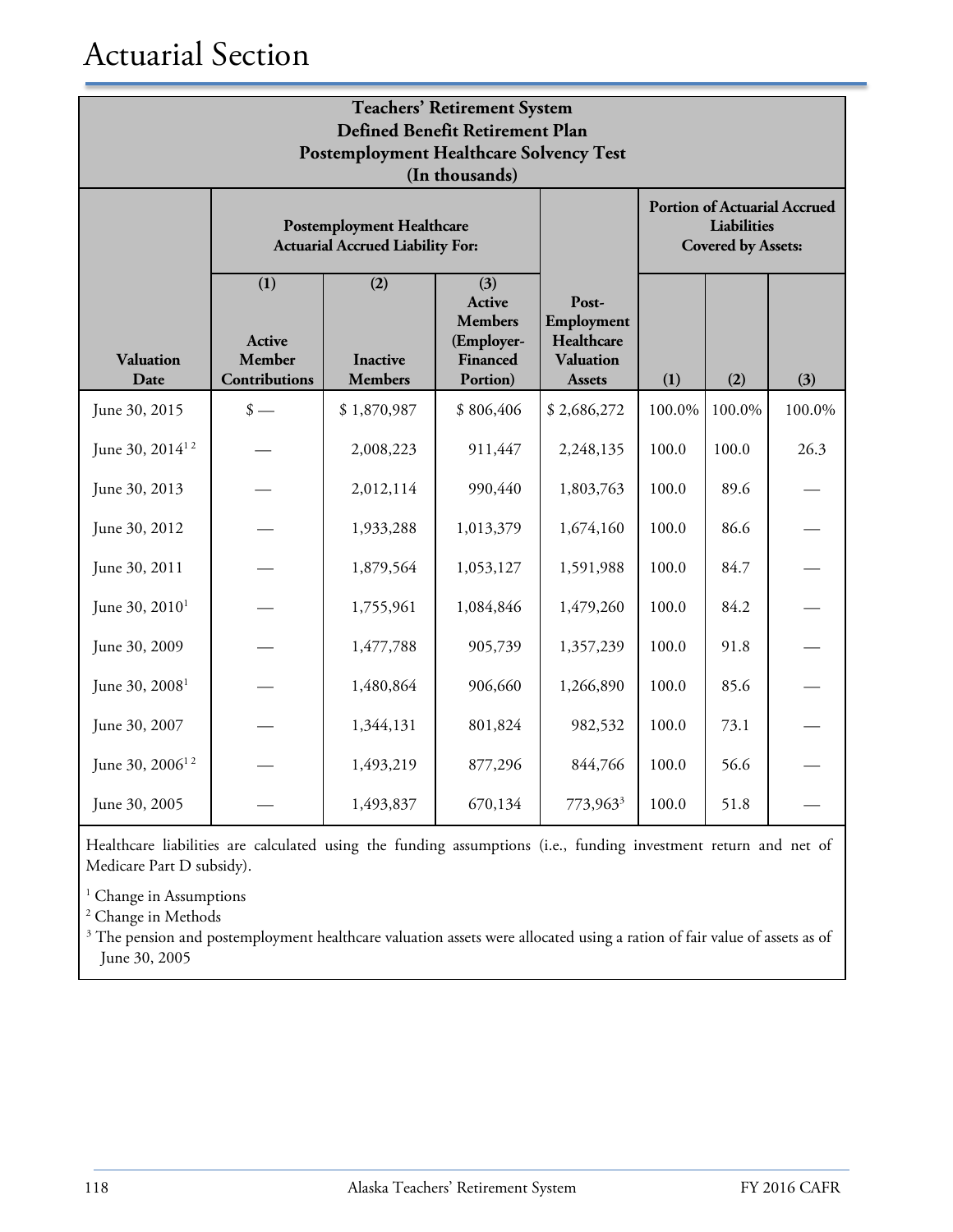| <b>Teachers' Retirement System</b><br>Defined Benefit Retirement Plan |                                                                             |                                          |                                                                              |                                                                                 |        |        |        |  |
|-----------------------------------------------------------------------|-----------------------------------------------------------------------------|------------------------------------------|------------------------------------------------------------------------------|---------------------------------------------------------------------------------|--------|--------|--------|--|
| <b>Postemployment Healthcare Solvency Test</b><br>(In thousands)      |                                                                             |                                          |                                                                              |                                                                                 |        |        |        |  |
|                                                                       | <b>Postemployment Healthcare</b><br><b>Actuarial Accrued Liability For:</b> |                                          |                                                                              | <b>Portion of Actuarial Accrued</b><br>Liabilities<br><b>Covered by Assets:</b> |        |        |        |  |
| <b>Valuation</b><br>Date                                              | (1)<br>Active<br><b>Member</b><br><b>Contributions</b>                      | (2)<br><b>Inactive</b><br><b>Members</b> | (3)<br>Active<br><b>Members</b><br>(Employer-<br><b>Financed</b><br>Portion) | Post-<br>Employment<br>Healthcare<br><b>Valuation</b><br><b>Assets</b>          | (1)    | (2)    | (3)    |  |
| June 30, 2015                                                         | $\frac{\text{I}}{\text{I}}$                                                 | \$1,870,987                              | \$806,406                                                                    | \$2,686,272                                                                     | 100.0% | 100.0% | 100.0% |  |
| June 30, 2014 <sup>12</sup>                                           |                                                                             | 2,008,223                                | 911,447                                                                      | 2,248,135                                                                       | 100.0  | 100.0  | 26.3   |  |
| June 30, 2013                                                         |                                                                             | 2,012,114                                | 990,440                                                                      | 1,803,763                                                                       | 100.0  | 89.6   |        |  |
| June 30, 2012                                                         |                                                                             | 1,933,288                                | 1,013,379                                                                    | 1,674,160                                                                       | 100.0  | 86.6   |        |  |
| June 30, 2011                                                         |                                                                             | 1,879,564                                | 1,053,127                                                                    | 1,591,988                                                                       | 100.0  | 84.7   |        |  |
| June 30, 2010 <sup>1</sup>                                            |                                                                             | 1,755,961                                | 1,084,846                                                                    | 1,479,260                                                                       | 100.0  | 84.2   |        |  |
| June 30, 2009                                                         |                                                                             | 1,477,788                                | 905,739                                                                      | 1,357,239                                                                       | 100.0  | 91.8   |        |  |
| June 30, 2008 <sup>1</sup>                                            |                                                                             | 1,480,864                                | 906,660                                                                      | 1,266,890                                                                       | 100.0  | 85.6   |        |  |
| June 30, 2007                                                         |                                                                             | 1,344,131                                | 801,824                                                                      | 982,532                                                                         | 100.0  | 73.1   |        |  |
| June 30, 2006 <sup>12</sup>                                           |                                                                             | 1,493,219                                | 877,296                                                                      | 844,766                                                                         | 100.0  | 56.6   |        |  |
| June 30, 2005                                                         |                                                                             | 1,493,837                                | 670,134                                                                      | 773,963 <sup>3</sup>                                                            | 100.0  | 51.8   |        |  |

Healthcare liabilities are calculated using the funding assumptions (i.e., funding investment return and net of Medicare Part D subsidy).

<sup>1</sup> Change in Assumptions

<sup>2</sup> Change in Methods

<sup>3</sup> The pension and postemployment healthcare valuation assets were allocated using a ration of fair value of assets as of June 30, 2005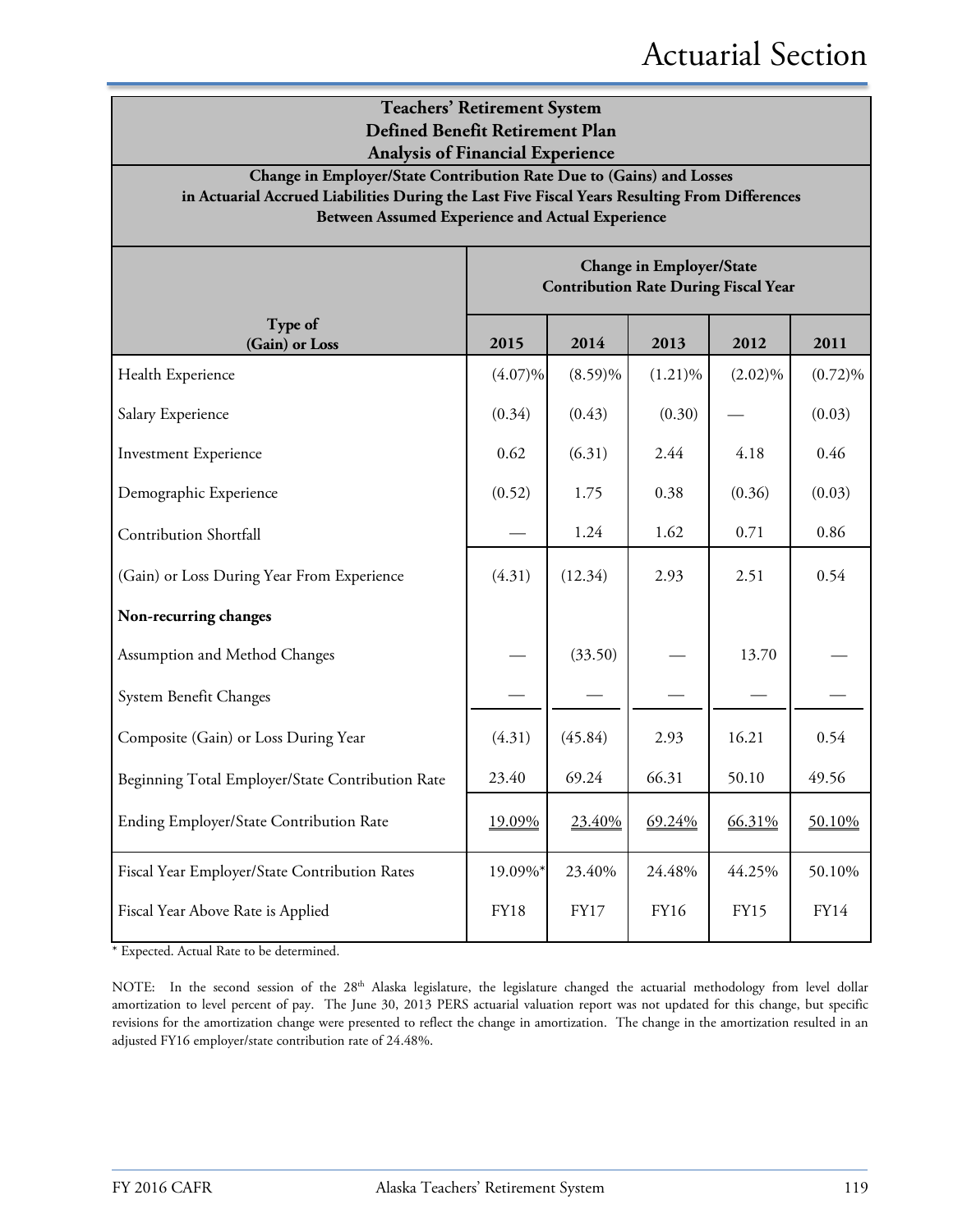| <b>Teachers' Retirement System</b><br>Defined Benefit Retirement Plan<br><b>Analysis of Financial Experience</b>                                                                                                          |             |                                             |                                 |             |            |  |  |
|---------------------------------------------------------------------------------------------------------------------------------------------------------------------------------------------------------------------------|-------------|---------------------------------------------|---------------------------------|-------------|------------|--|--|
| Change in Employer/State Contribution Rate Due to (Gains) and Losses<br>in Actuarial Accrued Liabilities During the Last Five Fiscal Years Resulting From Differences<br>Between Assumed Experience and Actual Experience |             |                                             |                                 |             |            |  |  |
|                                                                                                                                                                                                                           |             | <b>Contribution Rate During Fiscal Year</b> | <b>Change in Employer/State</b> |             |            |  |  |
| Type of<br>(Gain) or Loss                                                                                                                                                                                                 | 2015        | 2014                                        | 2013                            | 2012        | 2011       |  |  |
| Health Experience                                                                                                                                                                                                         | $(4.07)\%$  | $(8.59)\%$                                  | $(1.21)\%$                      | $(2.02)\%$  | $(0.72)\%$ |  |  |
| Salary Experience                                                                                                                                                                                                         | (0.34)      | (0.43)                                      | (0.30)                          |             | (0.03)     |  |  |
| <b>Investment Experience</b>                                                                                                                                                                                              | 0.62        | (6.31)                                      | 2.44                            | 4.18        | 0.46       |  |  |
| Demographic Experience                                                                                                                                                                                                    | (0.52)      | 1.75                                        | 0.38                            | (0.36)      | (0.03)     |  |  |
| <b>Contribution Shortfall</b>                                                                                                                                                                                             |             | 1.24                                        | 1.62                            | 0.71        | 0.86       |  |  |
| (Gain) or Loss During Year From Experience                                                                                                                                                                                | (4.31)      | (12.34)                                     | 2.93                            | 2.51        | 0.54       |  |  |
| Non-recurring changes                                                                                                                                                                                                     |             |                                             |                                 |             |            |  |  |
| Assumption and Method Changes                                                                                                                                                                                             |             | (33.50)                                     |                                 | 13.70       |            |  |  |
| System Benefit Changes                                                                                                                                                                                                    |             |                                             |                                 |             |            |  |  |
| Composite (Gain) or Loss During Year                                                                                                                                                                                      | (4.31)      | (45.84)                                     | 2.93                            | 16.21       | 0.54       |  |  |
| Beginning Total Employer/State Contribution Rate                                                                                                                                                                          | 23.40       | 69.24                                       | 66.31                           | 50.10       | 49.56      |  |  |
| Ending Employer/State Contribution Rate                                                                                                                                                                                   | 19.09%      | 23.40%                                      | 69.24%                          | 66.31%      | 50.10%     |  |  |
| Fiscal Year Employer/State Contribution Rates                                                                                                                                                                             | 19.09%*     | 23.40%                                      | 24.48%                          | 44.25%      | 50.10%     |  |  |
| Fiscal Year Above Rate is Applied                                                                                                                                                                                         | <b>FY18</b> | FY17                                        | FY16                            | <b>FY15</b> | FY14       |  |  |

\* Expected. Actual Rate to be determined.

NOTE: In the second session of the 28<sup>th</sup> Alaska legislature, the legislature changed the actuarial methodology from level dollar amortization to level percent of pay. The June 30, 2013 PERS actuarial valuation report was not updated for this change, but specific revisions for the amortization change were presented to reflect the change in amortization. The change in the amortization resulted in an adjusted FY16 employer/state contribution rate of 24.48%.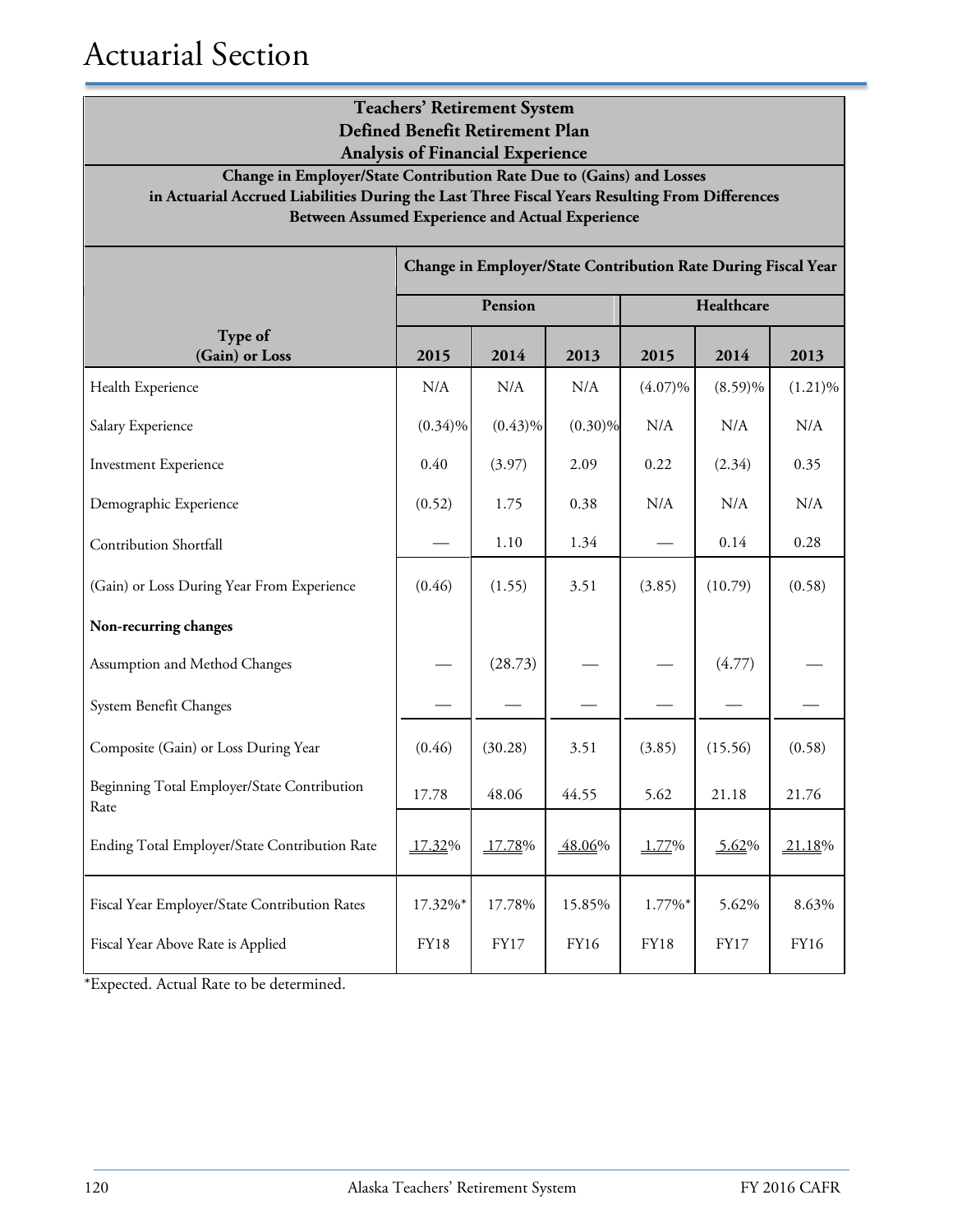# Actuarial Section

| <b>Teachers' Retirement System</b><br><b>Defined Benefit Retirement Plan</b><br><b>Analysis of Financial Experience</b>                                                                                                           |                        |                |                                                               |                       |                      |               |  |
|-----------------------------------------------------------------------------------------------------------------------------------------------------------------------------------------------------------------------------------|------------------------|----------------|---------------------------------------------------------------|-----------------------|----------------------|---------------|--|
| Change in Employer/State Contribution Rate Due to (Gains) and Losses<br>in Actuarial Accrued Liabilities During the Last Three Fiscal Years Resulting From Differences<br><b>Between Assumed Experience and Actual Experience</b> |                        |                |                                                               |                       |                      |               |  |
|                                                                                                                                                                                                                                   |                        |                | Change in Employer/State Contribution Rate During Fiscal Year |                       |                      |               |  |
|                                                                                                                                                                                                                                   |                        | Pension        |                                                               |                       | Healthcare           |               |  |
| Type of<br>(Gain) or Loss                                                                                                                                                                                                         | 2015                   | 2014           | 2013                                                          | 2015                  | 2014                 | 2013          |  |
| Health Experience                                                                                                                                                                                                                 | N/A                    | N/A            | N/A                                                           | $(4.07)\%$            | $(8.59)\%$           | $(1.21)\%$    |  |
| Salary Experience                                                                                                                                                                                                                 | $(0.34)\%$             | $(0.43)\%$     | $(0.30)\%$                                                    | N/A                   | N/A                  | N/A           |  |
| <b>Investment Experience</b>                                                                                                                                                                                                      | 0.40                   | (3.97)         | 2.09                                                          | 0.22                  | (2.34)               | 0.35          |  |
| Demographic Experience                                                                                                                                                                                                            | (0.52)                 | 1.75           | 0.38                                                          | N/A                   | N/A                  | N/A           |  |
| Contribution Shortfall                                                                                                                                                                                                            |                        | 1.10           | 1.34                                                          |                       | 0.14                 | 0.28          |  |
| (Gain) or Loss During Year From Experience                                                                                                                                                                                        | (0.46)                 | (1.55)         | 3.51                                                          | (3.85)                | (10.79)              | (0.58)        |  |
| Non-recurring changes                                                                                                                                                                                                             |                        |                |                                                               |                       |                      |               |  |
| Assumption and Method Changes                                                                                                                                                                                                     |                        | (28.73)        |                                                               |                       | (4.77)               |               |  |
| System Benefit Changes                                                                                                                                                                                                            |                        |                |                                                               |                       |                      |               |  |
| Composite (Gain) or Loss During Year                                                                                                                                                                                              | (0.46)                 | (30.28)        | 3.51                                                          | (3.85)                | (15.56)              | (0.58)        |  |
| Beginning Total Employer/State Contribution<br>Rate                                                                                                                                                                               | 17.78                  | 48.06          | 44.55                                                         | 5.62                  | 21.18                | 21.76         |  |
| Ending Total Employer/State Contribution Rate                                                                                                                                                                                     | 17.32%                 | 17.78%         | 48.06%                                                        | 1.77%                 | 5.62%                | 21.18%        |  |
| Fiscal Year Employer/State Contribution Rates<br>Fiscal Year Above Rate is Applied                                                                                                                                                | 17.32%*<br><b>FY18</b> | 17.78%<br>FY17 | 15.85%<br>FY16                                                | 1.77%*<br><b>FY18</b> | 5.62%<br><b>FY17</b> | 8.63%<br>FY16 |  |

\*Expected. Actual Rate to be determined.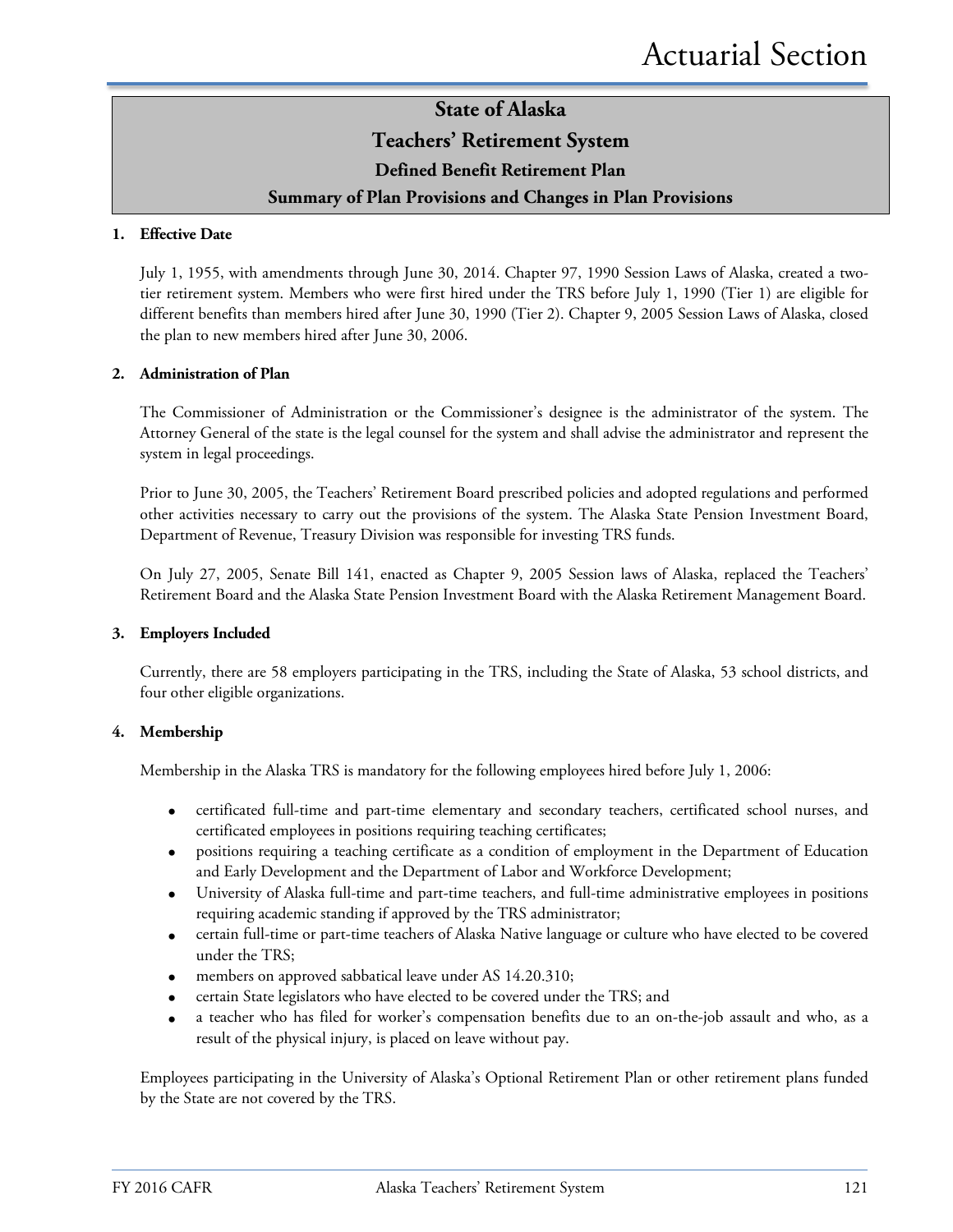### **State of Alaska Teachers' Retirement System**

#### **Defined Benefit Retirement Plan**

#### **Summary of Plan Provisions and Changes in Plan Provisions**

#### **1. Effective Date**

July 1, 1955, with amendments through June 30, 2014. Chapter 97, 1990 Session Laws of Alaska, created a twotier retirement system. Members who were first hired under the TRS before July 1, 1990 (Tier 1) are eligible for different benefits than members hired after June 30, 1990 (Tier 2). Chapter 9, 2005 Session Laws of Alaska, closed the plan to new members hired after June 30, 2006.

#### **2. Administration of Plan**

The Commissioner of Administration or the Commissioner's designee is the administrator of the system. The Attorney General of the state is the legal counsel for the system and shall advise the administrator and represent the system in legal proceedings.

Prior to June 30, 2005, the Teachers' Retirement Board prescribed policies and adopted regulations and performed other activities necessary to carry out the provisions of the system. The Alaska State Pension Investment Board, Department of Revenue, Treasury Division was responsible for investing TRS funds.

On July 27, 2005, Senate Bill 141, enacted as Chapter 9, 2005 Session laws of Alaska, replaced the Teachers' Retirement Board and the Alaska State Pension Investment Board with the Alaska Retirement Management Board.

#### **3. Employers Included**

Currently, there are 58 employers participating in the TRS, including the State of Alaska, 53 school districts, and four other eligible organizations.

#### **4. Membership**

Membership in the Alaska TRS is mandatory for the following employees hired before July 1, 2006:

- certificated full-time and part-time elementary and secondary teachers, certificated school nurses, and certificated employees in positions requiring teaching certificates;
- positions requiring a teaching certificate as a condition of employment in the Department of Education and Early Development and the Department of Labor and Workforce Development;
- University of Alaska full-time and part-time teachers, and full-time administrative employees in positions requiring academic standing if approved by the TRS administrator;
- certain full-time or part-time teachers of Alaska Native language or culture who have elected to be covered under the TRS;
- members on approved sabbatical leave under AS 14.20.310;
- certain State legislators who have elected to be covered under the TRS; and
- a teacher who has filed for worker's compensation benefits due to an on-the-job assault and who, as a result of the physical injury, is placed on leave without pay.

Employees participating in the University of Alaska's Optional Retirement Plan or other retirement plans funded by the State are not covered by the TRS.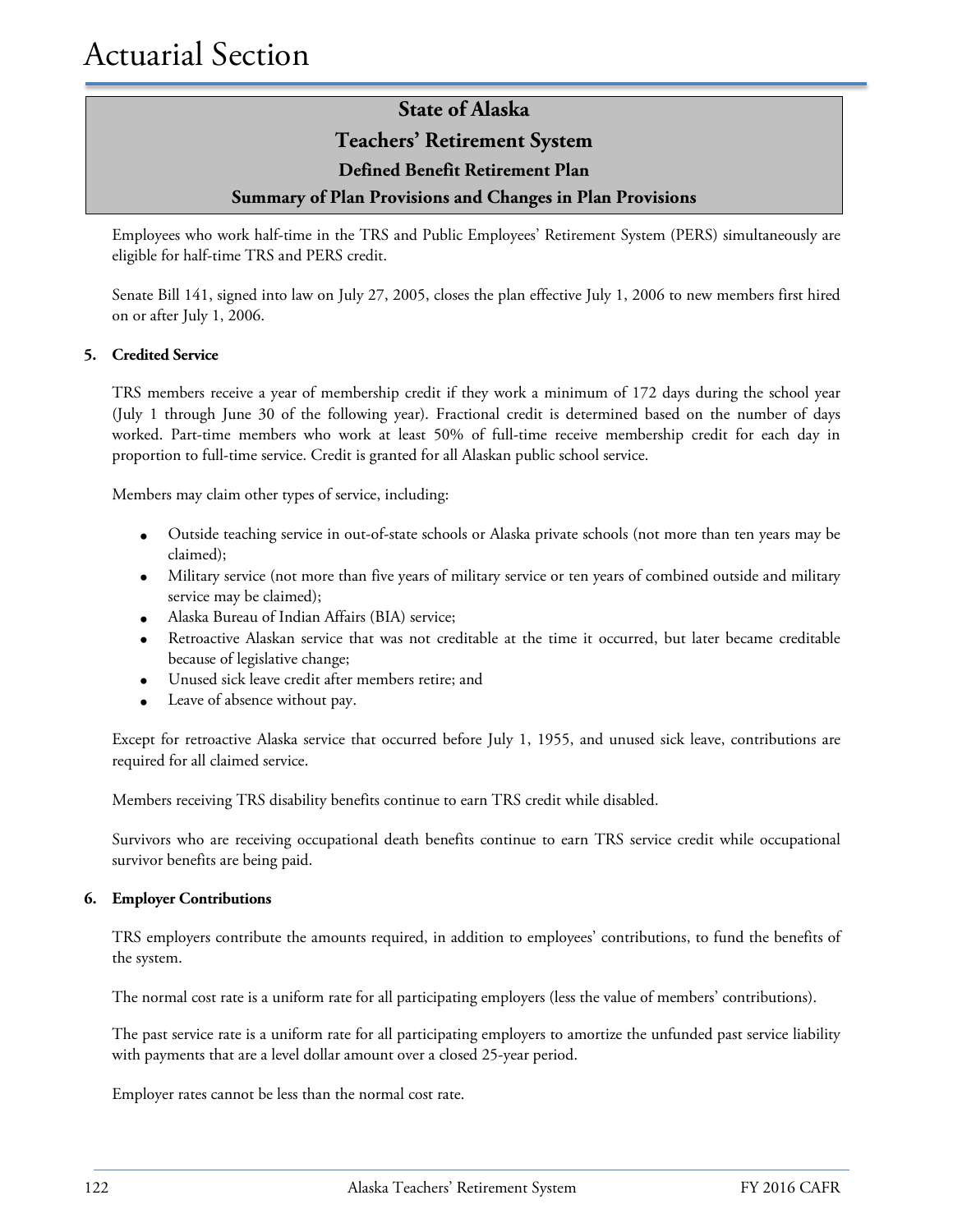### **State of Alaska Teachers' Retirement System Defined Benefit Retirement Plan Summary of Plan Provisions and Changes in Plan Provisions**

Employees who work half-time in the TRS and Public Employees' Retirement System (PERS) simultaneously are eligible for half-time TRS and PERS credit.

Senate Bill 141, signed into law on July 27, 2005, closes the plan effective July 1, 2006 to new members first hired on or after July 1, 2006.

#### **5. Credited Service**

TRS members receive a year of membership credit if they work a minimum of 172 days during the school year (July 1 through June 30 of the following year). Fractional credit is determined based on the number of days worked. Part-time members who work at least 50% of full-time receive membership credit for each day in proportion to full-time service. Credit is granted for all Alaskan public school service.

Members may claim other types of service, including:

- Outside teaching service in out-of-state schools or Alaska private schools (not more than ten years may be claimed);
- Military service (not more than five years of military service or ten years of combined outside and military service may be claimed);
- Alaska Bureau of Indian Affairs (BIA) service;
- Retroactive Alaskan service that was not creditable at the time it occurred, but later became creditable because of legislative change;
- Unused sick leave credit after members retire; and
- Leave of absence without pay.

Except for retroactive Alaska service that occurred before July 1, 1955, and unused sick leave, contributions are required for all claimed service.

Members receiving TRS disability benefits continue to earn TRS credit while disabled.

Survivors who are receiving occupational death benefits continue to earn TRS service credit while occupational survivor benefits are being paid.

#### **6. Employer Contributions**

TRS employers contribute the amounts required, in addition to employees' contributions, to fund the benefits of the system.

The normal cost rate is a uniform rate for all participating employers (less the value of members' contributions).

The past service rate is a uniform rate for all participating employers to amortize the unfunded past service liability with payments that are a level dollar amount over a closed 25-year period.

Employer rates cannot be less than the normal cost rate.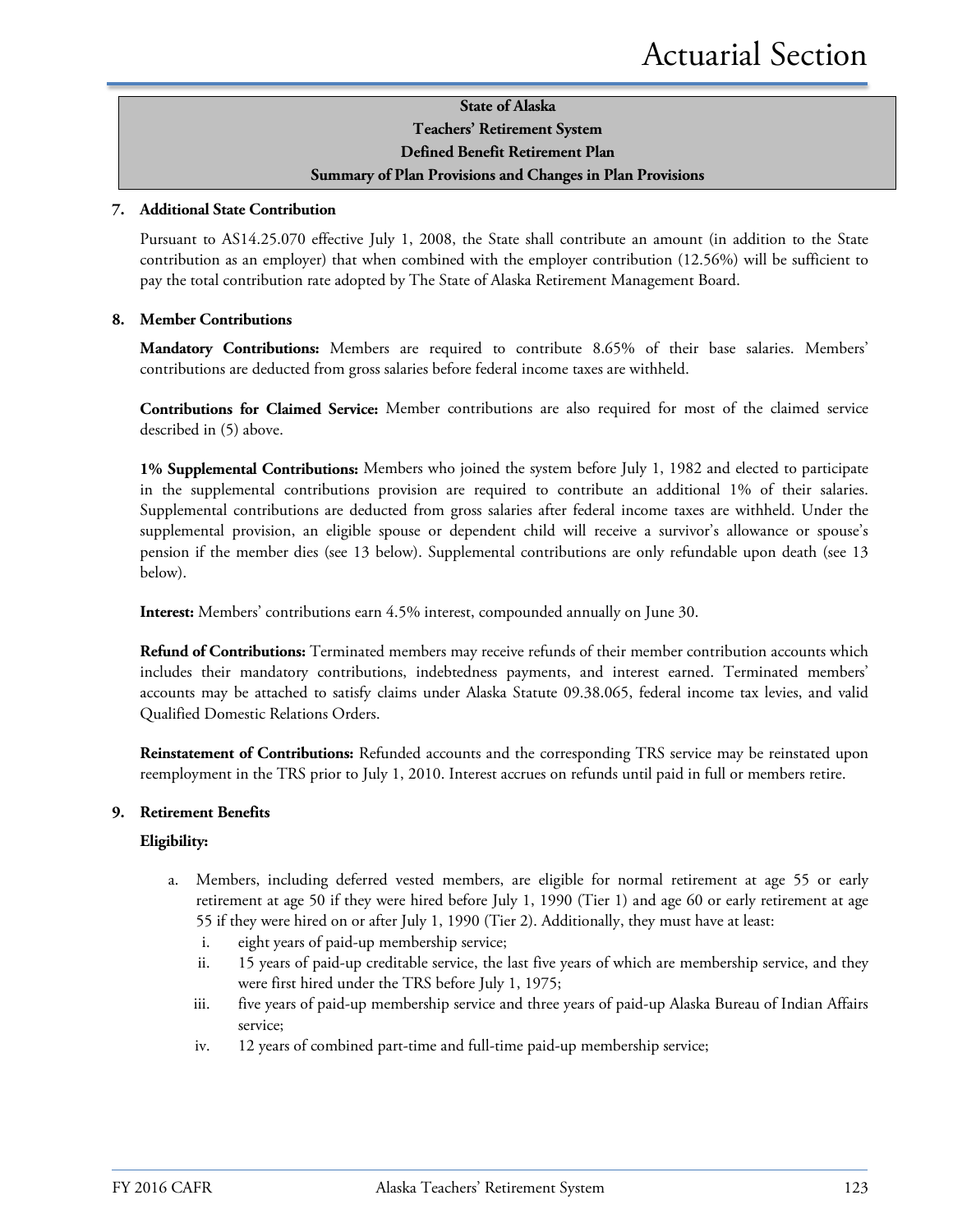#### **State of Alaska Teachers' Retirement System Defined Benefit Retirement Plan Summary of Plan Provisions and Changes in Plan Provisions**

#### **7. Additional State Contribution**

Pursuant to AS14.25.070 effective July 1, 2008, the State shall contribute an amount (in addition to the State contribution as an employer) that when combined with the employer contribution (12.56%) will be sufficient to pay the total contribution rate adopted by The State of Alaska Retirement Management Board.

#### **8. Member Contributions**

**Mandatory Contributions:** Members are required to contribute 8.65% of their base salaries. Members' contributions are deducted from gross salaries before federal income taxes are withheld.

**Contributions for Claimed Service:** Member contributions are also required for most of the claimed service described in (5) above.

**1% Supplemental Contributions:** Members who joined the system before July 1, 1982 and elected to participate in the supplemental contributions provision are required to contribute an additional 1% of their salaries. Supplemental contributions are deducted from gross salaries after federal income taxes are withheld. Under the supplemental provision, an eligible spouse or dependent child will receive a survivor's allowance or spouse's pension if the member dies (see 13 below). Supplemental contributions are only refundable upon death (see 13 below).

**Interest:** Members' contributions earn 4.5% interest, compounded annually on June 30.

**Refund of Contributions:** Terminated members may receive refunds of their member contribution accounts which includes their mandatory contributions, indebtedness payments, and interest earned. Terminated members' accounts may be attached to satisfy claims under Alaska Statute 09.38.065, federal income tax levies, and valid Qualified Domestic Relations Orders.

**Reinstatement of Contributions:** Refunded accounts and the corresponding TRS service may be reinstated upon reemployment in the TRS prior to July 1, 2010. Interest accrues on refunds until paid in full or members retire.

#### **9. Retirement Benefits**

#### **Eligibility:**

- a. Members, including deferred vested members, are eligible for normal retirement at age 55 or early retirement at age 50 if they were hired before July 1, 1990 (Tier 1) and age 60 or early retirement at age 55 if they were hired on or after July 1, 1990 (Tier 2). Additionally, they must have at least:
	- i. eight years of paid-up membership service;
	- ii. 15 years of paid-up creditable service, the last five years of which are membership service, and they were first hired under the TRS before July 1, 1975;
	- iii. five years of paid-up membership service and three years of paid-up Alaska Bureau of Indian Affairs service;
	- iv. 12 years of combined part-time and full-time paid-up membership service;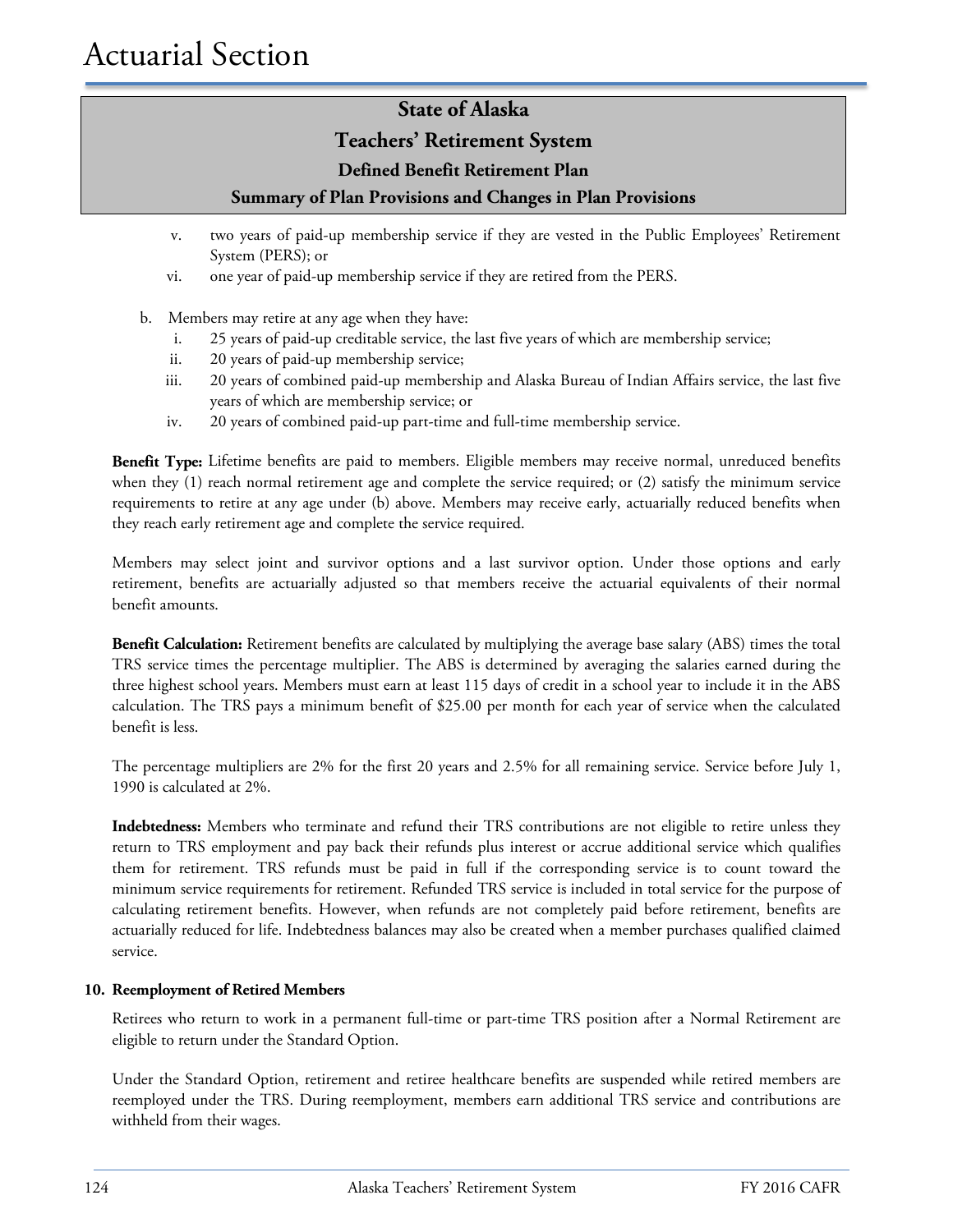#### **Teachers' Retirement System**

#### **Defined Benefit Retirement Plan**

#### **Summary of Plan Provisions and Changes in Plan Provisions**

- v. two years of paid-up membership service if they are vested in the Public Employees' Retirement System (PERS); or
- vi. one year of paid-up membership service if they are retired from the PERS.
- b. Members may retire at any age when they have:
	- i. 25 years of paid-up creditable service, the last five years of which are membership service;
	- ii. 20 years of paid-up membership service;
	- iii. 20 years of combined paid-up membership and Alaska Bureau of Indian Affairs service, the last five years of which are membership service; or
	- iv. 20 years of combined paid-up part-time and full-time membership service.

**Benefit Type:** Lifetime benefits are paid to members. Eligible members may receive normal, unreduced benefits when they (1) reach normal retirement age and complete the service required; or (2) satisfy the minimum service requirements to retire at any age under (b) above. Members may receive early, actuarially reduced benefits when they reach early retirement age and complete the service required.

Members may select joint and survivor options and a last survivor option. Under those options and early retirement, benefits are actuarially adjusted so that members receive the actuarial equivalents of their normal benefit amounts.

**Benefit Calculation:** Retirement benefits are calculated by multiplying the average base salary (ABS) times the total TRS service times the percentage multiplier. The ABS is determined by averaging the salaries earned during the three highest school years. Members must earn at least 115 days of credit in a school year to include it in the ABS calculation. The TRS pays a minimum benefit of \$25.00 per month for each year of service when the calculated benefit is less.

The percentage multipliers are 2% for the first 20 years and 2.5% for all remaining service. Service before July 1, 1990 is calculated at 2%.

**Indebtedness:** Members who terminate and refund their TRS contributions are not eligible to retire unless they return to TRS employment and pay back their refunds plus interest or accrue additional service which qualifies them for retirement. TRS refunds must be paid in full if the corresponding service is to count toward the minimum service requirements for retirement. Refunded TRS service is included in total service for the purpose of calculating retirement benefits. However, when refunds are not completely paid before retirement, benefits are actuarially reduced for life. Indebtedness balances may also be created when a member purchases qualified claimed service.

#### **10. Reemployment of Retired Members**

Retirees who return to work in a permanent full-time or part-time TRS position after a Normal Retirement are eligible to return under the Standard Option.

Under the Standard Option, retirement and retiree healthcare benefits are suspended while retired members are reemployed under the TRS. During reemployment, members earn additional TRS service and contributions are withheld from their wages.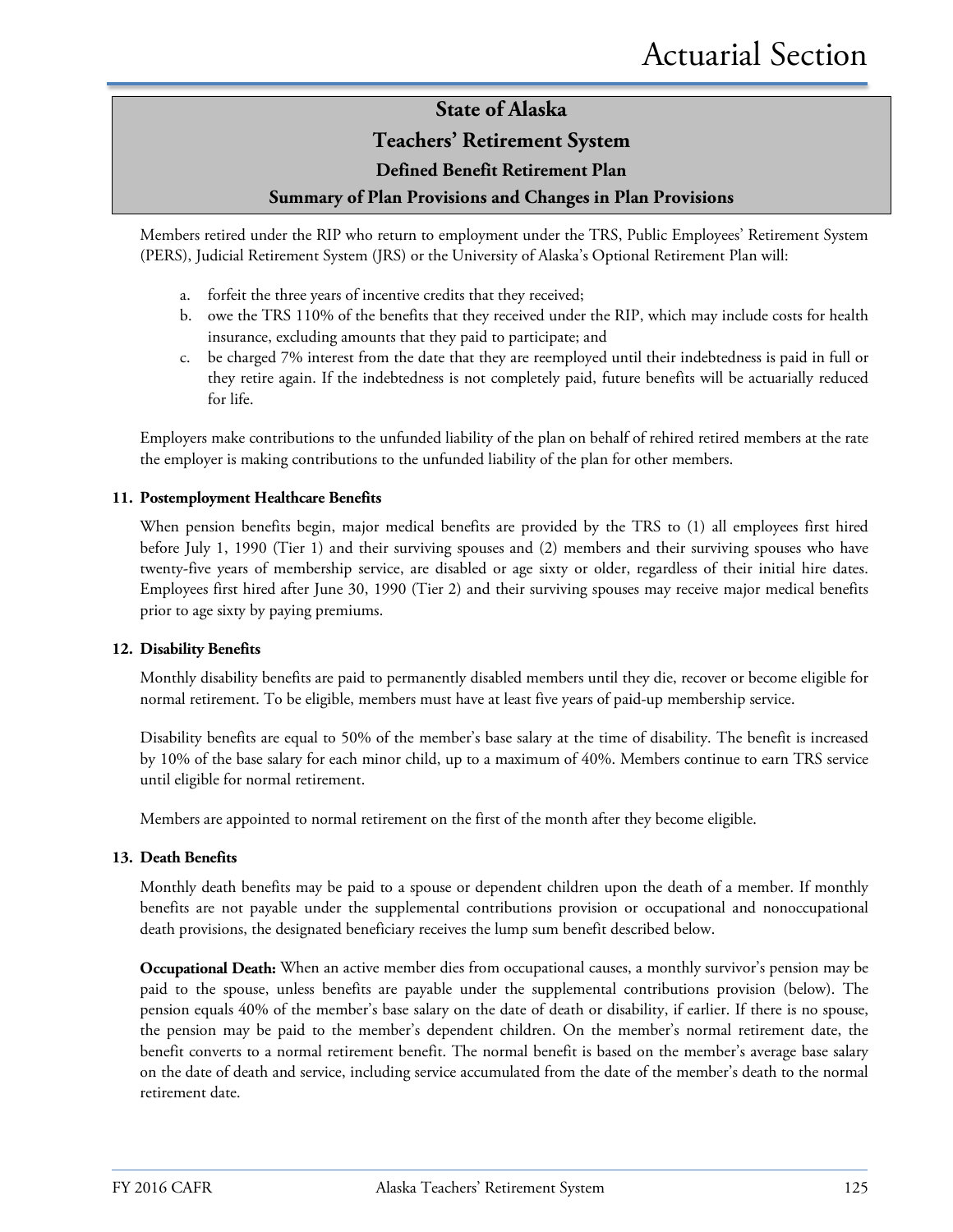### **Teachers' Retirement System**

#### **Defined Benefit Retirement Plan**

#### **Summary of Plan Provisions and Changes in Plan Provisions**

Members retired under the RIP who return to employment under the TRS, Public Employees' Retirement System (PERS), Judicial Retirement System (JRS) or the University of Alaska's Optional Retirement Plan will:

- a. forfeit the three years of incentive credits that they received;
- b. owe the TRS 110% of the benefits that they received under the RIP, which may include costs for health insurance, excluding amounts that they paid to participate; and
- c. be charged 7% interest from the date that they are reemployed until their indebtedness is paid in full or they retire again. If the indebtedness is not completely paid, future benefits will be actuarially reduced for life.

Employers make contributions to the unfunded liability of the plan on behalf of rehired retired members at the rate the employer is making contributions to the unfunded liability of the plan for other members.

#### **11. Postemployment Healthcare Benefits**

When pension benefits begin, major medical benefits are provided by the TRS to (1) all employees first hired before July 1, 1990 (Tier 1) and their surviving spouses and (2) members and their surviving spouses who have twenty-five years of membership service, are disabled or age sixty or older, regardless of their initial hire dates. Employees first hired after June 30, 1990 (Tier 2) and their surviving spouses may receive major medical benefits prior to age sixty by paying premiums.

#### **12. Disability Benefits**

Monthly disability benefits are paid to permanently disabled members until they die, recover or become eligible for normal retirement. To be eligible, members must have at least five years of paid-up membership service.

Disability benefits are equal to 50% of the member's base salary at the time of disability. The benefit is increased by 10% of the base salary for each minor child, up to a maximum of 40%. Members continue to earn TRS service until eligible for normal retirement.

Members are appointed to normal retirement on the first of the month after they become eligible.

#### **13. Death Benefits**

Monthly death benefits may be paid to a spouse or dependent children upon the death of a member. If monthly benefits are not payable under the supplemental contributions provision or occupational and nonoccupational death provisions, the designated beneficiary receives the lump sum benefit described below.

**Occupational Death:** When an active member dies from occupational causes, a monthly survivor's pension may be paid to the spouse, unless benefits are payable under the supplemental contributions provision (below). The pension equals 40% of the member's base salary on the date of death or disability, if earlier. If there is no spouse, the pension may be paid to the member's dependent children. On the member's normal retirement date, the benefit converts to a normal retirement benefit. The normal benefit is based on the member's average base salary on the date of death and service, including service accumulated from the date of the member's death to the normal retirement date.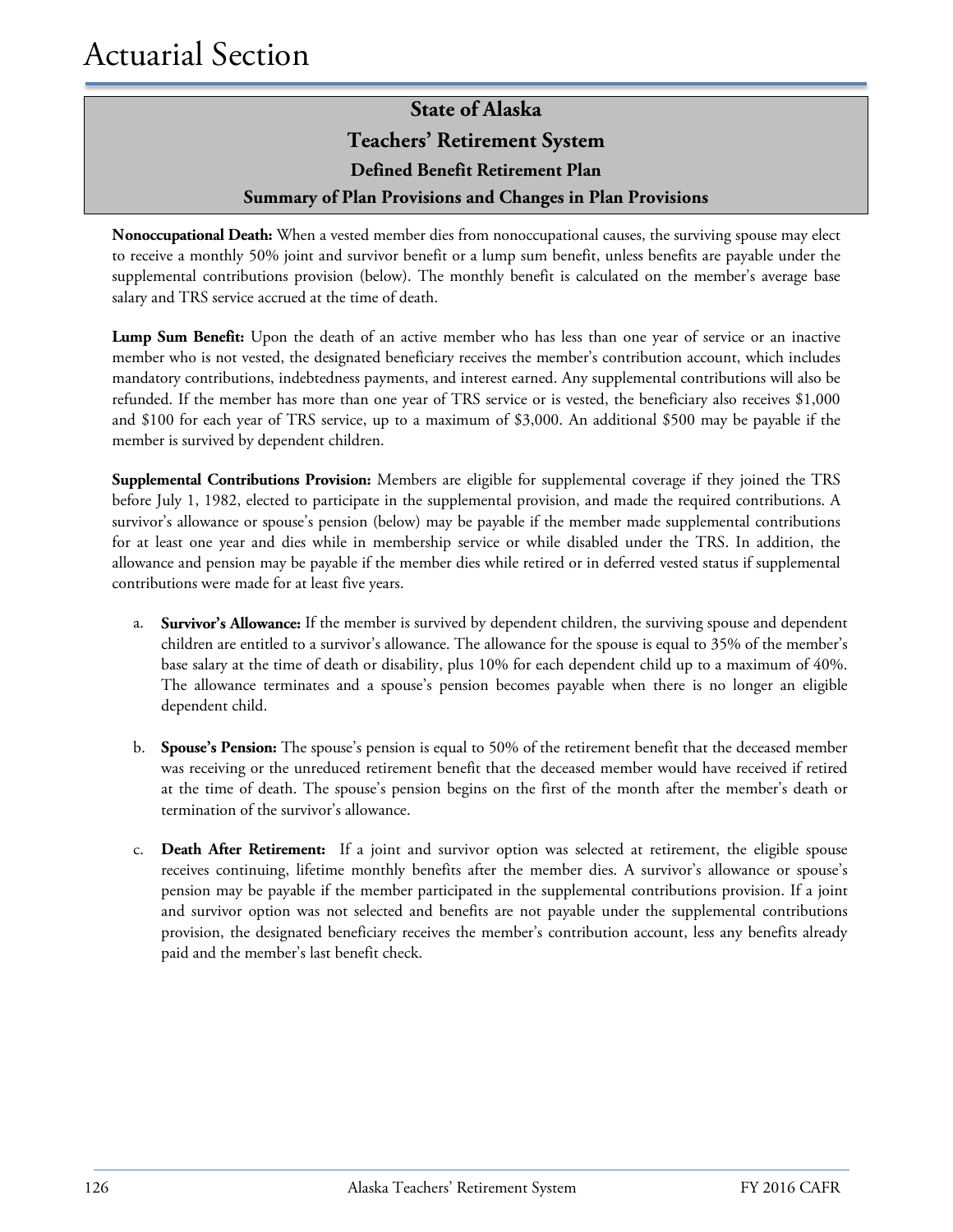### **State of Alaska Teachers' Retirement System Defined Benefit Retirement Plan Summary of Plan Provisions and Changes in Plan Provisions**

**Nonoccupational Death:** When a vested member dies from nonoccupational causes, the surviving spouse may elect to receive a monthly 50% joint and survivor benefit or a lump sum benefit, unless benefits are payable under the supplemental contributions provision (below). The monthly benefit is calculated on the member's average base salary and TRS service accrued at the time of death.

**Lump Sum Benefit:** Upon the death of an active member who has less than one year of service or an inactive member who is not vested, the designated beneficiary receives the member's contribution account, which includes mandatory contributions, indebtedness payments, and interest earned. Any supplemental contributions will also be refunded. If the member has more than one year of TRS service or is vested, the beneficiary also receives \$1,000 and \$100 for each year of TRS service, up to a maximum of \$3,000. An additional \$500 may be payable if the member is survived by dependent children.

**Supplemental Contributions Provision:** Members are eligible for supplemental coverage if they joined the TRS before July 1, 1982, elected to participate in the supplemental provision, and made the required contributions. A survivor's allowance or spouse's pension (below) may be payable if the member made supplemental contributions for at least one year and dies while in membership service or while disabled under the TRS. In addition, the allowance and pension may be payable if the member dies while retired or in deferred vested status if supplemental contributions were made for at least five years.

- a. **Survivor's Allowance:** If the member is survived by dependent children, the surviving spouse and dependent children are entitled to a survivor's allowance. The allowance for the spouse is equal to 35% of the member's base salary at the time of death or disability, plus 10% for each dependent child up to a maximum of 40%. The allowance terminates and a spouse's pension becomes payable when there is no longer an eligible dependent child.
- b. **Spouse's Pension:** The spouse's pension is equal to 50% of the retirement benefit that the deceased member was receiving or the unreduced retirement benefit that the deceased member would have received if retired at the time of death. The spouse's pension begins on the first of the month after the member's death or termination of the survivor's allowance.
- c. **Death After Retirement:** If a joint and survivor option was selected at retirement, the eligible spouse receives continuing, lifetime monthly benefits after the member dies. A survivor's allowance or spouse's pension may be payable if the member participated in the supplemental contributions provision. If a joint and survivor option was not selected and benefits are not payable under the supplemental contributions provision, the designated beneficiary receives the member's contribution account, less any benefits already paid and the member's last benefit check.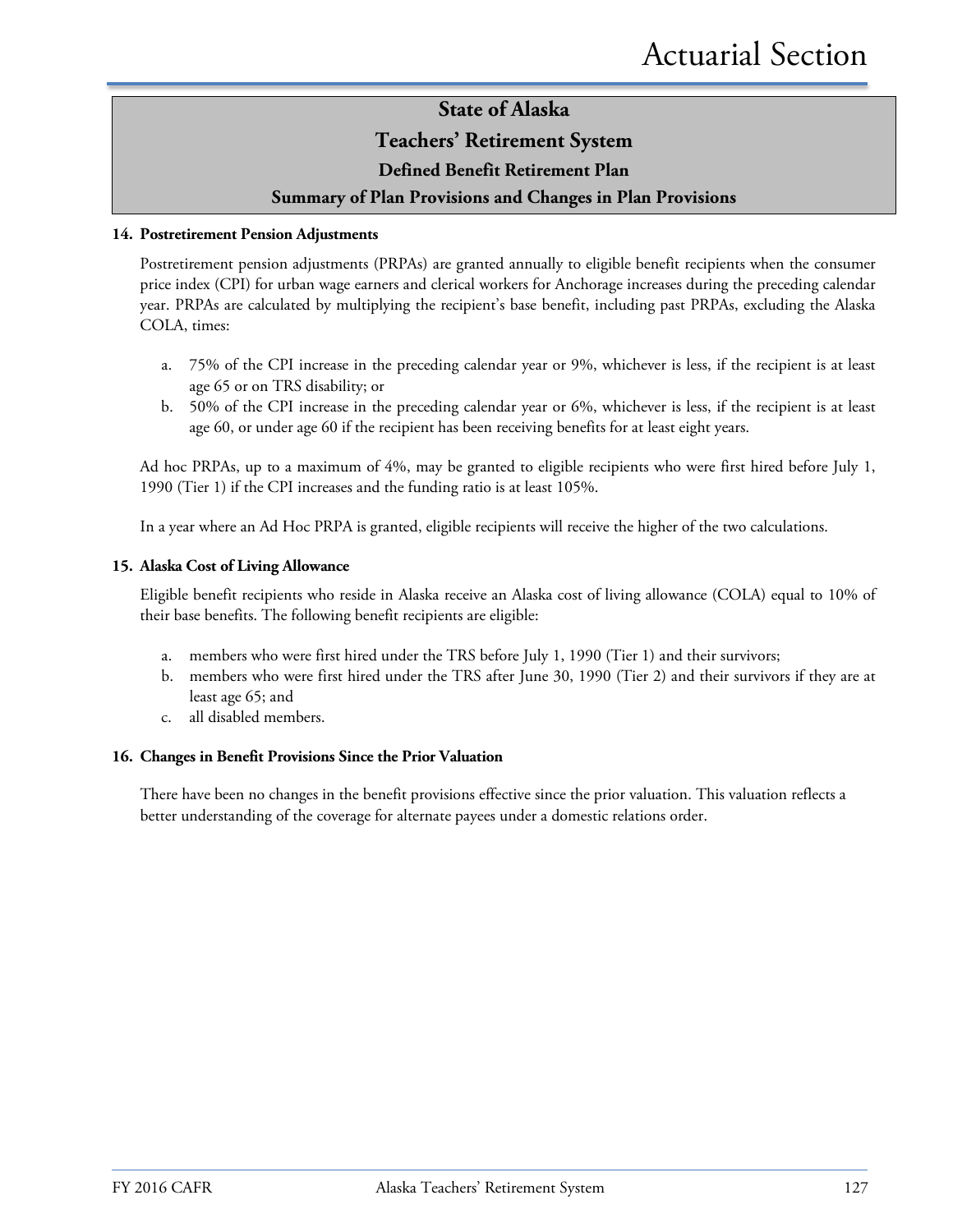#### **Teachers' Retirement System**

#### **Defined Benefit Retirement Plan**

#### **Summary of Plan Provisions and Changes in Plan Provisions**

#### **14. Postretirement Pension Adjustments**

Postretirement pension adjustments (PRPAs) are granted annually to eligible benefit recipients when the consumer price index (CPI) for urban wage earners and clerical workers for Anchorage increases during the preceding calendar year. PRPAs are calculated by multiplying the recipient's base benefit, including past PRPAs, excluding the Alaska COLA, times:

- a. 75% of the CPI increase in the preceding calendar year or 9%, whichever is less, if the recipient is at least age 65 or on TRS disability; or
- b. 50% of the CPI increase in the preceding calendar year or 6%, whichever is less, if the recipient is at least age 60, or under age 60 if the recipient has been receiving benefits for at least eight years.

Ad hoc PRPAs, up to a maximum of 4%, may be granted to eligible recipients who were first hired before July 1, 1990 (Tier 1) if the CPI increases and the funding ratio is at least 105%.

In a year where an Ad Hoc PRPA is granted, eligible recipients will receive the higher of the two calculations.

#### **15. Alaska Cost of Living Allowance**

Eligible benefit recipients who reside in Alaska receive an Alaska cost of living allowance (COLA) equal to 10% of their base benefits. The following benefit recipients are eligible:

- a. members who were first hired under the TRS before July 1, 1990 (Tier 1) and their survivors;
- b. members who were first hired under the TRS after June 30, 1990 (Tier 2) and their survivors if they are at least age 65; and
- c. all disabled members.

#### **16. Changes in Benefit Provisions Since the Prior Valuation**

There have been no changes in the benefit provisions effective since the prior valuation. This valuation reflects a better understanding of the coverage for alternate payees under a domestic relations order.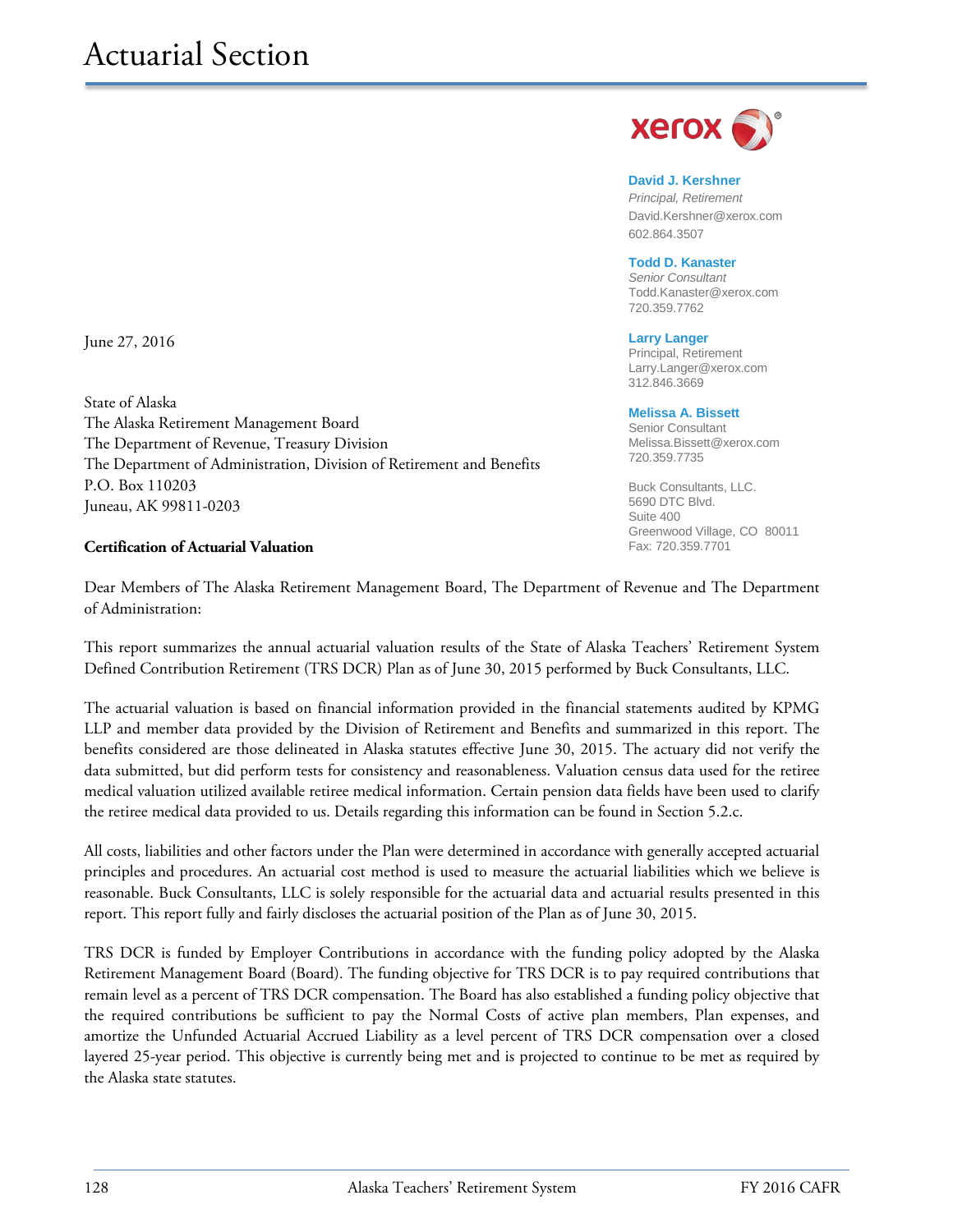June 27, 2016

State of Alaska The Alaska Retirement Management Board The Department of Revenue, Treasury Division The Department of Administration, Division of Retirement and Benefits P.O. Box 110203 Juneau, AK 99811-0203

#### **Certification of Actuarial Valuation**

 $X$ erox $\bullet$ 

**David J. Kershner** *Principal, Retirement* David.Kershner@xerox.com 602.864.3507

#### **Todd D. Kanaster**

*Senior Consultant* [Todd.Kanaster@xerox.com](mailto:Todd.Kanaster@xerox.com) 720.359.7762

**Larry Langer** Principal, Retirement Larry.Langer@xerox.com 312.846.3669

#### **Melissa A. Bissett**

Senior Consultant Melissa.Bissett@xerox.com 720.359.7735

Buck Consultants, LLC. 5690 DTC Blvd. Suite 400 Greenwood Village, CO 80011 Fax: 720.359.7701

Dear Members of The Alaska Retirement Management Board, The Department of Revenue and The Department of Administration:

This report summarizes the annual actuarial valuation results of the State of Alaska Teachers' Retirement System Defined Contribution Retirement (TRS DCR) Plan as of June 30, 2015 performed by Buck Consultants, LLC.

The actuarial valuation is based on financial information provided in the financial statements audited by KPMG LLP and member data provided by the Division of Retirement and Benefits and summarized in this report. The benefits considered are those delineated in Alaska statutes effective June 30, 2015. The actuary did not verify the data submitted, but did perform tests for consistency and reasonableness. Valuation census data used for the retiree medical valuation utilized available retiree medical information. Certain pension data fields have been used to clarify the retiree medical data provided to us. Details regarding this information can be found in Section 5.2.c.

All costs, liabilities and other factors under the Plan were determined in accordance with generally accepted actuarial principles and procedures. An actuarial cost method is used to measure the actuarial liabilities which we believe is reasonable. Buck Consultants, LLC is solely responsible for the actuarial data and actuarial results presented in this report. This report fully and fairly discloses the actuarial position of the Plan as of June 30, 2015.

TRS DCR is funded by Employer Contributions in accordance with the funding policy adopted by the Alaska Retirement Management Board (Board). The funding objective for TRS DCR is to pay required contributions that remain level as a percent of TRS DCR compensation. The Board has also established a funding policy objective that the required contributions be sufficient to pay the Normal Costs of active plan members, Plan expenses, and amortize the Unfunded Actuarial Accrued Liability as a level percent of TRS DCR compensation over a closed layered 25-year period. This objective is currently being met and is projected to continue to be met as required by the Alaska state statutes.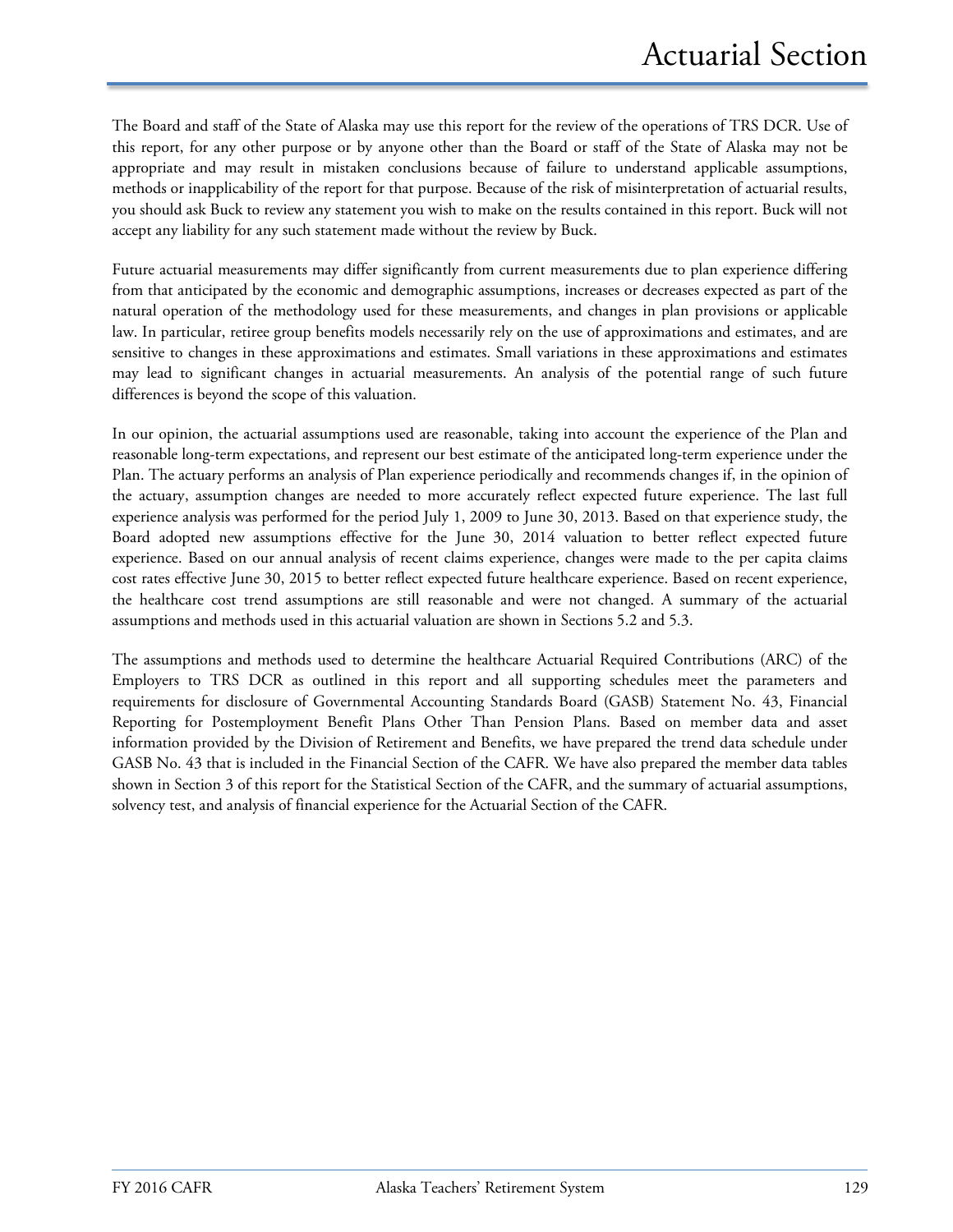The Board and staff of the State of Alaska may use this report for the review of the operations of TRS DCR. Use of this report, for any other purpose or by anyone other than the Board or staff of the State of Alaska may not be appropriate and may result in mistaken conclusions because of failure to understand applicable assumptions, methods or inapplicability of the report for that purpose. Because of the risk of misinterpretation of actuarial results, you should ask Buck to review any statement you wish to make on the results contained in this report. Buck will not accept any liability for any such statement made without the review by Buck.

Future actuarial measurements may differ significantly from current measurements due to plan experience differing from that anticipated by the economic and demographic assumptions, increases or decreases expected as part of the natural operation of the methodology used for these measurements, and changes in plan provisions or applicable law. In particular, retiree group benefits models necessarily rely on the use of approximations and estimates, and are sensitive to changes in these approximations and estimates. Small variations in these approximations and estimates may lead to significant changes in actuarial measurements. An analysis of the potential range of such future differences is beyond the scope of this valuation.

In our opinion, the actuarial assumptions used are reasonable, taking into account the experience of the Plan and reasonable long-term expectations, and represent our best estimate of the anticipated long-term experience under the Plan. The actuary performs an analysis of Plan experience periodically and recommends changes if, in the opinion of the actuary, assumption changes are needed to more accurately reflect expected future experience. The last full experience analysis was performed for the period July 1, 2009 to June 30, 2013. Based on that experience study, the Board adopted new assumptions effective for the June 30, 2014 valuation to better reflect expected future experience. Based on our annual analysis of recent claims experience, changes were made to the per capita claims cost rates effective June 30, 2015 to better reflect expected future healthcare experience. Based on recent experience, the healthcare cost trend assumptions are still reasonable and were not changed. A summary of the actuarial assumptions and methods used in this actuarial valuation are shown in Sections 5.2 and 5.3.

The assumptions and methods used to determine the healthcare Actuarial Required Contributions (ARC) of the Employers to TRS DCR as outlined in this report and all supporting schedules meet the parameters and requirements for disclosure of Governmental Accounting Standards Board (GASB) Statement No. 43, Financial Reporting for Postemployment Benefit Plans Other Than Pension Plans. Based on member data and asset information provided by the Division of Retirement and Benefits, we have prepared the trend data schedule under GASB No. 43 that is included in the Financial Section of the CAFR. We have also prepared the member data tables shown in Section 3 of this report for the Statistical Section of the CAFR, and the summary of actuarial assumptions, solvency test, and analysis of financial experience for the Actuarial Section of the CAFR.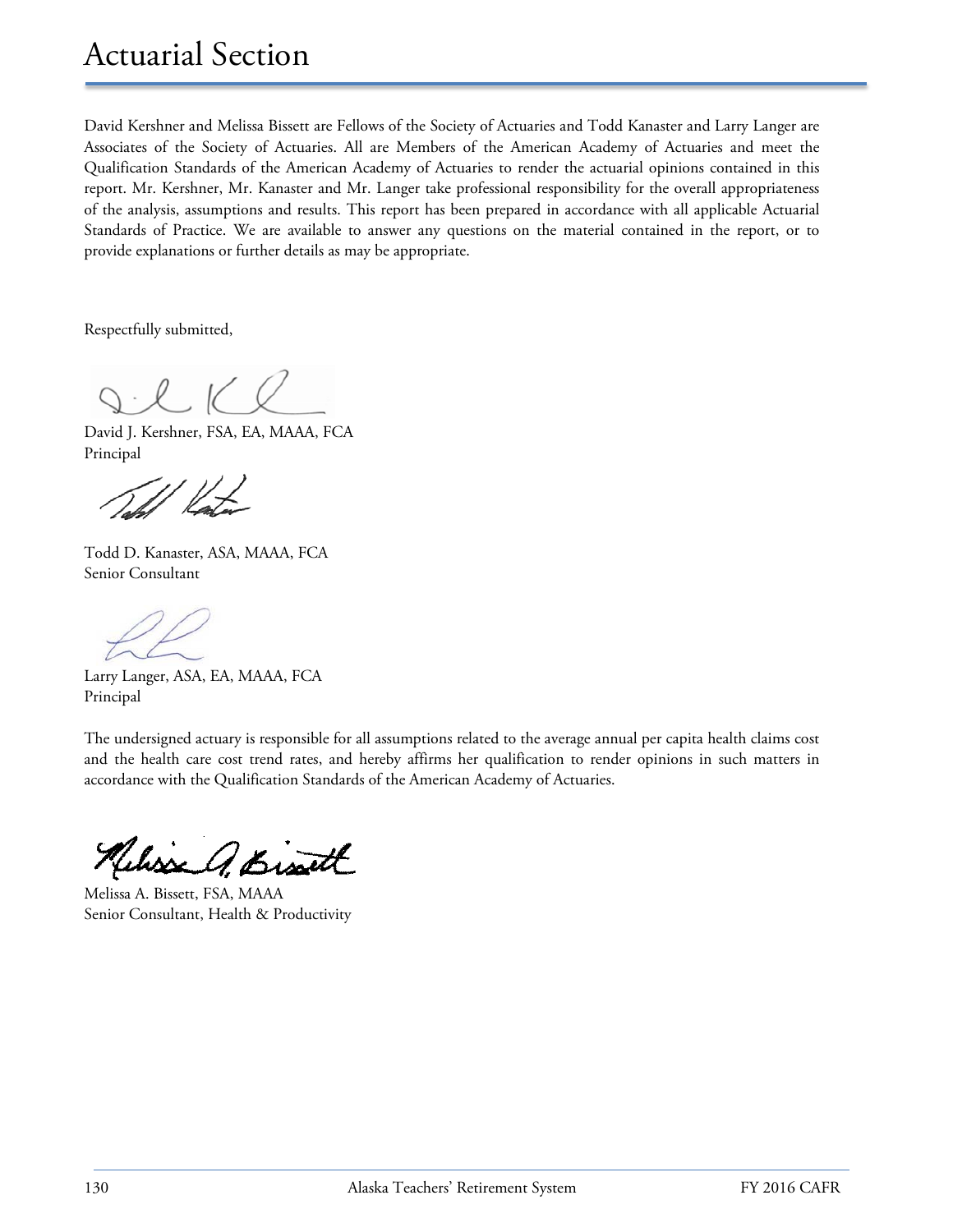# Actuarial Section

David Kershner and Melissa Bissett are Fellows of the Society of Actuaries and Todd Kanaster and Larry Langer are Associates of the Society of Actuaries. All are Members of the American Academy of Actuaries and meet the Qualification Standards of the American Academy of Actuaries to render the actuarial opinions contained in this report. Mr. Kershner, Mr. Kanaster and Mr. Langer take professional responsibility for the overall appropriateness of the analysis, assumptions and results. This report has been prepared in accordance with all applicable Actuarial Standards of Practice. We are available to answer any questions on the material contained in the report, or to provide explanations or further details as may be appropriate.

Respectfully submitted,

David J. Kershner, FSA, EA, MAAA, FCA Principal

Todd D. Kanaster, ASA, MAAA, FCA Senior Consultant

Larry Langer, ASA, EA, MAAA, FCA Principal

The undersigned actuary is responsible for all assumptions related to the average annual per capita health claims cost and the health care cost trend rates, and hereby affirms her qualification to render opinions in such matters in accordance with the Qualification Standards of the American Academy of Actuaries.

Broth

Melissa A. Bissett, FSA, MAAA Senior Consultant, Health & Productivity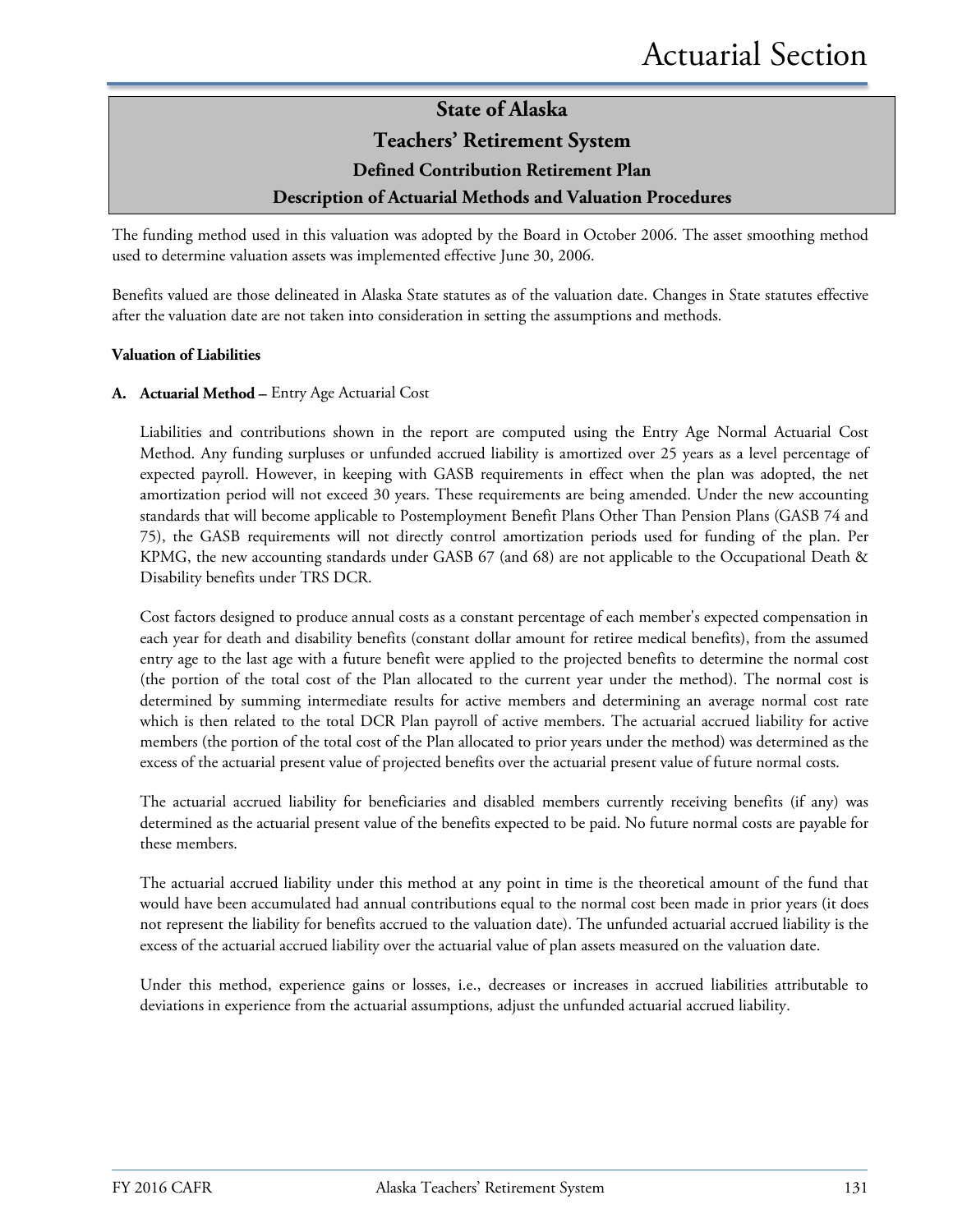#### **Teachers' Retirement System**

#### **Defined Contribution Retirement Plan**

#### **Description of Actuarial Methods and Valuation Procedures**

The funding method used in this valuation was adopted by the Board in October 2006. The asset smoothing method used to determine valuation assets was implemented effective June 30, 2006.

Benefits valued are those delineated in Alaska State statutes as of the valuation date. Changes in State statutes effective after the valuation date are not taken into consideration in setting the assumptions and methods.

#### **Valuation of Liabilities**

#### **A. Actuarial Method –** Entry Age Actuarial Cost

Liabilities and contributions shown in the report are computed using the Entry Age Normal Actuarial Cost Method. Any funding surpluses or unfunded accrued liability is amortized over 25 years as a level percentage of expected payroll. However, in keeping with GASB requirements in effect when the plan was adopted, the net amortization period will not exceed 30 years. These requirements are being amended. Under the new accounting standards that will become applicable to Postemployment Benefit Plans Other Than Pension Plans (GASB 74 and 75), the GASB requirements will not directly control amortization periods used for funding of the plan. Per KPMG, the new accounting standards under GASB 67 (and 68) are not applicable to the Occupational Death & Disability benefits under TRS DCR.

Cost factors designed to produce annual costs as a constant percentage of each member's expected compensation in each year for death and disability benefits (constant dollar amount for retiree medical benefits), from the assumed entry age to the last age with a future benefit were applied to the projected benefits to determine the normal cost (the portion of the total cost of the Plan allocated to the current year under the method). The normal cost is determined by summing intermediate results for active members and determining an average normal cost rate which is then related to the total DCR Plan payroll of active members. The actuarial accrued liability for active members (the portion of the total cost of the Plan allocated to prior years under the method) was determined as the excess of the actuarial present value of projected benefits over the actuarial present value of future normal costs.

The actuarial accrued liability for beneficiaries and disabled members currently receiving benefits (if any) was determined as the actuarial present value of the benefits expected to be paid. No future normal costs are payable for these members.

The actuarial accrued liability under this method at any point in time is the theoretical amount of the fund that would have been accumulated had annual contributions equal to the normal cost been made in prior years (it does not represent the liability for benefits accrued to the valuation date). The unfunded actuarial accrued liability is the excess of the actuarial accrued liability over the actuarial value of plan assets measured on the valuation date.

Under this method, experience gains or losses, i.e., decreases or increases in accrued liabilities attributable to deviations in experience from the actuarial assumptions, adjust the unfunded actuarial accrued liability.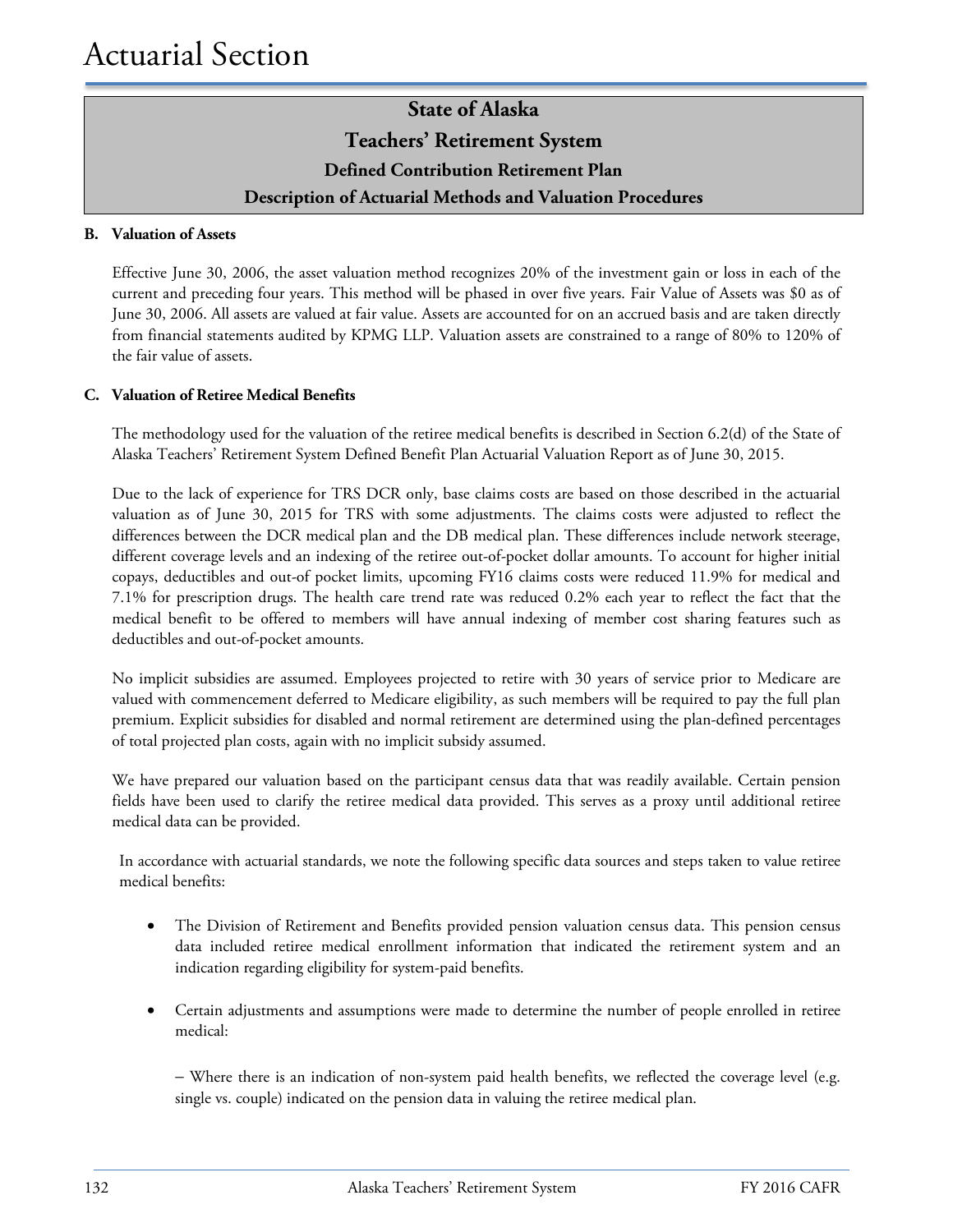#### **B. Valuation of Assets**

Effective June 30, 2006, the asset valuation method recognizes 20% of the investment gain or loss in each of the current and preceding four years. This method will be phased in over five years. Fair Value of Assets was \$0 as of June 30, 2006. All assets are valued at fair value. Assets are accounted for on an accrued basis and are taken directly from financial statements audited by KPMG LLP. Valuation assets are constrained to a range of 80% to 120% of the fair value of assets.

#### **C. Valuation of Retiree Medical Benefits**

The methodology used for the valuation of the retiree medical benefits is described in Section 6.2(d) of the State of Alaska Teachers' Retirement System Defined Benefit Plan Actuarial Valuation Report as of June 30, 2015.

Due to the lack of experience for TRS DCR only, base claims costs are based on those described in the actuarial valuation as of June 30, 2015 for TRS with some adjustments. The claims costs were adjusted to reflect the differences between the DCR medical plan and the DB medical plan. These differences include network steerage, different coverage levels and an indexing of the retiree out-of-pocket dollar amounts. To account for higher initial copays, deductibles and out-of pocket limits, upcoming FY16 claims costs were reduced 11.9% for medical and 7.1% for prescription drugs. The health care trend rate was reduced 0.2% each year to reflect the fact that the medical benefit to be offered to members will have annual indexing of member cost sharing features such as deductibles and out-of-pocket amounts.

No implicit subsidies are assumed. Employees projected to retire with 30 years of service prior to Medicare are valued with commencement deferred to Medicare eligibility, as such members will be required to pay the full plan premium. Explicit subsidies for disabled and normal retirement are determined using the plan-defined percentages of total projected plan costs, again with no implicit subsidy assumed.

We have prepared our valuation based on the participant census data that was readily available. Certain pension fields have been used to clarify the retiree medical data provided. This serves as a proxy until additional retiree medical data can be provided.

In accordance with actuarial standards, we note the following specific data sources and steps taken to value retiree medical benefits:

- The Division of Retirement and Benefits provided pension valuation census data. This pension census data included retiree medical enrollment information that indicated the retirement system and an indication regarding eligibility for system-paid benefits.
- Certain adjustments and assumptions were made to determine the number of people enrolled in retiree medical:

− Where there is an indication of non-system paid health benefits, we reflected the coverage level (e.g. single vs. couple) indicated on the pension data in valuing the retiree medical plan.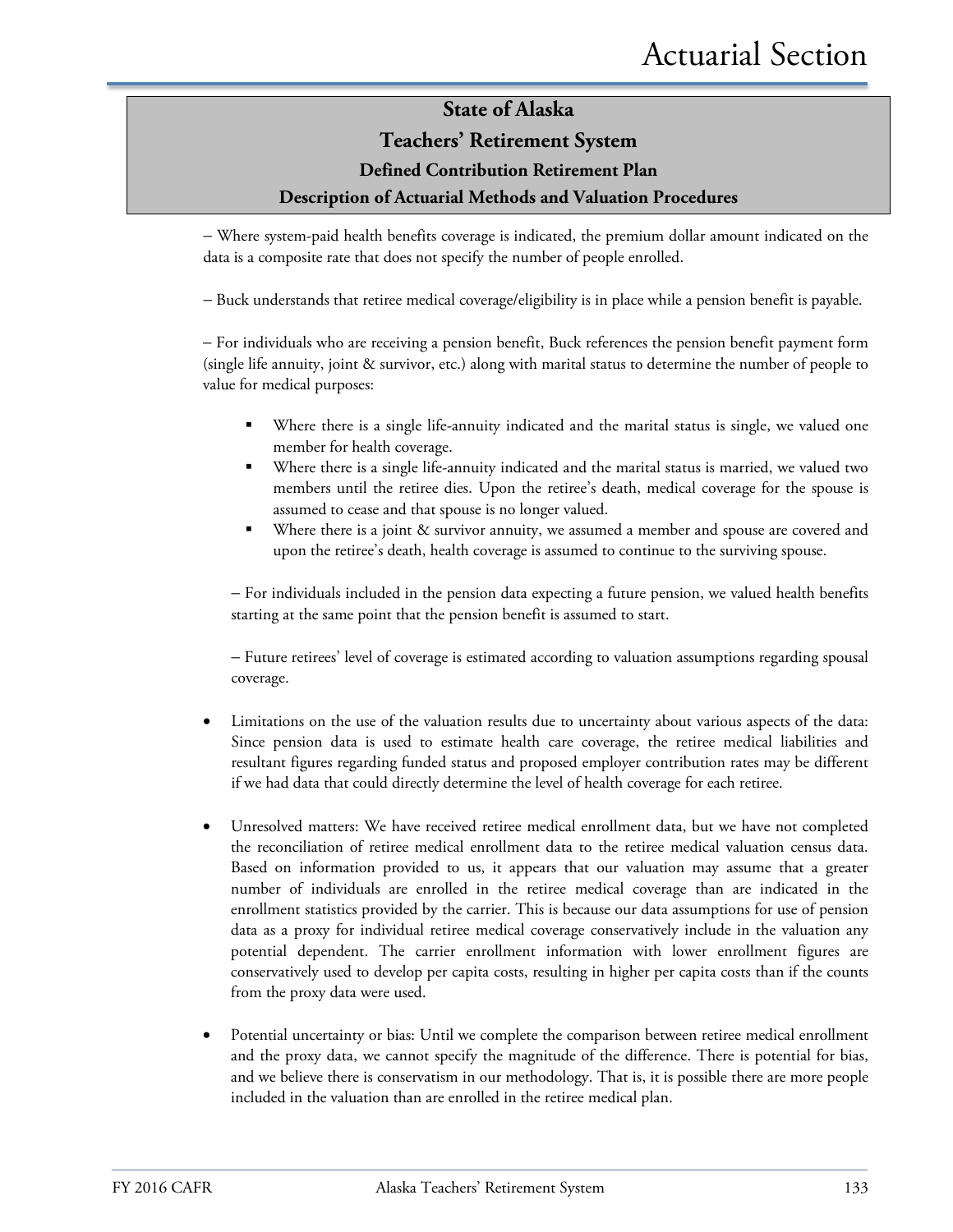#### **Teachers' Retirement System**

#### **Defined Contribution Retirement Plan**

#### **Description of Actuarial Methods and Valuation Procedures**

− Where system-paid health benefits coverage is indicated, the premium dollar amount indicated on the data is a composite rate that does not specify the number of people enrolled.

− Buck understands that retiree medical coverage/eligibility is in place while a pension benefit is payable.

− For individuals who are receiving a pension benefit, Buck references the pension benefit payment form (single life annuity, joint & survivor, etc.) along with marital status to determine the number of people to value for medical purposes:

- Where there is a single life-annuity indicated and the marital status is single, we valued one member for health coverage.
- Where there is a single life-annuity indicated and the marital status is married, we valued two members until the retiree dies. Upon the retiree's death, medical coverage for the spouse is assumed to cease and that spouse is no longer valued.
- Where there is a joint & survivor annuity, we assumed a member and spouse are covered and upon the retiree's death, health coverage is assumed to continue to the surviving spouse.

− For individuals included in the pension data expecting a future pension, we valued health benefits starting at the same point that the pension benefit is assumed to start.

− Future retirees' level of coverage is estimated according to valuation assumptions regarding spousal coverage.

- Limitations on the use of the valuation results due to uncertainty about various aspects of the data: Since pension data is used to estimate health care coverage, the retiree medical liabilities and resultant figures regarding funded status and proposed employer contribution rates may be different if we had data that could directly determine the level of health coverage for each retiree.
- Unresolved matters: We have received retiree medical enrollment data, but we have not completed the reconciliation of retiree medical enrollment data to the retiree medical valuation census data. Based on information provided to us, it appears that our valuation may assume that a greater number of individuals are enrolled in the retiree medical coverage than are indicated in the enrollment statistics provided by the carrier. This is because our data assumptions for use of pension data as a proxy for individual retiree medical coverage conservatively include in the valuation any potential dependent. The carrier enrollment information with lower enrollment figures are conservatively used to develop per capita costs, resulting in higher per capita costs than if the counts from the proxy data were used.
- Potential uncertainty or bias: Until we complete the comparison between retiree medical enrollment and the proxy data, we cannot specify the magnitude of the difference. There is potential for bias, and we believe there is conservatism in our methodology. That is, it is possible there are more people included in the valuation than are enrolled in the retiree medical plan.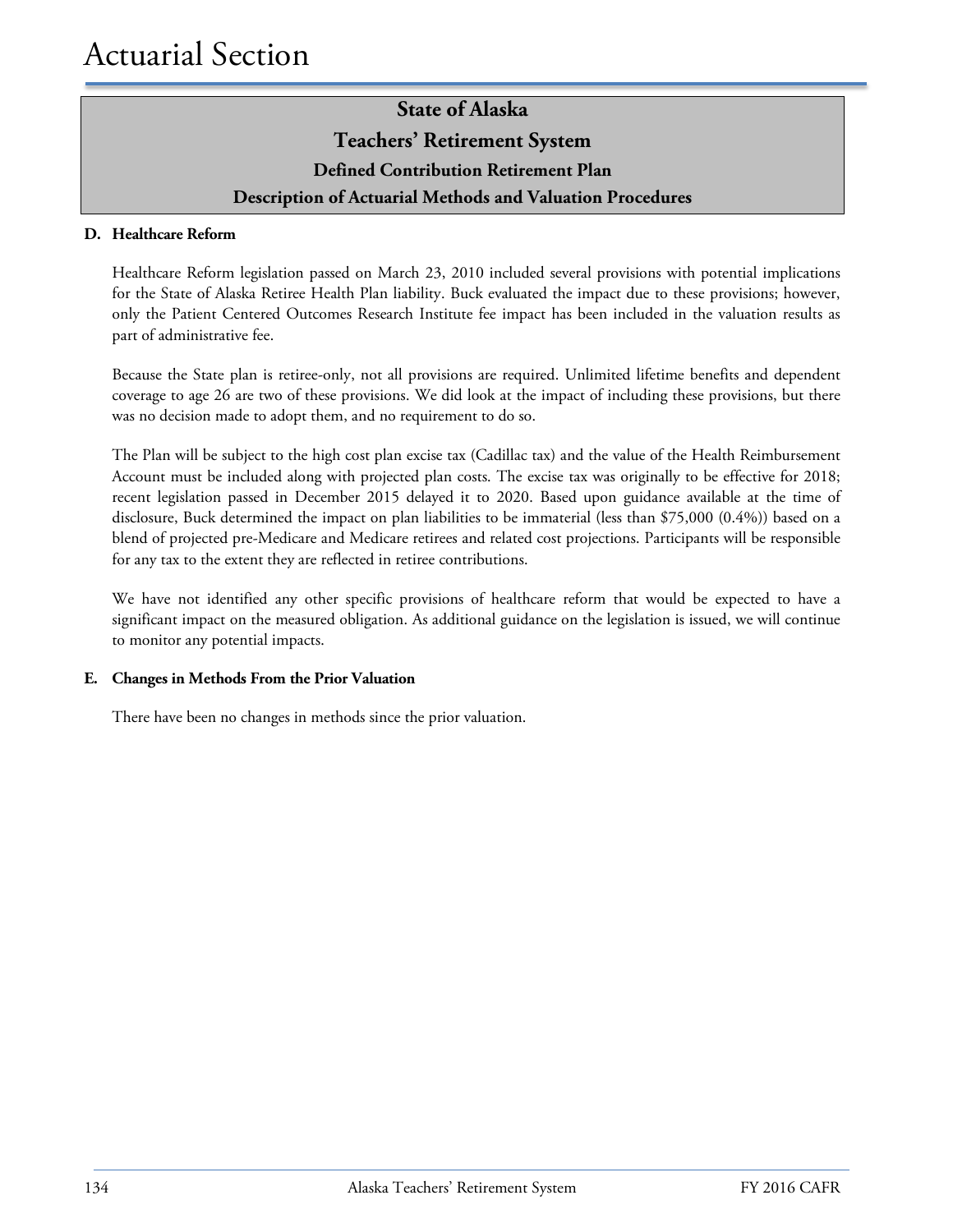#### **D. Healthcare Reform**

Healthcare Reform legislation passed on March 23, 2010 included several provisions with potential implications for the State of Alaska Retiree Health Plan liability. Buck evaluated the impact due to these provisions; however, only the Patient Centered Outcomes Research Institute fee impact has been included in the valuation results as part of administrative fee.

Because the State plan is retiree-only, not all provisions are required. Unlimited lifetime benefits and dependent coverage to age 26 are two of these provisions. We did look at the impact of including these provisions, but there was no decision made to adopt them, and no requirement to do so.

The Plan will be subject to the high cost plan excise tax (Cadillac tax) and the value of the Health Reimbursement Account must be included along with projected plan costs. The excise tax was originally to be effective for 2018; recent legislation passed in December 2015 delayed it to 2020. Based upon guidance available at the time of disclosure, Buck determined the impact on plan liabilities to be immaterial (less than \$75,000 (0.4%)) based on a blend of projected pre-Medicare and Medicare retirees and related cost projections. Participants will be responsible for any tax to the extent they are reflected in retiree contributions.

We have not identified any other specific provisions of healthcare reform that would be expected to have a significant impact on the measured obligation. As additional guidance on the legislation is issued, we will continue to monitor any potential impacts.

#### **E. Changes in Methods From the Prior Valuation**

There have been no changes in methods since the prior valuation.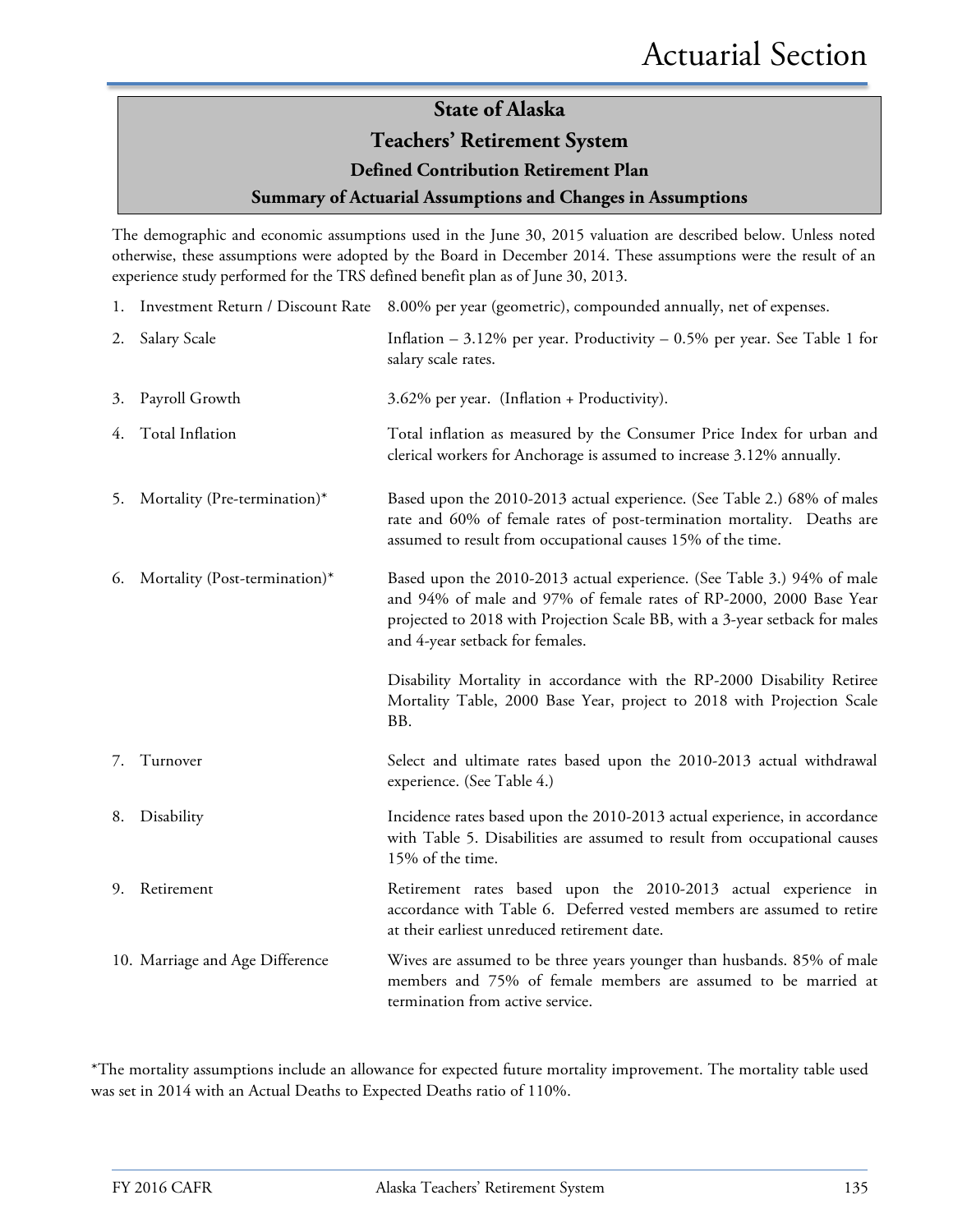#### **Teachers' Retirement System**

#### **Defined Contribution Retirement Plan**

#### **Summary of Actuarial Assumptions and Changes in Assumptions**

The demographic and economic assumptions used in the June 30, 2015 valuation are described below. Unless noted otherwise, these assumptions were adopted by the Board in December 2014. These assumptions were the result of an experience study performed for the TRS defined benefit plan as of June 30, 2013.

|    |                                 | 1. Investment Return / Discount Rate 8.00% per year (geometric), compounded annually, net of expenses.                                                                                                                                                         |
|----|---------------------------------|----------------------------------------------------------------------------------------------------------------------------------------------------------------------------------------------------------------------------------------------------------------|
| 2. | Salary Scale                    | Inflation $-3.12\%$ per year. Productivity $-0.5\%$ per year. See Table 1 for<br>salary scale rates.                                                                                                                                                           |
| 3. | Payroll Growth                  | 3.62% per year. (Inflation + Productivity).                                                                                                                                                                                                                    |
|    | 4. Total Inflation              | Total inflation as measured by the Consumer Price Index for urban and<br>clerical workers for Anchorage is assumed to increase 3.12% annually.                                                                                                                 |
| 5. | Mortality (Pre-termination)*    | Based upon the 2010-2013 actual experience. (See Table 2.) 68% of males<br>rate and 60% of female rates of post-termination mortality. Deaths are<br>assumed to result from occupational causes 15% of the time.                                               |
| 6. | Mortality (Post-termination)*   | Based upon the 2010-2013 actual experience. (See Table 3.) 94% of male<br>and 94% of male and 97% of female rates of RP-2000, 2000 Base Year<br>projected to 2018 with Projection Scale BB, with a 3-year setback for males<br>and 4-year setback for females. |
|    |                                 | Disability Mortality in accordance with the RP-2000 Disability Retiree<br>Mortality Table, 2000 Base Year, project to 2018 with Projection Scale<br>BB.                                                                                                        |
| 7. | Turnover                        | Select and ultimate rates based upon the 2010-2013 actual withdrawal<br>experience. (See Table 4.)                                                                                                                                                             |
| 8. | Disability                      | Incidence rates based upon the 2010-2013 actual experience, in accordance<br>with Table 5. Disabilities are assumed to result from occupational causes<br>15% of the time.                                                                                     |
| 9. | Retirement                      | Retirement rates based upon the 2010-2013 actual experience in<br>accordance with Table 6. Deferred vested members are assumed to retire<br>at their earliest unreduced retirement date.                                                                       |
|    | 10. Marriage and Age Difference | Wives are assumed to be three years younger than husbands. 85% of male<br>members and 75% of female members are assumed to be married at<br>termination from active service.                                                                                   |

\*The mortality assumptions include an allowance for expected future mortality improvement. The mortality table used was set in 2014 with an Actual Deaths to Expected Deaths ratio of 110%.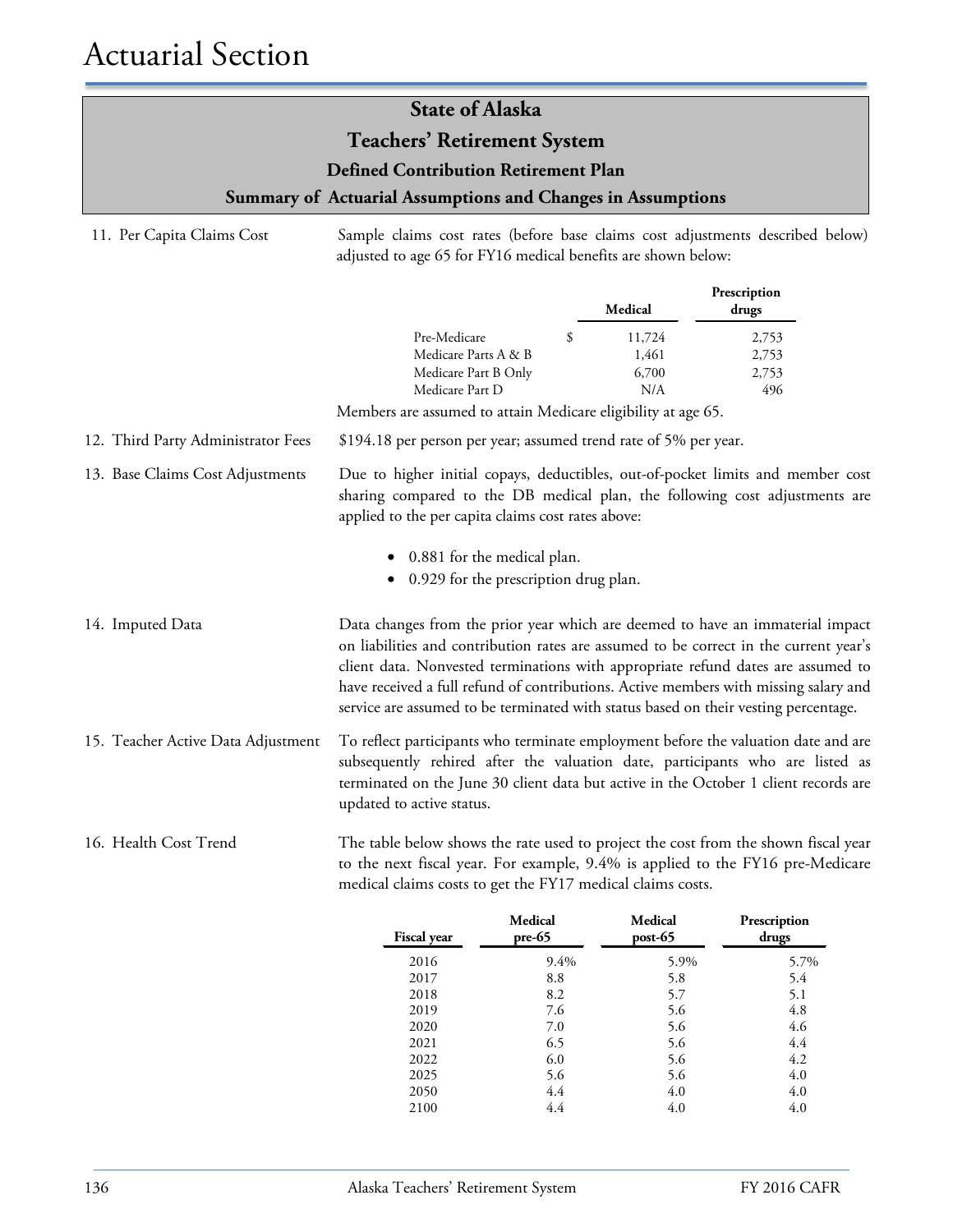### 11. Per Capita Claims Cost Sample claims cost rates (before base claims cost adjustments described below) adjusted to age 65 for FY16 medical benefits are shown below: **Prescription Medical drugs** Pre-Medicare \$ 11,724 2,753 Medicare Parts A & B 1,461 2,753 Medicare Part B Only 6,700 2,753 Medicare Part D N/A 496 Members are assumed to attain Medicare eligibility at age 65. 12. Third Party Administrator Fees \$194.18 per person per year; assumed trend rate of 5% per year. 13. Base Claims Cost Adjustments Due to higher initial copays, deductibles, out-of-pocket limits and member cost sharing compared to the DB medical plan, the following cost adjustments are applied to the per capita claims cost rates above: • 0.881 for the medical plan. • 0.929 for the prescription drug plan. **State of Alaska Teachers' Retirement System Defined Contribution Retirement Plan Summary of Actuarial Assumptions and Changes in Assumptions**

- 14. Imputed Data Data changes from the prior year which are deemed to have an immaterial impact on liabilities and contribution rates are assumed to be correct in the current year's client data. Nonvested terminations with appropriate refund dates are assumed to have received a full refund of contributions. Active members with missing salary and service are assumed to be terminated with status based on their vesting percentage.
- 15. Teacher Active Data Adjustment To reflect participants who terminate employment before the valuation date and are subsequently rehired after the valuation date, participants who are listed as terminated on the June 30 client data but active in the October 1 client records are updated to active status.

#### 16. Health Cost Trend The table below shows the rate used to project the cost from the shown fiscal year to the next fiscal year. For example, 9.4% is applied to the FY16 pre-Medicare medical claims costs to get the FY17 medical claims costs.

| <b>Fiscal year</b> | Medical<br>$pre-65$ | Medical<br>$post-65$ | Prescription<br>drugs |
|--------------------|---------------------|----------------------|-----------------------|
| 2016               | 9.4%                | 5.9%                 | 5.7%                  |
| 2017               | 8.8                 | 5.8                  | 5.4                   |
| 2018               | 8.2                 | 5.7                  | 5.1                   |
| 2019               | 7.6                 | 5.6                  | 4.8                   |
| 2020               | 7.0                 | 5.6                  | 4.6                   |
| 2021               | 6.5                 | 5.6                  | 4.4                   |
| 2022               | 6.0                 | 5.6                  | 4.2                   |
| 2025               | 5.6                 | 5.6                  | 4.0                   |
| 2050               | 4.4                 | 4.0                  | 4.0                   |
| 2100               | 4.4                 | 4.0                  | 4.0                   |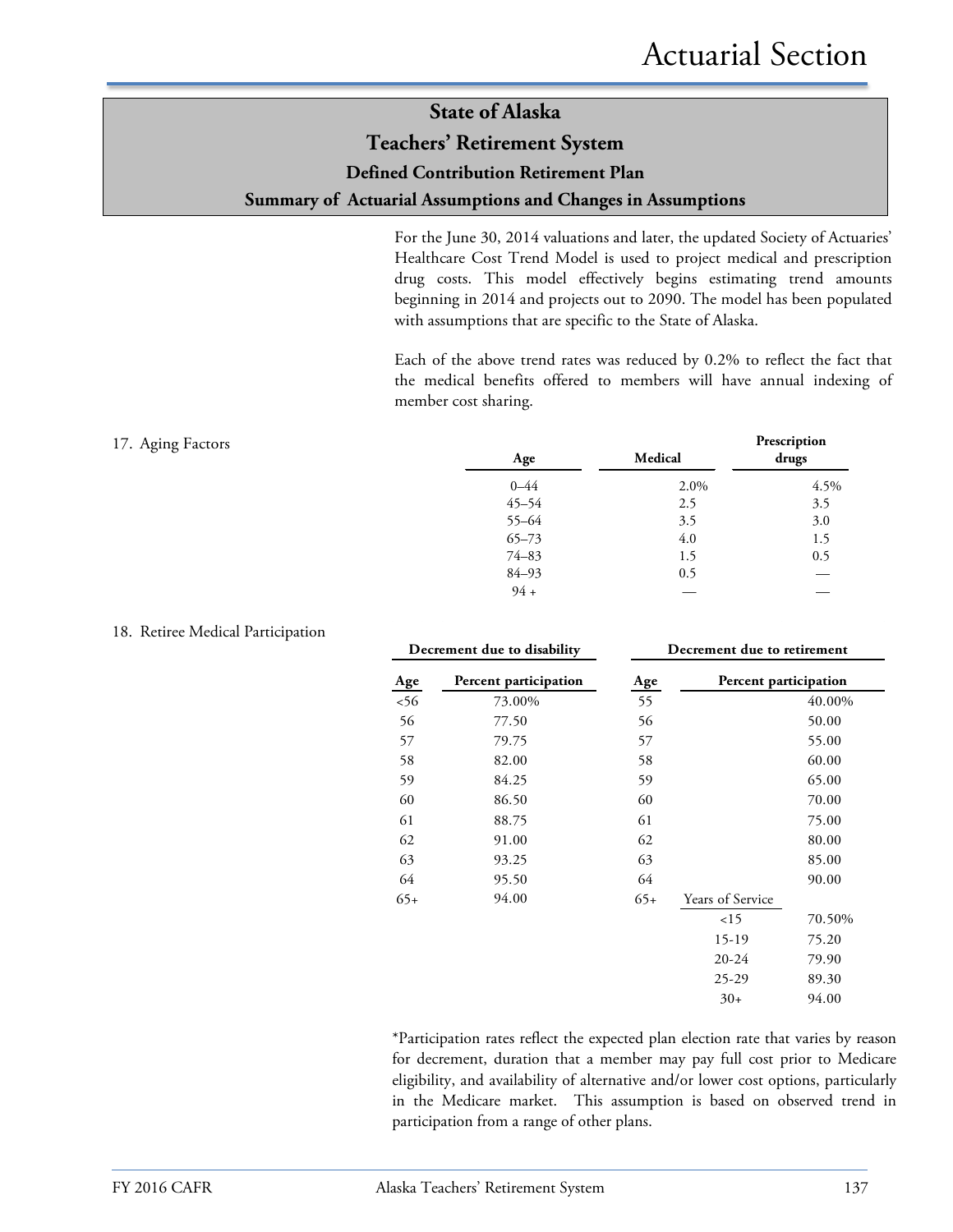#### **Teachers' Retirement System**

#### **Defined Contribution Retirement Plan**

#### **Summary of Actuarial Assumptions and Changes in Assumptions**

For the June 30, 2014 valuations and later, the updated Society of Actuaries' Healthcare Cost Trend Model is used to project medical and prescription drug costs. This model effectively begins estimating trend amounts beginning in 2014 and projects out to 2090. The model has been populated with assumptions that are specific to the State of Alaska.

Each of the above trend rates was reduced by 0.2% to reflect the fact that the medical benefits offered to members will have annual indexing of member cost sharing.

| 17. Aging Factors | Age       | Medical | Prescription<br>drugs |
|-------------------|-----------|---------|-----------------------|
|                   | $0 - 44$  | 2.0%    | 4.5%                  |
|                   | $45 - 54$ | 2.5     | 3.5                   |
|                   | 55-64     | 3.5     | 3.0                   |
|                   | $65 - 73$ | 4.0     | 1.5                   |
|                   | $74 - 83$ | 1.5     | 0.5                   |
|                   | 84-93     | 0.5     |                       |
|                   | $94 +$    |         |                       |

| Decrement due to disability |                       | Decrement due to retirement |                       |        |  |  |
|-----------------------------|-----------------------|-----------------------------|-----------------------|--------|--|--|
| Age                         | Percent participation | Age                         | Percent participation |        |  |  |
| 56                          | 73.00%                | 55                          |                       | 40.00% |  |  |
| 56                          | 77.50                 | 56                          |                       | 50.00  |  |  |
| 57                          | 79.75                 | 57                          |                       | 55.00  |  |  |
| 58                          | 82.00                 | 58                          |                       | 60.00  |  |  |
| 59                          | 84.25                 | 59                          |                       | 65.00  |  |  |
| 60                          | 86.50                 | 60                          |                       | 70.00  |  |  |
| 61                          | 88.75                 | 61                          |                       | 75.00  |  |  |
| 62                          | 91.00                 | 62                          |                       | 80.00  |  |  |
| 63                          | 93.25                 | 63                          |                       | 85.00  |  |  |
| 64                          | 95.50                 | 64                          |                       | 90.00  |  |  |
| $65+$                       | 94.00                 | $65+$                       | Years of Service      |        |  |  |
|                             |                       |                             | 15                    | 70.50% |  |  |
|                             |                       |                             | 15-19                 | 75.20  |  |  |
|                             |                       |                             | $20 - 24$             | 79.90  |  |  |
|                             |                       |                             | $25 - 29$             | 89.30  |  |  |
|                             |                       |                             | $30+$                 | 94.00  |  |  |
|                             |                       |                             |                       |        |  |  |

\*Participation rates reflect the expected plan election rate that varies by reason for decrement, duration that a member may pay full cost prior to Medicare eligibility, and availability of alternative and/or lower cost options, particularly in the Medicare market. This assumption is based on observed trend in participation from a range of other plans.

#### 18. Retiree Medical Participation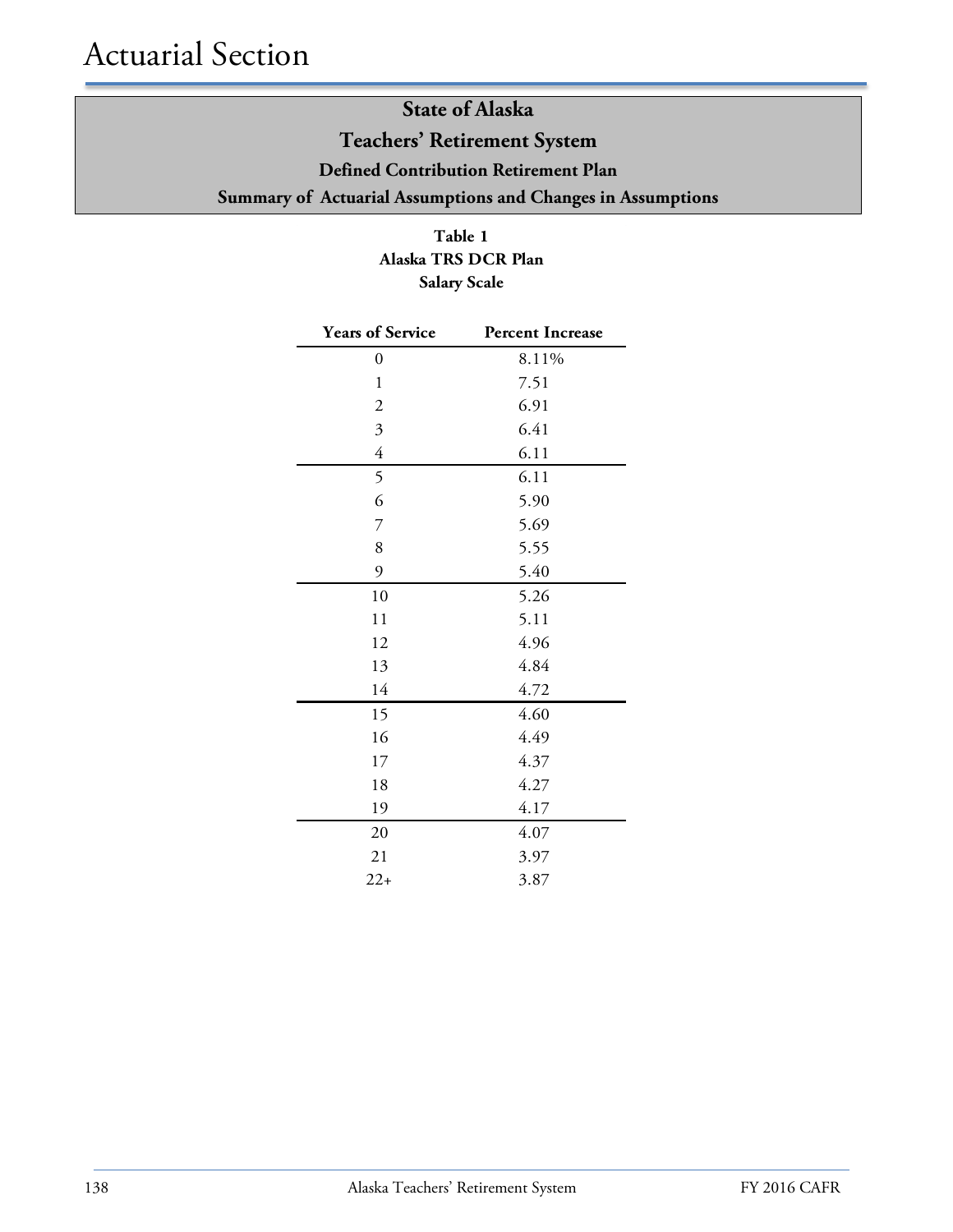### **State of Alaska Teachers' Retirement System Defined Contribution Retirement Plan Summary of Actuarial Assumptions and Changes in Assumptions**

**Table 1 Alaska TRS DCR Plan Salary Scale**

| <b>Years of Service</b> | <b>Percent Increase</b> |
|-------------------------|-------------------------|
| $\overline{0}$          | 8.11%                   |
| $\mathbf{1}$            | 7.51                    |
| $\overline{2}$          | 6.91                    |
| $\overline{\mathbf{3}}$ | 6.41                    |
| $\overline{4}$          | 6.11                    |
| 5                       | 6.11                    |
| 6                       | 5.90                    |
| $\overline{7}$          | 5.69                    |
| 8                       | 5.55                    |
| 9                       | 5.40                    |
| 10                      | 5.26                    |
| 11                      | 5.11                    |
| 12                      | 4.96                    |
| 13                      | 4.84                    |
| 14                      | 4.72                    |
| 15                      | 4.60                    |
| 16                      | 4.49                    |
| 17                      | 4.37                    |
| 18                      | 4.27                    |
| 19                      | 4.17                    |
| 20                      | 4.07                    |
| 21                      | 3.97                    |
| $22+$                   | 3.87                    |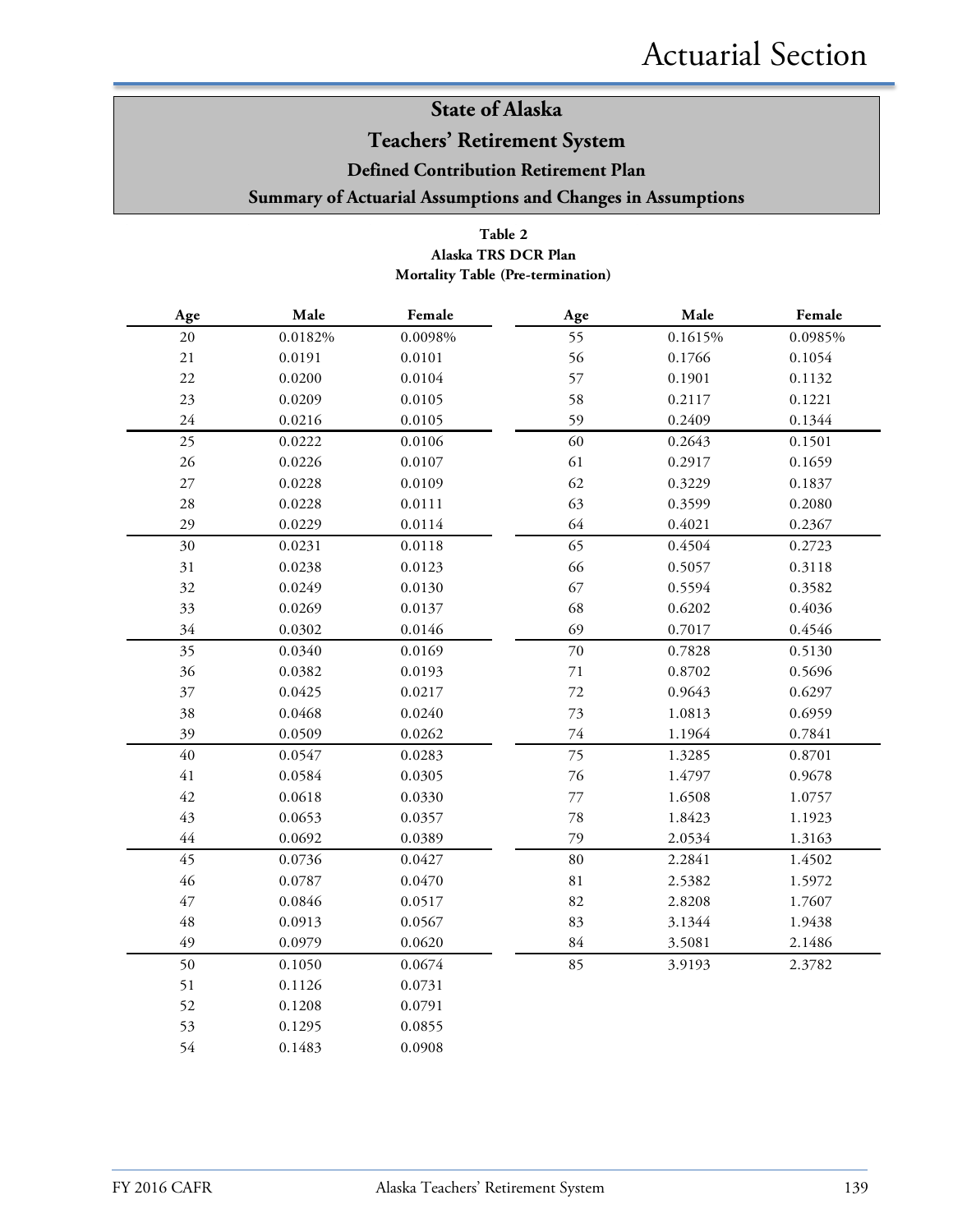### **Teachers' Retirement System**

**Defined Contribution Retirement Plan**

**Summary of Actuarial Assumptions and Changes in Assumptions**

#### **Table 2 Mortality Table (Pre-termination) Alaska TRS DCR Plan**

| $\rm Age$   | Male    | Female  | Age         | Male    | Female  |
|-------------|---------|---------|-------------|---------|---------|
| 20          | 0.0182% | 0.0098% | 55          | 0.1615% | 0.0985% |
| $21\,$      | 0.0191  | 0.0101  | 56          | 0.1766  | 0.1054  |
| $22\,$      | 0.0200  | 0.0104  | 57          | 0.1901  | 0.1132  |
| 23          | 0.0209  | 0.0105  | 58          | 0.2117  | 0.1221  |
| 24          | 0.0216  | 0.0105  | 59          | 0.2409  | 0.1344  |
| 25          | 0.0222  | 0.0106  | 60          | 0.2643  | 0.1501  |
| $26\,$      | 0.0226  | 0.0107  | 61          | 0.2917  | 0.1659  |
| $27\,$      | 0.0228  | 0.0109  | 62          | 0.3229  | 0.1837  |
| $28\,$      | 0.0228  | 0.0111  | 63          | 0.3599  | 0.2080  |
| 29          | 0.0229  | 0.0114  | 64          | 0.4021  | 0.2367  |
| 30          | 0.0231  | 0.0118  | 65          | 0.4504  | 0.2723  |
| 31          | 0.0238  | 0.0123  | 66          | 0.5057  | 0.3118  |
| 32          | 0.0249  | 0.0130  | 67          | 0.5594  | 0.3582  |
| 33          | 0.0269  | 0.0137  | 68          | 0.6202  | 0.4036  |
| 34          | 0.0302  | 0.0146  | 69          | 0.7017  | 0.4546  |
| 35          | 0.0340  | 0.0169  | 70          | 0.7828  | 0.5130  |
| 36          | 0.0382  | 0.0193  | $71\,$      | 0.8702  | 0.5696  |
| 37          | 0.0425  | 0.0217  | $72\,$      | 0.9643  | 0.6297  |
| 38          | 0.0468  | 0.0240  | 73          | 1.0813  | 0.6959  |
| 39          | 0.0509  | 0.0262  | $74\,$      | 1.1964  | 0.7841  |
| $40\,$      | 0.0547  | 0.0283  | 75          | 1.3285  | 0.8701  |
| 41          | 0.0584  | 0.0305  | 76          | 1.4797  | 0.9678  |
| 42          | 0.0618  | 0.0330  | 77          | 1.6508  | 1.0757  |
| 43          | 0.0653  | 0.0357  | 78          | 1.8423  | 1.1923  |
| 44          | 0.0692  | 0.0389  | 79          | 2.0534  | 1.3163  |
| 45          | 0.0736  | 0.0427  | 80          | 2.2841  | 1.4502  |
| 46          | 0.0787  | 0.0470  | $8\sqrt{1}$ | 2.5382  | 1.5972  |
| 47          | 0.0846  | 0.0517  | 82          | 2.8208  | 1.7607  |
| $\sqrt{48}$ | 0.0913  | 0.0567  | 83          | 3.1344  | 1.9438  |
| 49          | 0.0979  | 0.0620  | $84\,$      | 3.5081  | 2.1486  |
| 50          | 0.1050  | 0.0674  | 85          | 3.9193  | 2.3782  |
| 51          | 0.1126  | 0.0731  |             |         |         |
| 52          | 0.1208  | 0.0791  |             |         |         |
| 53          | 0.1295  | 0.0855  |             |         |         |
| 54          | 0.1483  | 0.0908  |             |         |         |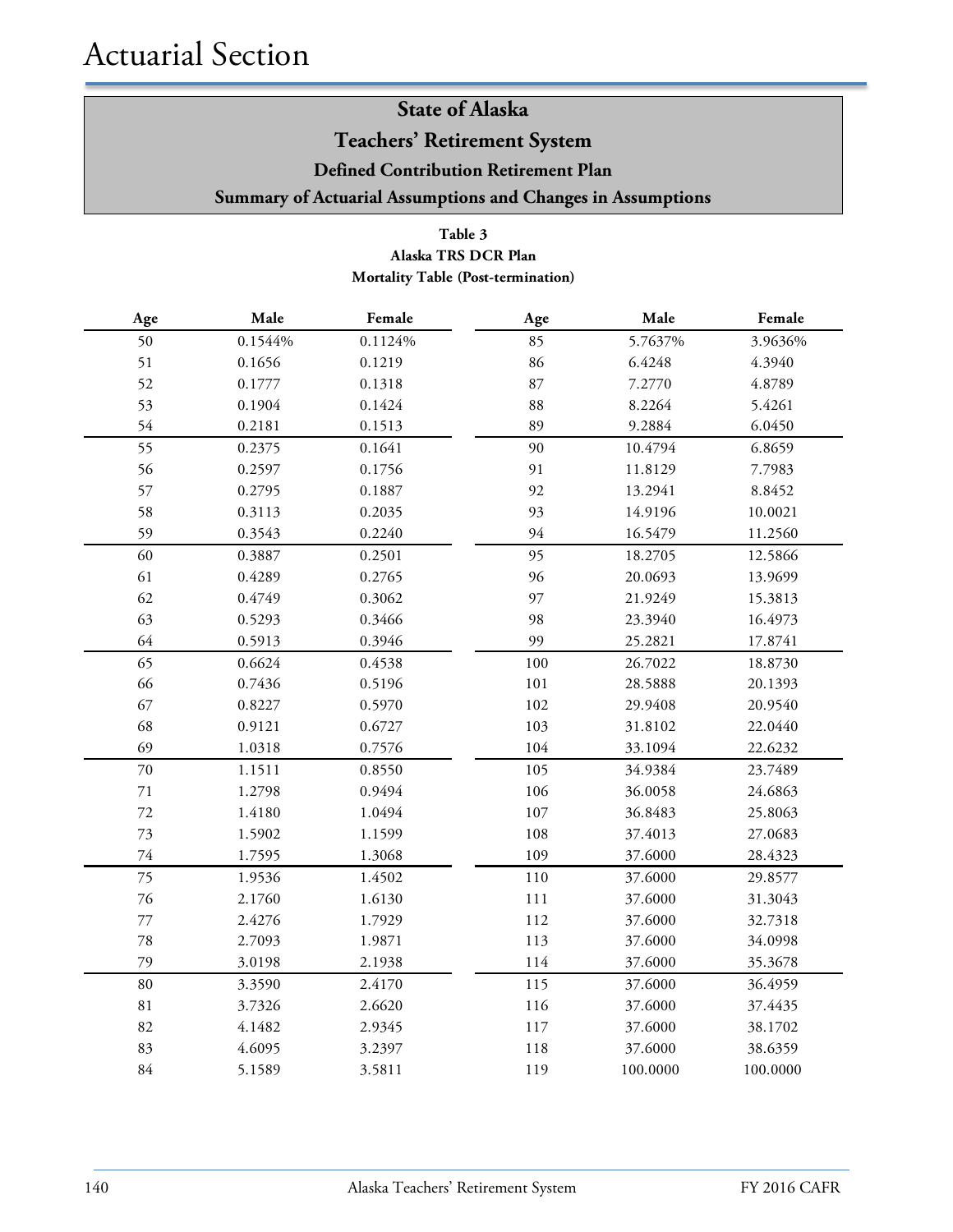**Teachers' Retirement System**

**Defined Contribution Retirement Plan**

**Summary of Actuarial Assumptions and Changes in Assumptions**

#### **Table 3 Alaska TRS DCR Plan Mortality Table (Post-termination)**

| Age    | Male    | Female  | Age     | Male     | Female   |
|--------|---------|---------|---------|----------|----------|
| 50     | 0.1544% | 0.1124% | 85      | 5.7637%  | 3.9636%  |
| 51     | 0.1656  | 0.1219  | 86      | 6.4248   | 4.3940   |
| 52     | 0.1777  | 0.1318  | 87      | 7.2770   | 4.8789   |
| 53     | 0.1904  | 0.1424  | 88      | 8.2264   | 5.4261   |
| 54     | 0.2181  | 0.1513  | 89      | 9.2884   | 6.0450   |
| 55     | 0.2375  | 0.1641  | 90      | 10.4794  | 6.8659   |
| 56     | 0.2597  | 0.1756  | 91      | 11.8129  | 7.7983   |
| 57     | 0.2795  | 0.1887  | 92      | 13.2941  | 8.8452   |
| 58     | 0.3113  | 0.2035  | 93      | 14.9196  | 10.0021  |
| 59     | 0.3543  | 0.2240  | 94      | 16.5479  | 11.2560  |
| 60     | 0.3887  | 0.2501  | 95      | 18.2705  | 12.5866  |
| 61     | 0.4289  | 0.2765  | 96      | 20.0693  | 13.9699  |
| 62     | 0.4749  | 0.3062  | 97      | 21.9249  | 15.3813  |
| 63     | 0.5293  | 0.3466  | 98      | 23.3940  | 16.4973  |
| 64     | 0.5913  | 0.3946  | 99      | 25.2821  | 17.8741  |
| 65     | 0.6624  | 0.4538  | 100     | 26.7022  | 18.8730  |
| 66     | 0.7436  | 0.5196  | 101     | 28.5888  | 20.1393  |
| 67     | 0.8227  | 0.5970  | 102     | 29.9408  | 20.9540  |
| 68     | 0.9121  | 0.6727  | 103     | 31.8102  | 22.0440  |
| 69     | 1.0318  | 0.7576  | 104     | 33.1094  | 22.6232  |
| $70\,$ | 1.1511  | 0.8550  | 105     | 34.9384  | 23.7489  |
| $71\,$ | 1.2798  | 0.9494  | 106     | 36.0058  | 24.6863  |
| 72     | 1.4180  | 1.0494  | $107\,$ | 36.8483  | 25.8063  |
| 73     | 1.5902  | 1.1599  | 108     | 37.4013  | 27.0683  |
| 74     | 1.7595  | 1.3068  | 109     | 37.6000  | 28.4323  |
| 75     | 1.9536  | 1.4502  | 110     | 37.6000  | 29.8577  |
| 76     | 2.1760  | 1.6130  | $111\,$ | 37.6000  | 31.3043  |
| 77     | 2.4276  | 1.7929  | 112     | 37.6000  | 32.7318  |
| $78\,$ | 2.7093  | 1.9871  | 113     | 37.6000  | 34.0998  |
| 79     | 3.0198  | 2.1938  | 114     | 37.6000  | 35.3678  |
| 80     | 3.3590  | 2.4170  | 115     | 37.6000  | 36.4959  |
| 81     | 3.7326  | 2.6620  | 116     | 37.6000  | 37.4435  |
| 82     | 4.1482  | 2.9345  | 117     | 37.6000  | 38.1702  |
| 83     | 4.6095  | 3.2397  | 118     | 37.6000  | 38.6359  |
| $84\,$ | 5.1589  | 3.5811  | 119     | 100.0000 | 100.0000 |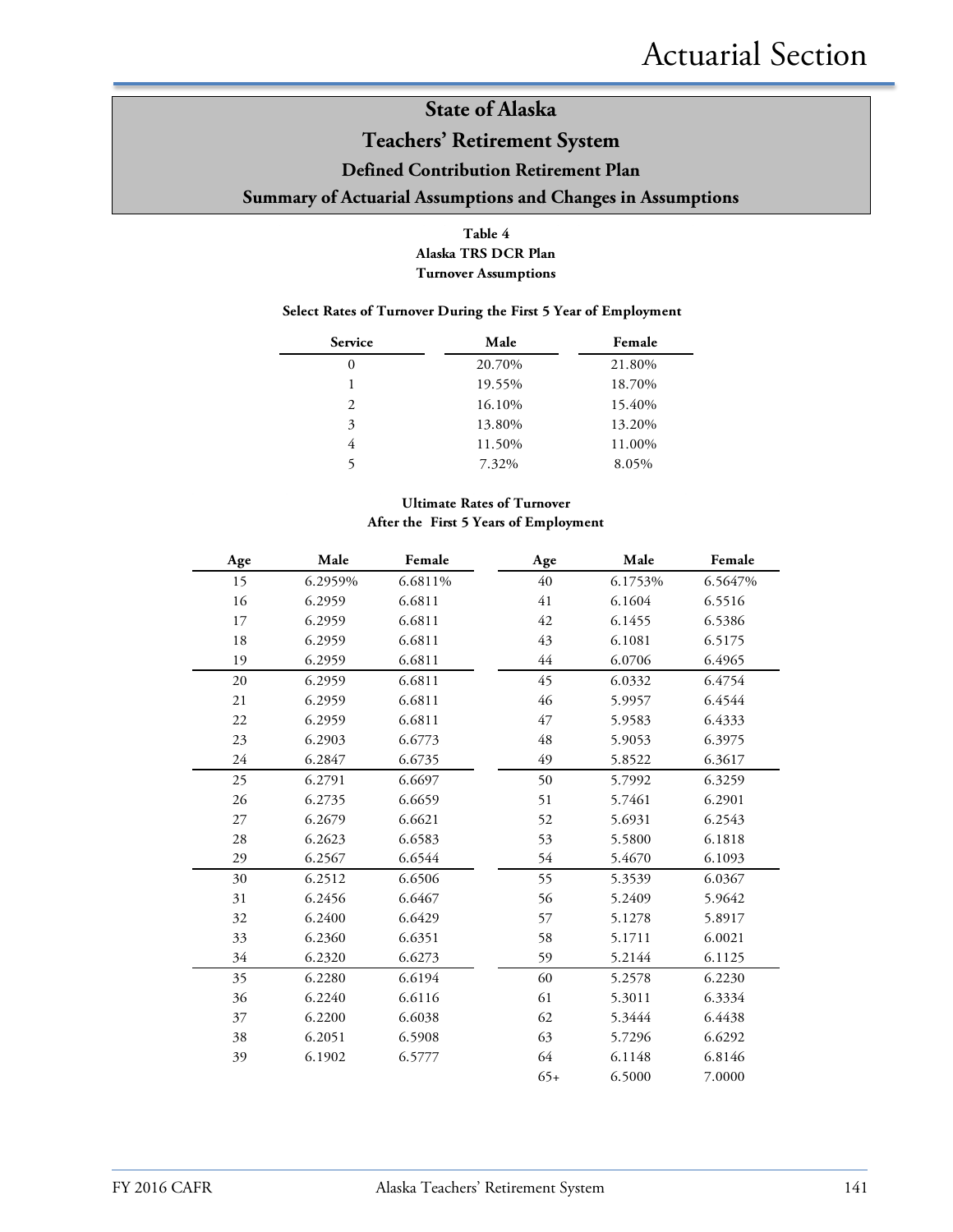### **Teachers' Retirement System**

#### **Defined Contribution Retirement Plan**

#### **Summary of Actuarial Assumptions and Changes in Assumptions**

#### **Table 4 Alaska TRS DCR Plan Turnover Assumptions**

#### **Select Rates of Turnover During the First 5 Year of Employment**

| <b>Service</b> | Male   | Female |
|----------------|--------|--------|
| 0              | 20.70% | 21.80% |
|                | 19.55% | 18.70% |
| 2              | 16.10% | 15.40% |
| 3              | 13.80% | 13.20% |
| 4              | 11.50% | 11.00% |
|                | 7.32%  | 8.05%  |

#### **Ultimate Rates of Turnover After the First 5 Years of Employment**

| Age | Male    | Female  | Age   | Male    | Female  |
|-----|---------|---------|-------|---------|---------|
| 15  | 6.2959% | 6.6811% | 40    | 6.1753% | 6.5647% |
| 16  | 6.2959  | 6.6811  | 41    | 6.1604  | 6.5516  |
| 17  | 6.2959  | 6.6811  | 42    | 6.1455  | 6.5386  |
| 18  | 6.2959  | 6.6811  | 43    | 6.1081  | 6.5175  |
| 19  | 6.2959  | 6.6811  | 44    | 6.0706  | 6.4965  |
| 20  | 6.2959  | 6.6811  | 45    | 6.0332  | 6.4754  |
| 21  | 6.2959  | 6.6811  | 46    | 5.9957  | 6.4544  |
| 22  | 6.2959  | 6.6811  | 47    | 5.9583  | 6.4333  |
| 23  | 6.2903  | 6.6773  | 48    | 5.9053  | 6.3975  |
| 24  | 6.2847  | 6.6735  | 49    | 5.8522  | 6.3617  |
| 25  | 6.2791  | 6.6697  | 50    | 5.7992  | 6.3259  |
| 26  | 6.2735  | 6.6659  | 51    | 5.7461  | 6.2901  |
| 27  | 6.2679  | 6.6621  | 52    | 5.6931  | 6.2543  |
| 28  | 6.2623  | 6.6583  | 53    | 5.5800  | 6.1818  |
| 29  | 6.2567  | 6.6544  | 54    | 5.4670  | 6.1093  |
| 30  | 6.2512  | 6.6506  | 55    | 5.3539  | 6.0367  |
| 31  | 6.2456  | 6.6467  | 56    | 5.2409  | 5.9642  |
| 32  | 6.2400  | 6.6429  | 57    | 5.1278  | 5.8917  |
| 33  | 6.2360  | 6.6351  | 58    | 5.1711  | 6.0021  |
| 34  | 6.2320  | 6.6273  | 59    | 5.2144  | 6.1125  |
| 35  | 6.2280  | 6.6194  | 60    | 5.2578  | 6.2230  |
| 36  | 6.2240  | 6.6116  | 61    | 5.3011  | 6.3334  |
| 37  | 6.2200  | 6.6038  | 62    | 5.3444  | 6.4438  |
| 38  | 6.2051  | 6.5908  | 63    | 5.7296  | 6.6292  |
| 39  | 6.1902  | 6.5777  | 64    | 6.1148  | 6.8146  |
|     |         |         | $65+$ | 6.5000  | 7.0000  |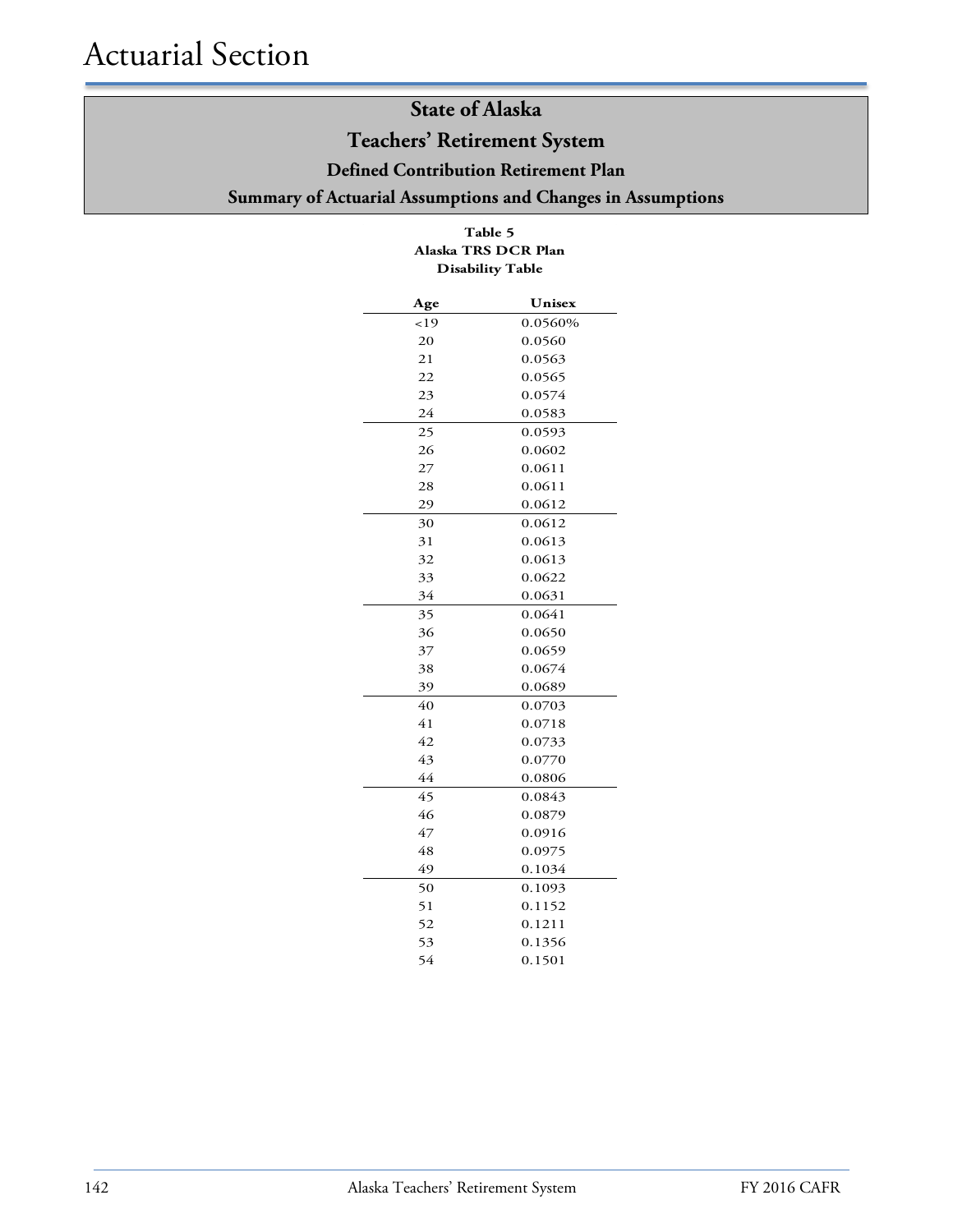### **Teachers' Retirement System**

**Defined Contribution Retirement Plan**

### **Summary of Actuarial Assumptions and Changes in Assumptions**

| <br>Alaska TRS DCR Plan<br><b>Disability Table</b> |         |  |  |  |
|----------------------------------------------------|---------|--|--|--|
| Age                                                | Unisex  |  |  |  |
| <19                                                | 0.0560% |  |  |  |
| 20                                                 | 0.0560  |  |  |  |
| 21                                                 | 0.0563  |  |  |  |
| 22                                                 | 0.0565  |  |  |  |
| 23                                                 | 0.0574  |  |  |  |
| 24                                                 | 0.0583  |  |  |  |
| 25                                                 | 0.0593  |  |  |  |
| 26                                                 | 0.0602  |  |  |  |
| 27                                                 | 0.0611  |  |  |  |
| 28                                                 | 0.0611  |  |  |  |
| 29                                                 | 0.0612  |  |  |  |
| 30                                                 | 0.0612  |  |  |  |
| 31                                                 | 0.0613  |  |  |  |
| 32                                                 | 0.0613  |  |  |  |
| 33                                                 | 0.0622  |  |  |  |
| 34                                                 | 0.0631  |  |  |  |
| 35                                                 | 0.0641  |  |  |  |
| 36                                                 | 0.0650  |  |  |  |
| 37                                                 | 0.0659  |  |  |  |
| 38                                                 | 0.0674  |  |  |  |
| 39                                                 | 0.0689  |  |  |  |
| 40                                                 | 0.0703  |  |  |  |
| 41                                                 | 0.0718  |  |  |  |
| 42                                                 | 0.0733  |  |  |  |
| 43                                                 | 0.0770  |  |  |  |
| 44                                                 | 0.0806  |  |  |  |
| 45                                                 | 0.0843  |  |  |  |
| 46                                                 | 0.0879  |  |  |  |
| 47                                                 | 0.0916  |  |  |  |
| 48                                                 | 0.0975  |  |  |  |
| 49                                                 | 0.1034  |  |  |  |
| 50                                                 | 0.1093  |  |  |  |
| 51                                                 | 0.1152  |  |  |  |
| 52                                                 | 0.1211  |  |  |  |
| 53                                                 | 0.1356  |  |  |  |
| 54                                                 | 0.1501  |  |  |  |

# **Table 5**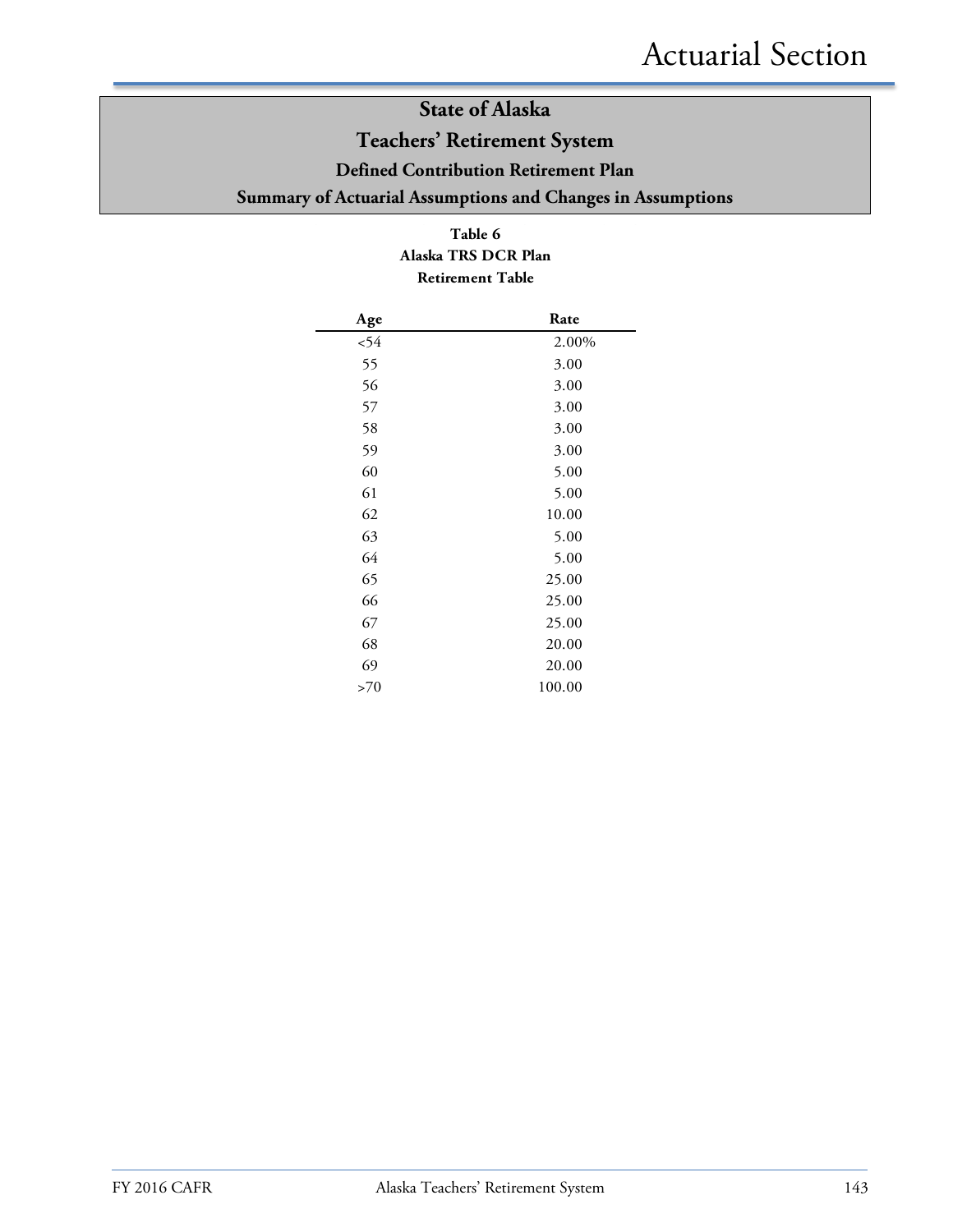### **Teachers' Retirement System**

**Defined Contribution Retirement Plan**

**Summary of Actuarial Assumptions and Changes in Assumptions**

#### **Table 6 Alaska TRS DCR Plan Retirement Table**

| Age | Rate   |
|-----|--------|
| 54  | 2.00%  |
| 55  | 3.00   |
| 56  | 3.00   |
| 57  | 3.00   |
| 58  | 3.00   |
| 59  | 3.00   |
| 60  | 5.00   |
| 61  | 5.00   |
| 62  | 10.00  |
| 63  | 5.00   |
| 64  | 5.00   |
| 65  | 25.00  |
| 66  | 25.00  |
| 67  | 25.00  |
| 68  | 20.00  |
| 69  | 20.00  |
| >70 | 100.00 |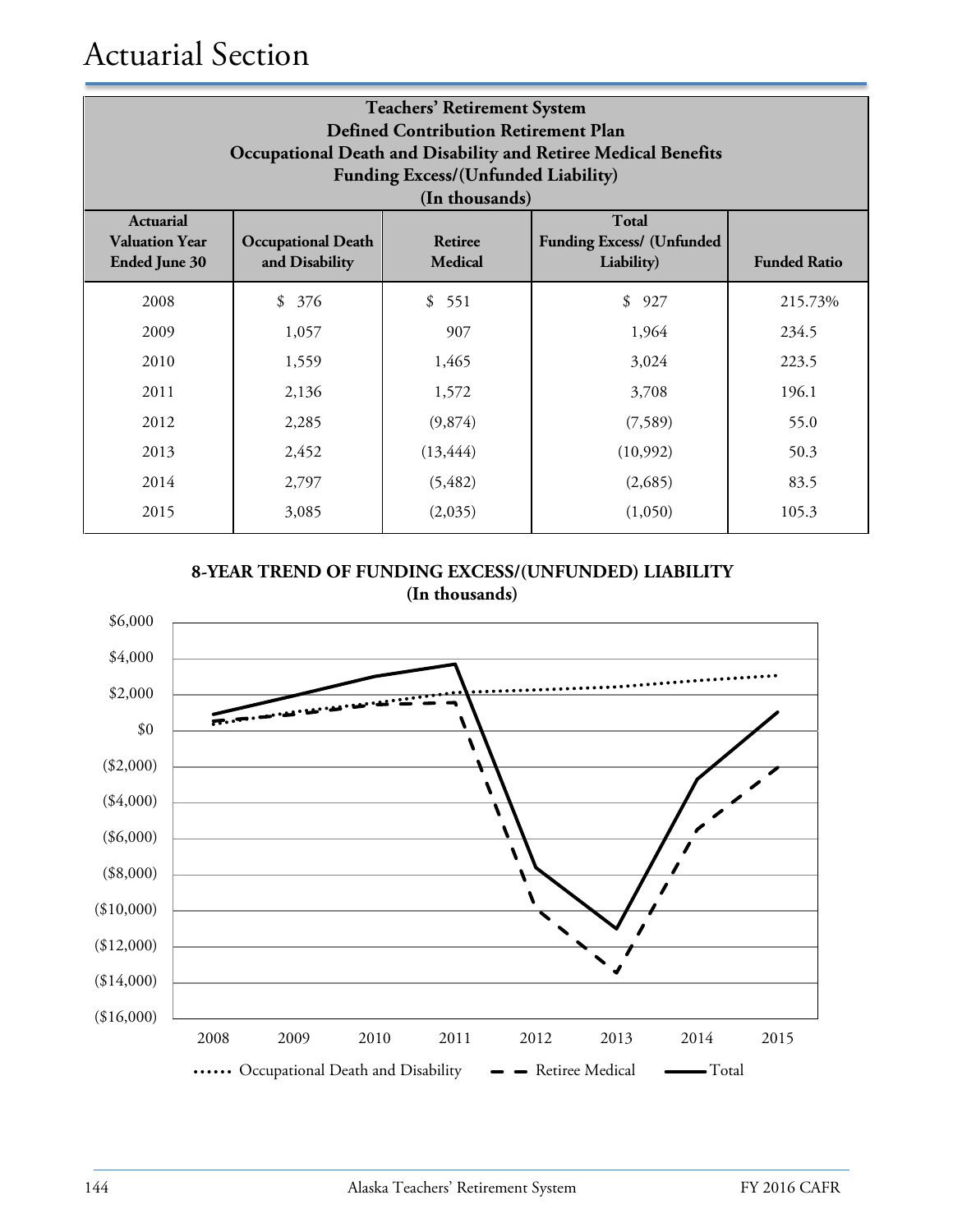# Actuarial Section

| <b>Teachers' Retirement System</b><br><b>Defined Contribution Retirement Plan</b><br>Occupational Death and Disability and Retiree Medical Benefits<br><b>Funding Excess/(Unfunded Liability)</b><br>(In thousands) |                                             |                                  |                                                         |                     |  |
|---------------------------------------------------------------------------------------------------------------------------------------------------------------------------------------------------------------------|---------------------------------------------|----------------------------------|---------------------------------------------------------|---------------------|--|
| <b>Actuarial</b><br><b>Valuation Year</b><br><b>Ended June 30</b>                                                                                                                                                   | <b>Occupational Death</b><br>and Disability | <b>Retiree</b><br><b>Medical</b> | Total<br><b>Funding Excess/ (Unfunded</b><br>Liability) | <b>Funded Ratio</b> |  |
| 2008                                                                                                                                                                                                                | \$376                                       | \$551                            | \$927                                                   | 215.73%             |  |
| 2009                                                                                                                                                                                                                | 1,057                                       | 907                              | 1,964                                                   | 234.5               |  |
| 2010                                                                                                                                                                                                                | 1,559                                       | 1,465                            | 3,024                                                   | 223.5               |  |
| 2011                                                                                                                                                                                                                | 2,136                                       | 1,572                            | 3,708                                                   | 196.1               |  |
| 2012                                                                                                                                                                                                                | 2,285                                       | (9,874)                          | (7,589)                                                 | 55.0                |  |
| 2013                                                                                                                                                                                                                | 2,452                                       | (13, 444)                        | (10,992)                                                | 50.3                |  |
| 2014                                                                                                                                                                                                                | 2,797                                       | (5, 482)                         | (2,685)                                                 | 83.5                |  |
| 2015                                                                                                                                                                                                                | 3,085                                       | (2,035)                          | (1,050)                                                 | 105.3               |  |



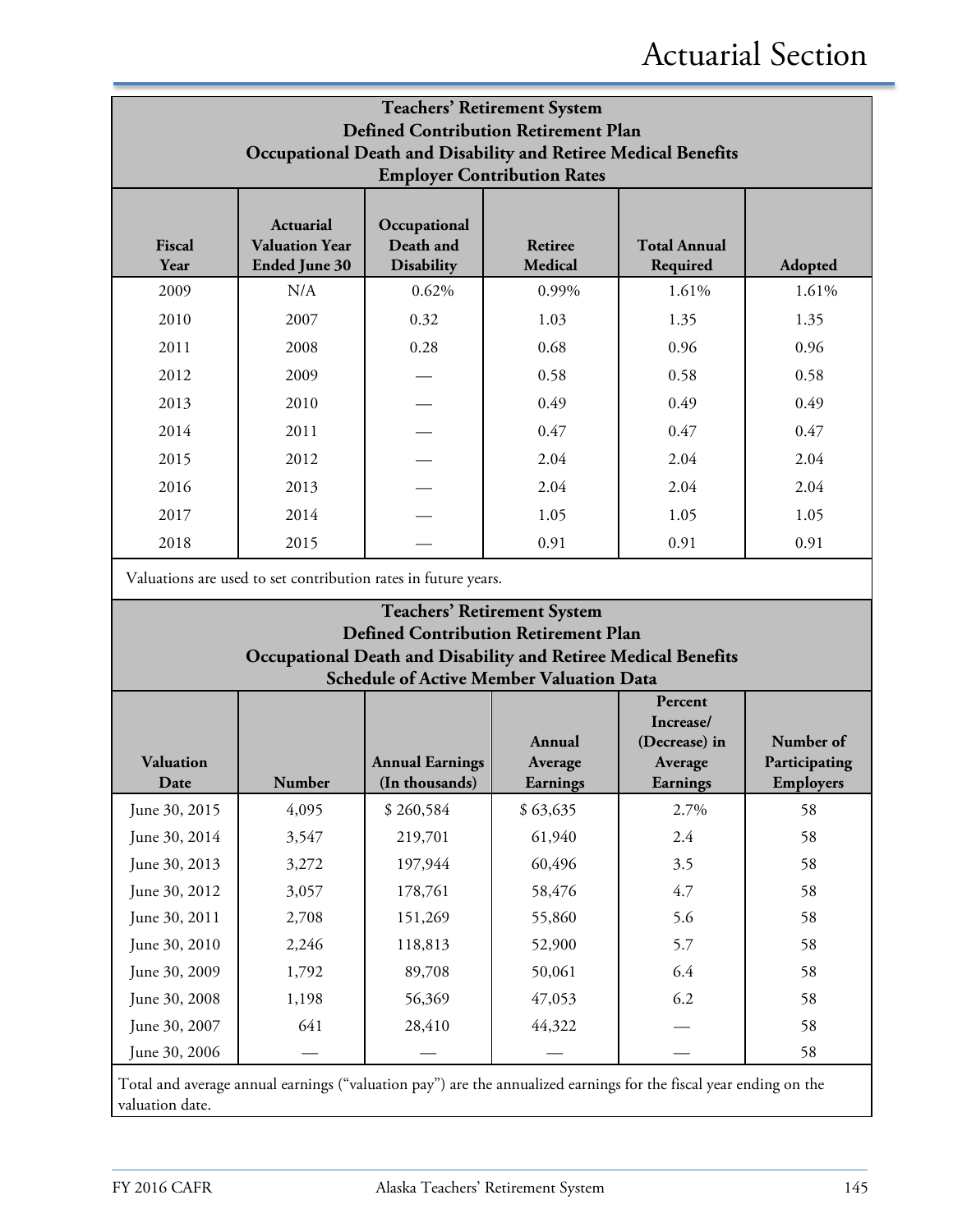| <b>Teachers' Retirement System</b><br><b>Defined Contribution Retirement Plan</b><br>Occupational Death and Disability and Retiree Medical Benefits<br><b>Employer Contribution Rates</b> |                                                                                                                                                                                                |       |       |       |       |  |  |  |
|-------------------------------------------------------------------------------------------------------------------------------------------------------------------------------------------|------------------------------------------------------------------------------------------------------------------------------------------------------------------------------------------------|-------|-------|-------|-------|--|--|--|
| Fiscal<br>Year                                                                                                                                                                            | <b>Actuarial</b><br>Occupational<br>Death and<br><b>Total Annual</b><br><b>Valuation Year</b><br>Retiree<br><b>Ended June 30</b><br><b>Disability</b><br><b>Medical</b><br>Required<br>Adopted |       |       |       |       |  |  |  |
| 2009                                                                                                                                                                                      | N/A                                                                                                                                                                                            | 0.62% | 0.99% | 1.61% | 1.61% |  |  |  |
| 2010                                                                                                                                                                                      | 2007                                                                                                                                                                                           | 0.32  | 1.03  | 1.35  | 1.35  |  |  |  |
| 2011                                                                                                                                                                                      | 2008                                                                                                                                                                                           | 0.28  | 0.68  | 0.96  | 0.96  |  |  |  |
| 2012                                                                                                                                                                                      | 2009                                                                                                                                                                                           |       | 0.58  | 0.58  | 0.58  |  |  |  |
| 2013                                                                                                                                                                                      | 2010                                                                                                                                                                                           |       | 0.49  | 0.49  | 0.49  |  |  |  |
| 2014                                                                                                                                                                                      | 2011                                                                                                                                                                                           |       | 0.47  | 0.47  | 0.47  |  |  |  |
| 2015                                                                                                                                                                                      | 2012                                                                                                                                                                                           |       | 2.04  | 2.04  | 2.04  |  |  |  |
| 2016                                                                                                                                                                                      | 2013                                                                                                                                                                                           |       | 2.04  | 2.04  | 2.04  |  |  |  |
| 2017                                                                                                                                                                                      | 2014                                                                                                                                                                                           |       | 1.05  | 1.05  | 1.05  |  |  |  |
| 2018                                                                                                                                                                                      | 2015                                                                                                                                                                                           |       | 0.91  | 0.91  | 0.91  |  |  |  |

Valuations are used to set contribution rates in future years.

#### **Teachers' Retirement System Defined Contribution Retirement Plan Occupational Death and Disability and Retiree Medical Benefits Schedule of Active Member Valuation Data**

|                                                                                                                   |               |                                          | Annual              | Percent<br>Increase/<br>(Decrease) in | Number of                  |
|-------------------------------------------------------------------------------------------------------------------|---------------|------------------------------------------|---------------------|---------------------------------------|----------------------------|
| <b>Valuation</b><br>Date                                                                                          | <b>Number</b> | <b>Annual Earnings</b><br>(In thousands) | Average<br>Earnings | Average<br>Earnings                   | Participating<br>Employers |
| June 30, 2015                                                                                                     | 4,095         | \$260,584                                | \$63,635            | 2.7%                                  | 58                         |
| June 30, 2014                                                                                                     | 3,547         | 219,701                                  | 61,940              | 2.4                                   | 58                         |
| June 30, 2013                                                                                                     | 3,272         | 197,944                                  | 60,496              | 3.5                                   | 58                         |
| June 30, 2012                                                                                                     | 3,057         | 178,761                                  | 58,476              | 4.7                                   | 58                         |
| June 30, 2011                                                                                                     | 2,708         | 151,269                                  | 55,860              | 5.6                                   | 58                         |
| June 30, 2010                                                                                                     | 2,246         | 118,813                                  | 52,900              | 5.7                                   | 58                         |
| June 30, 2009                                                                                                     | 1,792         | 89,708                                   | 50,061              | 6.4                                   | 58                         |
| June 30, 2008                                                                                                     | 1,198         | 56,369                                   | 47,053              | 6.2                                   | 58                         |
| June 30, 2007                                                                                                     | 641           | 28,410                                   | 44,322              |                                       | 58                         |
| June 30, 2006                                                                                                     |               |                                          |                     |                                       | 58                         |
| Total and average annual earnings ("valuation pay") are the annualized earnings for the fiscal year ending on the |               |                                          |                     |                                       |                            |

valuation date.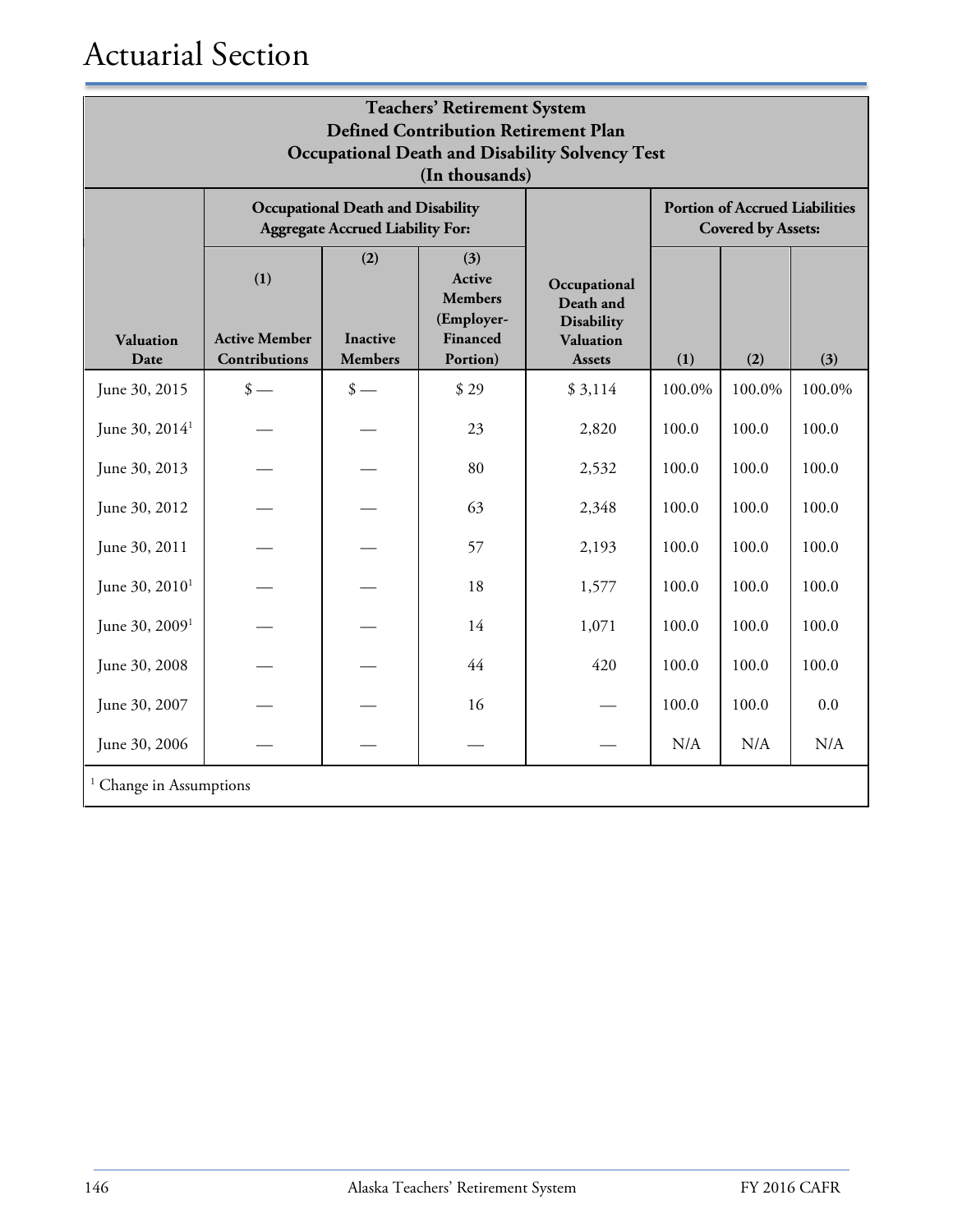# Actuarial Section

| <b>Teachers' Retirement System</b><br><b>Defined Contribution Retirement Plan</b><br><b>Occupational Death and Disability Solvency Test</b><br>(In thousands) |                                              |                                                                                     |                                                                       |                                                                              |        |                                                                    |        |
|---------------------------------------------------------------------------------------------------------------------------------------------------------------|----------------------------------------------|-------------------------------------------------------------------------------------|-----------------------------------------------------------------------|------------------------------------------------------------------------------|--------|--------------------------------------------------------------------|--------|
|                                                                                                                                                               |                                              | <b>Occupational Death and Disability</b><br><b>Aggregate Accrued Liability For:</b> |                                                                       |                                                                              |        | <b>Portion of Accrued Liabilities</b><br><b>Covered by Assets:</b> |        |
| <b>Valuation</b><br>Date                                                                                                                                      | (1)<br><b>Active Member</b><br>Contributions | (2)<br><b>Inactive</b><br><b>Members</b>                                            | (3)<br>Active<br><b>Members</b><br>(Employer-<br>Financed<br>Portion) | Occupational<br>Death and<br><b>Disability</b><br>Valuation<br><b>Assets</b> | (1)    | (2)                                                                | (3)    |
| June 30, 2015                                                                                                                                                 | $\frac{\text{I}}{\text{I}}$                  | $\frac{\text{I}}{\text{I}}$                                                         | \$29                                                                  | \$3,114                                                                      | 100.0% | 100.0%                                                             | 100.0% |
| June 30, 2014 <sup>1</sup>                                                                                                                                    |                                              |                                                                                     | 23                                                                    | 2,820                                                                        | 100.0  | 100.0                                                              | 100.0  |
| June 30, 2013                                                                                                                                                 |                                              |                                                                                     | 80                                                                    | 2,532                                                                        | 100.0  | 100.0                                                              | 100.0  |
| June 30, 2012                                                                                                                                                 |                                              |                                                                                     | 63                                                                    | 2,348                                                                        | 100.0  | 100.0                                                              | 100.0  |
| June 30, 2011                                                                                                                                                 |                                              |                                                                                     | 57                                                                    | 2,193                                                                        | 100.0  | 100.0                                                              | 100.0  |
| June 30, 2010 <sup>1</sup>                                                                                                                                    |                                              |                                                                                     | 18                                                                    | 1,577                                                                        | 100.0  | 100.0                                                              | 100.0  |
| June 30, 2009 <sup>1</sup>                                                                                                                                    |                                              |                                                                                     | 14                                                                    | 1,071                                                                        | 100.0  | 100.0                                                              | 100.0  |
| June 30, 2008                                                                                                                                                 |                                              |                                                                                     | 44                                                                    | 420                                                                          | 100.0  | 100.0                                                              | 100.0  |
| June 30, 2007                                                                                                                                                 |                                              |                                                                                     | 16                                                                    |                                                                              | 100.0  | 100.0                                                              | 0.0    |
| June 30, 2006                                                                                                                                                 |                                              |                                                                                     |                                                                       |                                                                              | N/A    | N/A                                                                | N/A    |
|                                                                                                                                                               | <sup>1</sup> Change in Assumptions           |                                                                                     |                                                                       |                                                                              |        |                                                                    |        |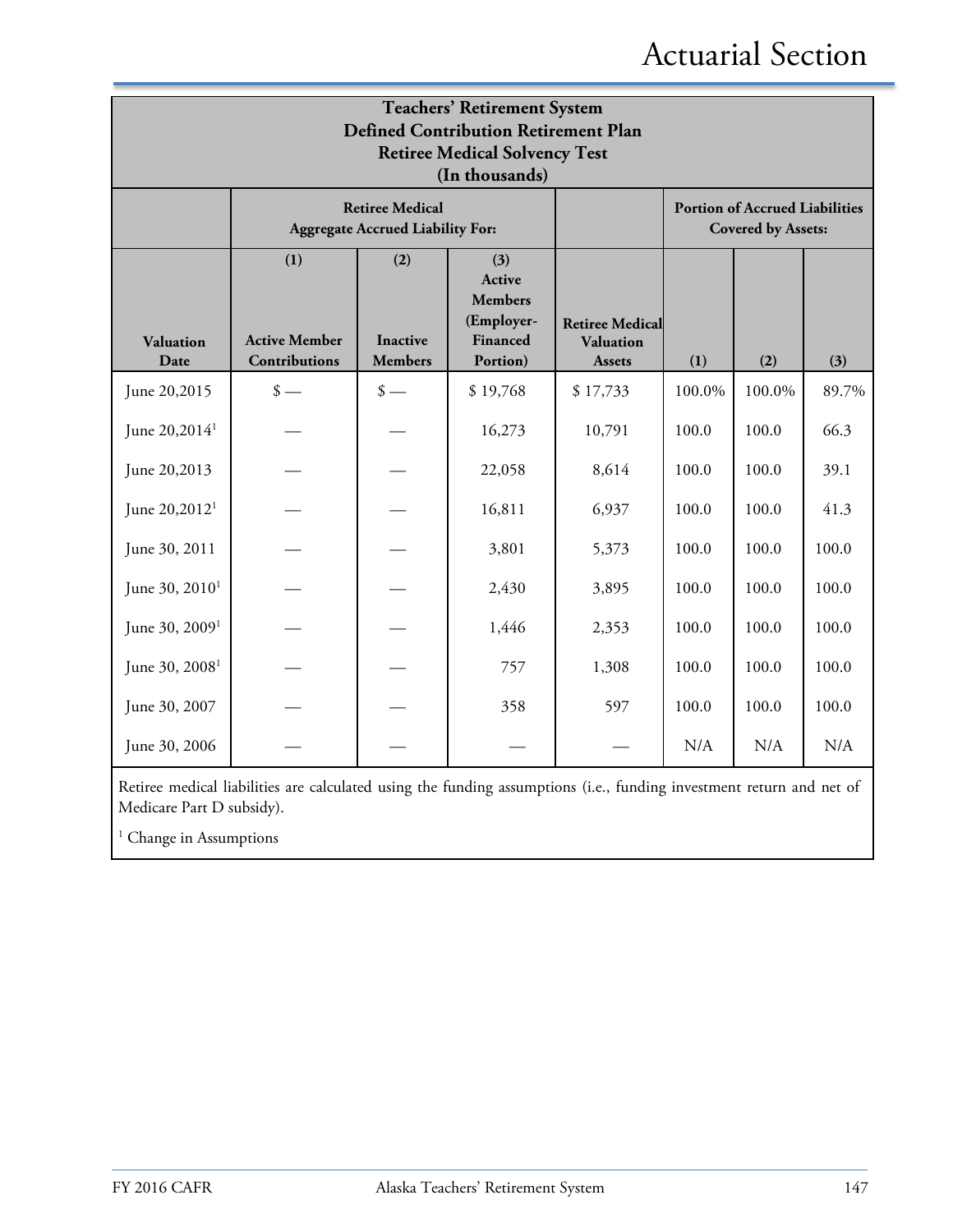# Actuarial Section

| <b>Teachers' Retirement System</b><br><b>Defined Contribution Retirement Plan</b><br><b>Retiree Medical Solvency Test</b><br>(In thousands) |                                              |                                                                   |                                                                       |                                                             |        |                                                                    |       |
|---------------------------------------------------------------------------------------------------------------------------------------------|----------------------------------------------|-------------------------------------------------------------------|-----------------------------------------------------------------------|-------------------------------------------------------------|--------|--------------------------------------------------------------------|-------|
|                                                                                                                                             |                                              | <b>Retiree Medical</b><br><b>Aggregate Accrued Liability For:</b> |                                                                       |                                                             |        | <b>Portion of Accrued Liabilities</b><br><b>Covered by Assets:</b> |       |
| <b>Valuation</b><br>Date                                                                                                                    | (1)<br><b>Active Member</b><br>Contributions | (2)<br><b>Inactive</b><br><b>Members</b>                          | (3)<br>Active<br><b>Members</b><br>(Employer-<br>Financed<br>Portion) | <b>Retiree Medical</b><br><b>Valuation</b><br><b>Assets</b> | (1)    | (2)                                                                | (3)   |
| June 20,2015                                                                                                                                | $\frac{\text{I}}{\text{I}}$                  | $\frac{\text{I}}{\text{I}}$                                       | \$19,768                                                              | \$17,733                                                    | 100.0% | 100.0%                                                             | 89.7% |
| June 20,2014 <sup>1</sup>                                                                                                                   |                                              |                                                                   | 16,273                                                                | 10,791                                                      | 100.0  | 100.0                                                              | 66.3  |
| June 20,2013                                                                                                                                |                                              |                                                                   | 22,058                                                                | 8,614                                                       | 100.0  | 100.0                                                              | 39.1  |
| June 20,2012 <sup>1</sup>                                                                                                                   |                                              |                                                                   | 16,811                                                                | 6,937                                                       | 100.0  | 100.0                                                              | 41.3  |
| June 30, 2011                                                                                                                               |                                              |                                                                   | 3,801                                                                 | 5,373                                                       | 100.0  | 100.0                                                              | 100.0 |
| June 30, 2010 <sup>1</sup>                                                                                                                  |                                              |                                                                   | 2,430                                                                 | 3,895                                                       | 100.0  | 100.0                                                              | 100.0 |
| June 30, 2009 <sup>1</sup>                                                                                                                  |                                              |                                                                   | 1,446                                                                 | 2,353                                                       | 100.0  | 100.0                                                              | 100.0 |
| June 30, 2008 <sup>1</sup>                                                                                                                  |                                              |                                                                   | 757                                                                   | 1,308                                                       | 100.0  | 100.0                                                              | 100.0 |
| June 30, 2007                                                                                                                               |                                              |                                                                   | 358                                                                   | 597                                                         | 100.0  | 100.0                                                              | 100.0 |
| June 30, 2006                                                                                                                               |                                              |                                                                   |                                                                       |                                                             | N/A    | N/A                                                                | N/A   |

Retiree medical liabilities are calculated using the funding assumptions (i.e., funding investment return and net of Medicare Part D subsidy).

<sup>1</sup> Change in Assumptions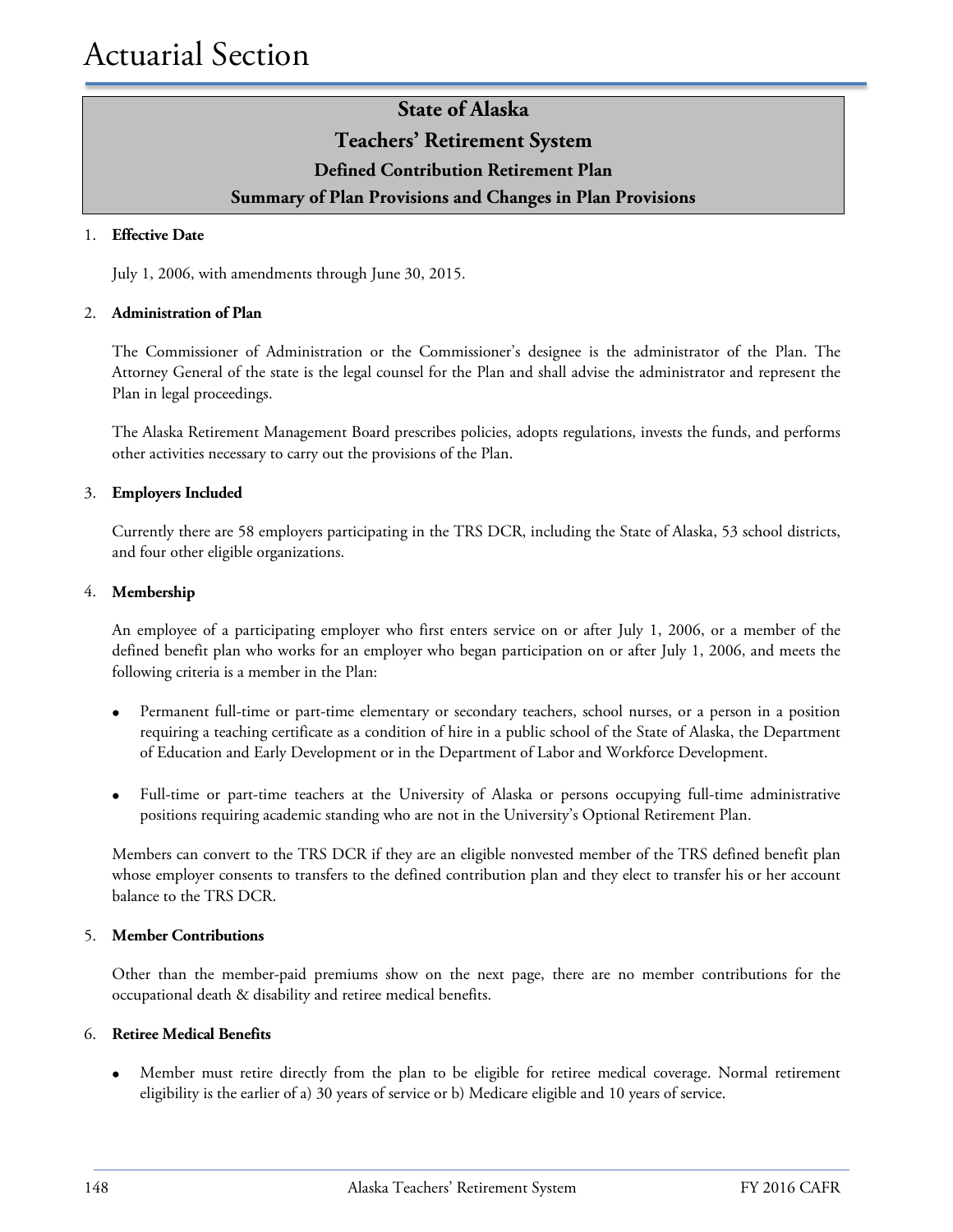### **State of Alaska Teachers' Retirement System Defined Contribution Retirement Plan Summary of Plan Provisions and Changes in Plan Provisions**

#### 1. **Effective Date**

July 1, 2006, with amendments through June 30, 2015.

#### 2. **Administration of Plan**

The Commissioner of Administration or the Commissioner's designee is the administrator of the Plan. The Attorney General of the state is the legal counsel for the Plan and shall advise the administrator and represent the Plan in legal proceedings.

The Alaska Retirement Management Board prescribes policies, adopts regulations, invests the funds, and performs other activities necessary to carry out the provisions of the Plan.

#### 3. **Employers Included**

Currently there are 58 employers participating in the TRS DCR, including the State of Alaska, 53 school districts, and four other eligible organizations.

#### 4. **Membership**

An employee of a participating employer who first enters service on or after July 1, 2006, or a member of the defined benefit plan who works for an employer who began participation on or after July 1, 2006, and meets the following criteria is a member in the Plan:

- Permanent full-time or part-time elementary or secondary teachers, school nurses, or a person in a position requiring a teaching certificate as a condition of hire in a public school of the State of Alaska, the Department of Education and Early Development or in the Department of Labor and Workforce Development.
- Full-time or part-time teachers at the University of Alaska or persons occupying full-time administrative positions requiring academic standing who are not in the University's Optional Retirement Plan.

Members can convert to the TRS DCR if they are an eligible nonvested member of the TRS defined benefit plan whose employer consents to transfers to the defined contribution plan and they elect to transfer his or her account balance to the TRS DCR.

#### 5. **Member Contributions**

Other than the member-paid premiums show on the next page, there are no member contributions for the occupational death & disability and retiree medical benefits.

#### 6. **Retiree Medical Benefits**

• Member must retire directly from the plan to be eligible for retiree medical coverage. Normal retirement eligibility is the earlier of a) 30 years of service or b) Medicare eligible and 10 years of service.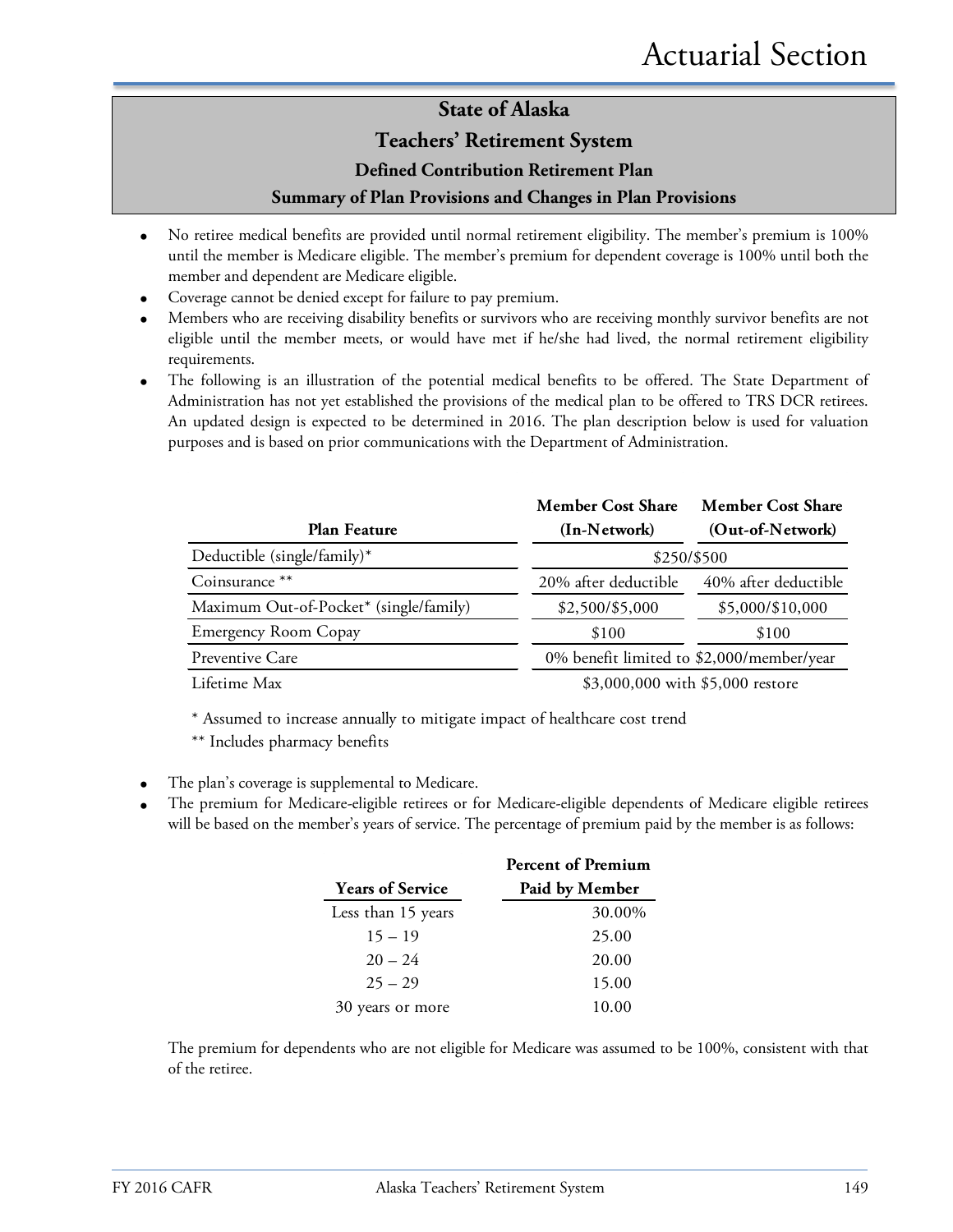#### **Teachers' Retirement System**

#### **Defined Contribution Retirement Plan**

#### **Summary of Plan Provisions and Changes in Plan Provisions**

- No retiree medical benefits are provided until normal retirement eligibility. The member's premium is 100% until the member is Medicare eligible. The member's premium for dependent coverage is 100% until both the member and dependent are Medicare eligible.
- Coverage cannot be denied except for failure to pay premium.
- Members who are receiving disability benefits or survivors who are receiving monthly survivor benefits are not eligible until the member meets, or would have met if he/she had lived, the normal retirement eligibility requirements.
- The following is an illustration of the potential medical benefits to be offered. The State Department of Administration has not yet established the provisions of the medical plan to be offered to TRS DCR retirees. An updated design is expected to be determined in 2016. The plan description below is used for valuation purposes and is based on prior communications with the Department of Administration.

|                                        | <b>Member Cost Share</b> | <b>Member Cost Share</b>                  |
|----------------------------------------|--------------------------|-------------------------------------------|
| Plan Feature                           | (In-Network)             | (Out-of-Network)                          |
| Deductible (single/family)*            |                          | \$250/\$500                               |
| Coinsurance **                         | 20% after deductible     | 40% after deductible                      |
| Maximum Out-of-Pocket* (single/family) | \$2,500/\$5,000          | \$5,000/\$10,000                          |
| <b>Emergency Room Copay</b>            | \$100                    | \$100                                     |
| Preventive Care                        |                          | 0% benefit limited to \$2,000/member/year |
| Lifetime Max                           |                          | \$3,000,000 with \$5,000 restore          |

\* Assumed to increase annually to mitigate impact of healthcare cost trend

\*\* Includes pharmacy benefits

- The plan's coverage is supplemental to Medicare.
- The premium for Medicare-eligible retirees or for Medicare-eligible dependents of Medicare eligible retirees will be based on the member's years of service. The percentage of premium paid by the member is as follows:

|                         | <b>Percent of Premium</b> |
|-------------------------|---------------------------|
| <b>Years of Service</b> | Paid by Member            |
| Less than 15 years      | 30.00%                    |
| $15 - 19$               | 25.00                     |
| $20 - 24$               | 20.00                     |
| $25 - 29$               | 15.00                     |
| years or more<br>30     | 10.00                     |

The premium for dependents who are not eligible for Medicare was assumed to be 100%, consistent with that of the retiree.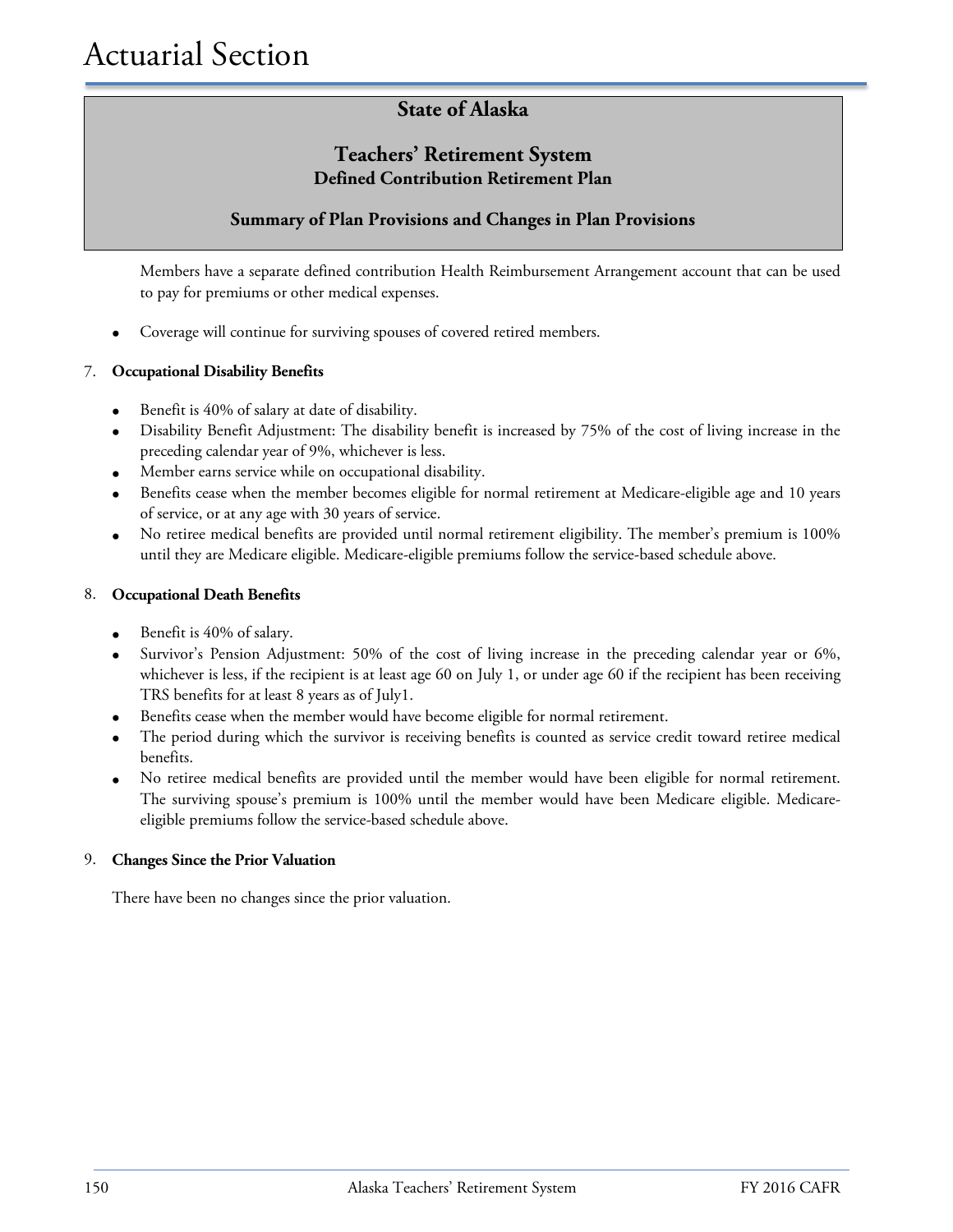#### **Teachers' Retirement System Defined Contribution Retirement Plan**

#### **Summary of Plan Provisions and Changes in Plan Provisions**

Members have a separate defined contribution Health Reimbursement Arrangement account that can be used to pay for premiums or other medical expenses.

• Coverage will continue for surviving spouses of covered retired members.

#### 7. **Occupational Disability Benefits**

- Benefit is 40% of salary at date of disability.
- Disability Benefit Adjustment: The disability benefit is increased by 75% of the cost of living increase in the preceding calendar year of 9%, whichever is less.
- Member earns service while on occupational disability.
- Benefits cease when the member becomes eligible for normal retirement at Medicare-eligible age and 10 years of service, or at any age with 30 years of service.
- No retiree medical benefits are provided until normal retirement eligibility. The member's premium is 100% until they are Medicare eligible. Medicare-eligible premiums follow the service-based schedule above.

#### 8. **Occupational Death Benefits**

- Benefit is 40% of salary.
- Survivor's Pension Adjustment: 50% of the cost of living increase in the preceding calendar year or 6%, whichever is less, if the recipient is at least age 60 on July 1, or under age 60 if the recipient has been receiving TRS benefits for at least 8 years as of July1.
- Benefits cease when the member would have become eligible for normal retirement.
- The period during which the survivor is receiving benefits is counted as service credit toward retiree medical benefits.
- No retiree medical benefits are provided until the member would have been eligible for normal retirement. The surviving spouse's premium is 100% until the member would have been Medicare eligible. Medicareeligible premiums follow the service-based schedule above.

#### 9. **Changes Since the Prior Valuation**

There have been no changes since the prior valuation.